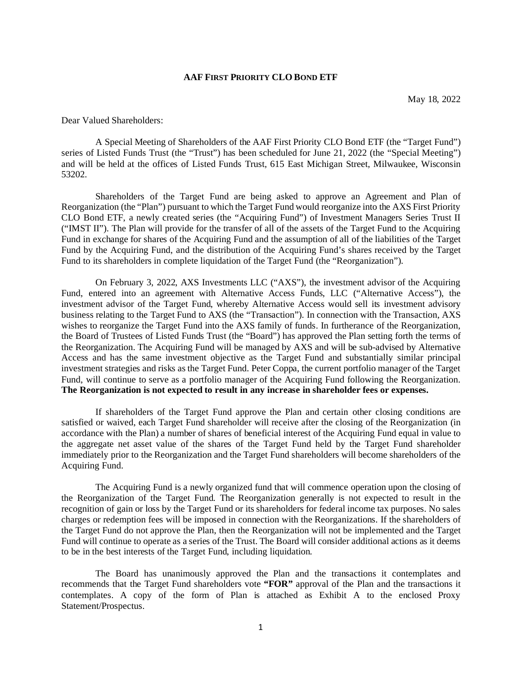#### **AAF FIRST PRIORITY CLO BOND ETF**

Dear Valued Shareholders:

A Special Meeting of Shareholders of the AAF First Priority CLO Bond ETF (the "Target Fund") series of Listed Funds Trust (the "Trust") has been scheduled for June 21, 2022 (the "Special Meeting") and will be held at the offices of Listed Funds Trust, 615 East Michigan Street, Milwaukee, Wisconsin 53202.

Shareholders of the Target Fund are being asked to approve an Agreement and Plan of Reorganization (the "Plan") pursuant to which the Target Fund would reorganize into the AXS First Priority CLO Bond ETF, a newly created series (the "Acquiring Fund") of Investment Managers Series Trust II ("IMST II"). The Plan will provide for the transfer of all of the assets of the Target Fund to the Acquiring Fund in exchange for shares of the Acquiring Fund and the assumption of all of the liabilities of the Target Fund by the Acquiring Fund, and the distribution of the Acquiring Fund's shares received by the Target Fund to its shareholders in complete liquidation of the Target Fund (the "Reorganization").

On February 3, 2022, AXS Investments LLC ("AXS"), the investment advisor of the Acquiring Fund, entered into an agreement with Alternative Access Funds, LLC ("Alternative Access"), the investment advisor of the Target Fund, whereby Alternative Access would sell its investment advisory business relating to the Target Fund to AXS (the "Transaction"). In connection with the Transaction, AXS wishes to reorganize the Target Fund into the AXS family of funds. In furtherance of the Reorganization, the Board of Trustees of Listed Funds Trust (the "Board") has approved the Plan setting forth the terms of the Reorganization. The Acquiring Fund will be managed by AXS and will be sub-advised by Alternative Access and has the same investment objective as the Target Fund and substantially similar principal investment strategies and risks as the Target Fund. Peter Coppa, the current portfolio manager of the Target Fund, will continue to serve as a portfolio manager of the Acquiring Fund following the Reorganization. **The Reorganization is not expected to result in any increase in shareholder fees or expenses.** 

If shareholders of the Target Fund approve the Plan and certain other closing conditions are satisfied or waived, each Target Fund shareholder will receive after the closing of the Reorganization (in accordance with the Plan) a number of shares of beneficial interest of the Acquiring Fund equal in value to the aggregate net asset value of the shares of the Target Fund held by the Target Fund shareholder immediately prior to the Reorganization and the Target Fund shareholders will become shareholders of the Acquiring Fund.

The Acquiring Fund is a newly organized fund that will commence operation upon the closing of the Reorganization of the Target Fund. The Reorganization generally is not expected to result in the recognition of gain or loss by the Target Fund or its shareholders for federal income tax purposes. No sales charges or redemption fees will be imposed in connection with the Reorganizations. If the shareholders of the Target Fund do not approve the Plan, then the Reorganization will not be implemented and the Target Fund will continue to operate as a series of the Trust. The Board will consider additional actions as it deems to be in the best interests of the Target Fund, including liquidation.

The Board has unanimously approved the Plan and the transactions it contemplates and recommends that the Target Fund shareholders vote **"FOR"** approval of the Plan and the transactions it contemplates. A copy of the form of Plan is attached as Exhibit A to the enclosed Proxy Statement/Prospectus.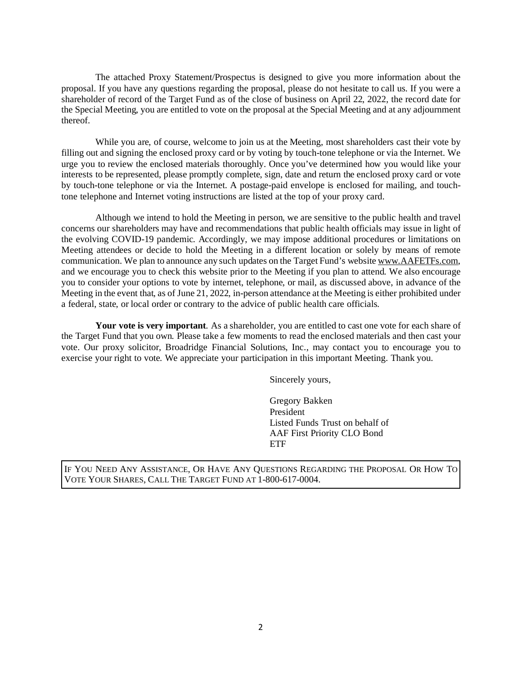The attached Proxy Statement/Prospectus is designed to give you more information about the proposal. If you have any questions regarding the proposal, please do not hesitate to call us. If you were a shareholder of record of the Target Fund as of the close of business on April 22, 2022, the record date for the Special Meeting, you are entitled to vote on the proposal at the Special Meeting and at any adjournment thereof.

While you are, of course, welcome to join us at the Meeting, most shareholders cast their vote by filling out and signing the enclosed proxy card or by voting by touch-tone telephone or via the Internet. We urge you to review the enclosed materials thoroughly. Once you've determined how you would like your interests to be represented, please promptly complete, sign, date and return the enclosed proxy card or vote by touch-tone telephone or via the Internet. A postage-paid envelope is enclosed for mailing, and touchtone telephone and Internet voting instructions are listed at the top of your proxy card.

Although we intend to hold the Meeting in person, we are sensitive to the public health and travel concerns our shareholders may have and recommendations that public health officials may issue in light of the evolving COVID-19 pandemic. Accordingly, we may impose additional procedures or limitations on Meeting attendees or decide to hold the Meeting in a different location or solely by means of remote communication. We plan to announce any such updates on the Target Fund's website www.AAFETFs.com, and we encourage you to check this website prior to the Meeting if you plan to attend. We also encourage you to consider your options to vote by internet, telephone, or mail, as discussed above, in advance of the Meeting in the event that, as of June 21, 2022, in-person attendance at the Meeting is either prohibited under a federal, state, or local order or contrary to the advice of public health care officials.

**Your vote is very important**. As a shareholder, you are entitled to cast one vote for each share of the Target Fund that you own. Please take a few moments to read the enclosed materials and then cast your vote. Our proxy solicitor, Broadridge Financial Solutions, Inc., may contact you to encourage you to exercise your right to vote. We appreciate your participation in this important Meeting. Thank you.

Sincerely yours,

Gregory Bakken President Listed Funds Trust on behalf of AAF First Priority CLO Bond ETF

IF YOU NEED ANY ASSISTANCE, OR HAVE ANY QUESTIONS REGARDING THE PROPOSAL OR HOW TO VOTE YOUR SHARES, CALL THE TARGET FUND AT 1-800-617-0004.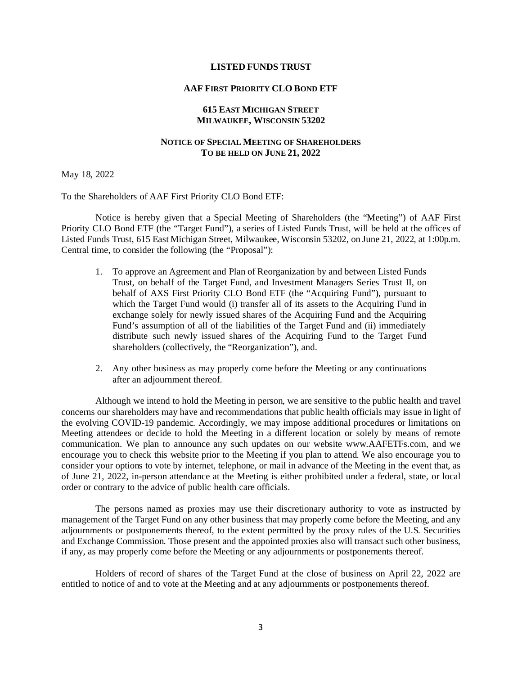#### **LISTED FUNDS TRUST**

#### **AAF FIRST PRIORITY CLO BOND ETF**

#### **615 EAST MICHIGAN STREET MILWAUKEE, WISCONSIN 53202**

#### **NOTICE OF SPECIAL MEETING OF SHAREHOLDERS TO BE HELD ON JUNE 21, 2022**

May 18, 2022

To the Shareholders of AAF First Priority CLO Bond ETF:

Notice is hereby given that a Special Meeting of Shareholders (the "Meeting") of AAF First Priority CLO Bond ETF (the "Target Fund"), a series of Listed Funds Trust, will be held at the offices of Listed Funds Trust, 615 East Michigan Street, Milwaukee, Wisconsin 53202, on June 21, 2022, at 1:00p.m. Central time, to consider the following (the "Proposal"):

- 1. To approve an Agreement and Plan of Reorganization by and between Listed Funds Trust, on behalf of the Target Fund, and Investment Managers Series Trust II, on behalf of AXS First Priority CLO Bond ETF (the "Acquiring Fund"), pursuant to which the Target Fund would (i) transfer all of its assets to the Acquiring Fund in exchange solely for newly issued shares of the Acquiring Fund and the Acquiring Fund's assumption of all of the liabilities of the Target Fund and (ii) immediately distribute such newly issued shares of the Acquiring Fund to the Target Fund shareholders (collectively, the "Reorganization"), and.
- 2. Any other business as may properly come before the Meeting or any continuations after an adjournment thereof.

Although we intend to hold the Meeting in person, we are sensitive to the public health and travel concerns our shareholders may have and recommendations that public health officials may issue in light of the evolving COVID-19 pandemic. Accordingly, we may impose additional procedures or limitations on Meeting attendees or decide to hold the Meeting in a different location or solely by means of remote communication. We plan to announce any such updates on our website www.AAFETFs.com, and we encourage you to check this website prior to the Meeting if you plan to attend. We also encourage you to consider your options to vote by internet, telephone, or mail in advance of the Meeting in the event that, as of June 21, 2022, in-person attendance at the Meeting is either prohibited under a federal, state, or local order or contrary to the advice of public health care officials.

The persons named as proxies may use their discretionary authority to vote as instructed by management of the Target Fund on any other business that may properly come before the Meeting, and any adjournments or postponements thereof, to the extent permitted by the proxy rules of the U.S. Securities and Exchange Commission. Those present and the appointed proxies also will transact such other business, if any, as may properly come before the Meeting or any adjournments or postponements thereof.

Holders of record of shares of the Target Fund at the close of business on April 22, 2022 are entitled to notice of and to vote at the Meeting and at any adjournments or postponements thereof.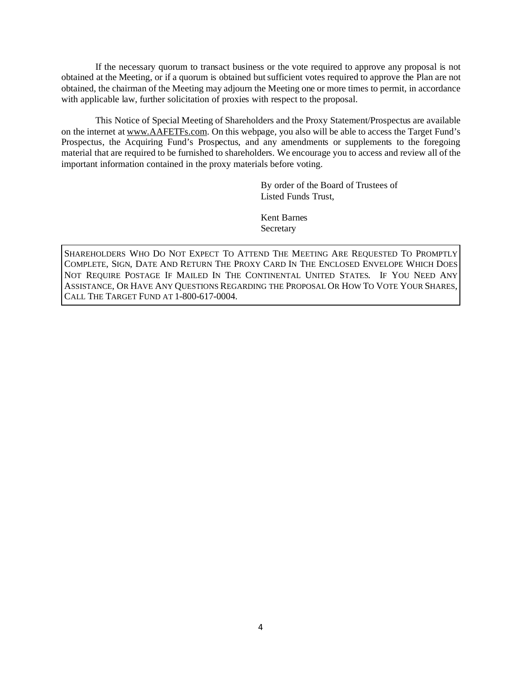If the necessary quorum to transact business or the vote required to approve any proposal is not obtained at the Meeting, or if a quorum is obtained but sufficient votes required to approve the Plan are not obtained, the chairman of the Meeting may adjourn the Meeting one or more times to permit, in accordance with applicable law, further solicitation of proxies with respect to the proposal.

This Notice of Special Meeting of Shareholders and the Proxy Statement/Prospectus are available on the internet at www.AAFETFs.com. On this webpage, you also will be able to access the Target Fund's Prospectus, the Acquiring Fund's Prospectus, and any amendments or supplements to the foregoing material that are required to be furnished to shareholders. We encourage you to access and review all of the important information contained in the proxy materials before voting.

> By order of the Board of Trustees of Listed Funds Trust,

Kent Barnes Secretary

SHAREHOLDERS WHO DO NOT EXPECT TO ATTEND THE MEETING ARE REQUESTED TO PROMPTLY COMPLETE, SIGN, DATE AND RETURN THE PROXY CARD IN THE ENCLOSED ENVELOPE WHICH DOES NOT REQUIRE POSTAGE IF MAILED IN THE CONTINENTAL UNITED STATES. IF YOU NEED ANY ASSISTANCE, OR HAVE ANY QUESTIONS REGARDING THE PROPOSAL OR HOW TO VOTE YOUR SHARES, CALL THE TARGET FUND AT 1-800-617-0004.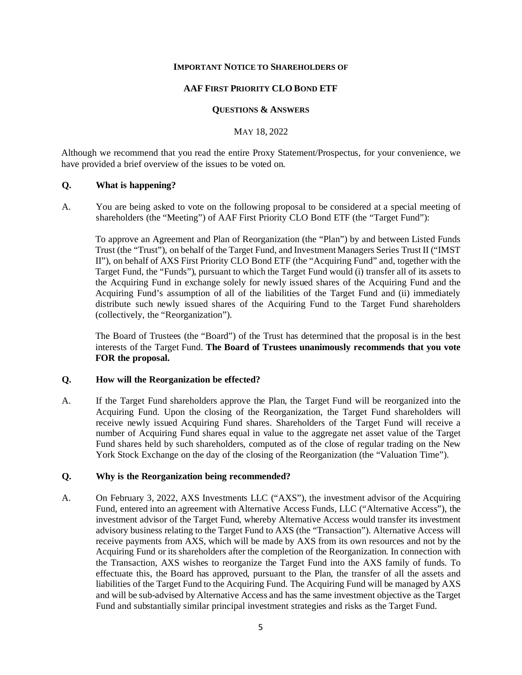#### **IMPORTANT NOTICE TO SHAREHOLDERS OF**

#### **AAF FIRST PRIORITY CLO BOND ETF**

#### **QUESTIONS & ANSWERS**

MAY 18, 2022

Although we recommend that you read the entire Proxy Statement/Prospectus, for your convenience, we have provided a brief overview of the issues to be voted on.

## **Q. What is happening?**

A. You are being asked to vote on the following proposal to be considered at a special meeting of shareholders (the "Meeting") of AAF First Priority CLO Bond ETF (the "Target Fund"):

To approve an Agreement and Plan of Reorganization (the "Plan") by and between Listed Funds Trust (the "Trust"), on behalf of the Target Fund, and Investment Managers Series Trust II ("IMST II"), on behalf of AXS First Priority CLO Bond ETF (the "Acquiring Fund" and, together with the Target Fund, the "Funds"), pursuant to which the Target Fund would (i) transfer all of its assets to the Acquiring Fund in exchange solely for newly issued shares of the Acquiring Fund and the Acquiring Fund's assumption of all of the liabilities of the Target Fund and (ii) immediately distribute such newly issued shares of the Acquiring Fund to the Target Fund shareholders (collectively, the "Reorganization").

The Board of Trustees (the "Board") of the Trust has determined that the proposal is in the best interests of the Target Fund. **The Board of Trustees unanimously recommends that you vote FOR the proposal.**

#### **Q. How will the Reorganization be effected?**

A. If the Target Fund shareholders approve the Plan, the Target Fund will be reorganized into the Acquiring Fund. Upon the closing of the Reorganization, the Target Fund shareholders will receive newly issued Acquiring Fund shares. Shareholders of the Target Fund will receive a number of Acquiring Fund shares equal in value to the aggregate net asset value of the Target Fund shares held by such shareholders, computed as of the close of regular trading on the New York Stock Exchange on the day of the closing of the Reorganization (the "Valuation Time").

## **Q. Why is the Reorganization being recommended?**

A. On February 3, 2022, AXS Investments LLC ("AXS"), the investment advisor of the Acquiring Fund, entered into an agreement with Alternative Access Funds, LLC ("Alternative Access"), the investment advisor of the Target Fund, whereby Alternative Access would transfer its investment advisory business relating to the Target Fund to AXS (the "Transaction"). Alternative Access will receive payments from AXS, which will be made by AXS from its own resources and not by the Acquiring Fund or its shareholders after the completion of the Reorganization. In connection with the Transaction, AXS wishes to reorganize the Target Fund into the AXS family of funds. To effectuate this, the Board has approved, pursuant to the Plan, the transfer of all the assets and liabilities of the Target Fund to the Acquiring Fund. The Acquiring Fund will be managed by AXS and will be sub-advised by Alternative Access and has the same investment objective as the Target Fund and substantially similar principal investment strategies and risks as the Target Fund.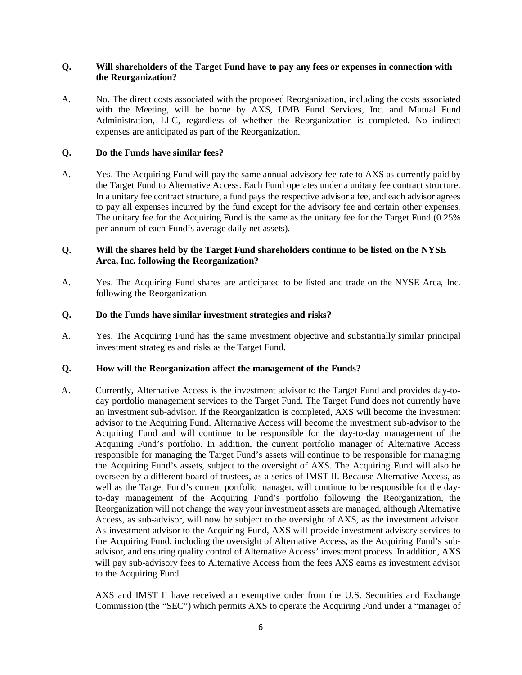## **Q. Will shareholders of the Target Fund have to pay any fees or expenses in connection with the Reorganization?**

A. No. The direct costs associated with the proposed Reorganization, including the costs associated with the Meeting, will be borne by AXS, UMB Fund Services, Inc. and Mutual Fund Administration, LLC, regardless of whether the Reorganization is completed. No indirect expenses are anticipated as part of the Reorganization.

## **Q. Do the Funds have similar fees?**

A. Yes. The Acquiring Fund will pay the same annual advisory fee rate to AXS as currently paid by the Target Fund to Alternative Access. Each Fund operates under a unitary fee contract structure. In a unitary fee contract structure, a fund pays the respective advisor a fee, and each advisor agrees to pay all expenses incurred by the fund except for the advisory fee and certain other expenses. The unitary fee for the Acquiring Fund is the same as the unitary fee for the Target Fund (0.25% per annum of each Fund's average daily net assets).

# **Q. Will the shares held by the Target Fund shareholders continue to be listed on the NYSE Arca, Inc. following the Reorganization?**

A. Yes. The Acquiring Fund shares are anticipated to be listed and trade on the NYSE Arca, Inc. following the Reorganization.

## **Q. Do the Funds have similar investment strategies and risks?**

A. Yes. The Acquiring Fund has the same investment objective and substantially similar principal investment strategies and risks as the Target Fund.

## **Q. How will the Reorganization affect the management of the Funds?**

A. Currently, Alternative Access is the investment advisor to the Target Fund and provides day-today portfolio management services to the Target Fund. The Target Fund does not currently have an investment sub-advisor. If the Reorganization is completed, AXS will become the investment advisor to the Acquiring Fund. Alternative Access will become the investment sub-advisor to the Acquiring Fund and will continue to be responsible for the day-to-day management of the Acquiring Fund's portfolio. In addition, the current portfolio manager of Alternative Access responsible for managing the Target Fund's assets will continue to be responsible for managing the Acquiring Fund's assets, subject to the oversight of AXS. The Acquiring Fund will also be overseen by a different board of trustees, as a series of IMST II. Because Alternative Access, as well as the Target Fund's current portfolio manager, will continue to be responsible for the dayto-day management of the Acquiring Fund's portfolio following the Reorganization, the Reorganization will not change the way your investment assets are managed, although Alternative Access, as sub-advisor, will now be subject to the oversight of AXS, as the investment advisor. As investment advisor to the Acquiring Fund, AXS will provide investment advisory services to the Acquiring Fund, including the oversight of Alternative Access, as the Acquiring Fund's subadvisor, and ensuring quality control of Alternative Access' investment process. In addition, AXS will pay sub-advisory fees to Alternative Access from the fees AXS earns as investment advisor to the Acquiring Fund.

AXS and IMST II have received an exemptive order from the U.S. Securities and Exchange Commission (the "SEC") which permits AXS to operate the Acquiring Fund under a "manager of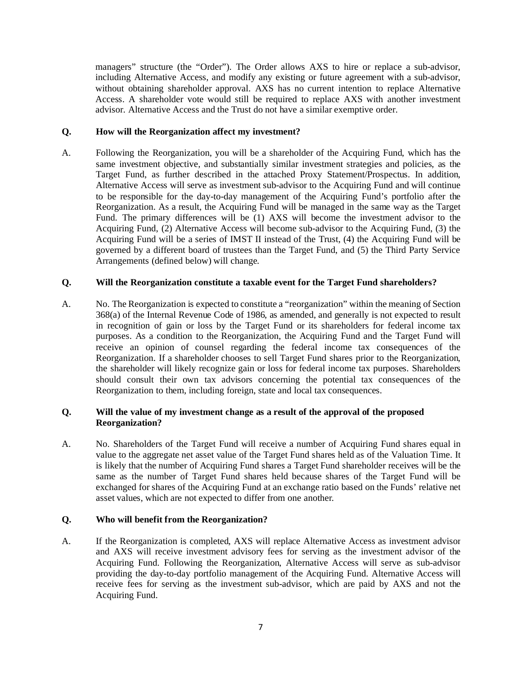managers" structure (the "Order"). The Order allows AXS to hire or replace a sub-advisor, including Alternative Access, and modify any existing or future agreement with a sub-advisor, without obtaining shareholder approval. AXS has no current intention to replace Alternative Access. A shareholder vote would still be required to replace AXS with another investment advisor. Alternative Access and the Trust do not have a similar exemptive order.

## **Q. How will the Reorganization affect my investment?**

A. Following the Reorganization, you will be a shareholder of the Acquiring Fund, which has the same investment objective, and substantially similar investment strategies and policies, as the Target Fund, as further described in the attached Proxy Statement/Prospectus. In addition, Alternative Access will serve as investment sub-advisor to the Acquiring Fund and will continue to be responsible for the day-to-day management of the Acquiring Fund's portfolio after the Reorganization. As a result, the Acquiring Fund will be managed in the same way as the Target Fund. The primary differences will be (1) AXS will become the investment advisor to the Acquiring Fund, (2) Alternative Access will become sub-advisor to the Acquiring Fund, (3) the Acquiring Fund will be a series of IMST II instead of the Trust, (4) the Acquiring Fund will be governed by a different board of trustees than the Target Fund, and (5) the Third Party Service Arrangements (defined below) will change.

## **Q. Will the Reorganization constitute a taxable event for the Target Fund shareholders?**

A. No. The Reorganization is expected to constitute a "reorganization" within the meaning of Section 368(a) of the Internal Revenue Code of 1986, as amended, and generally is not expected to result in recognition of gain or loss by the Target Fund or its shareholders for federal income tax purposes. As a condition to the Reorganization, the Acquiring Fund and the Target Fund will receive an opinion of counsel regarding the federal income tax consequences of the Reorganization. If a shareholder chooses to sell Target Fund shares prior to the Reorganization, the shareholder will likely recognize gain or loss for federal income tax purposes. Shareholders should consult their own tax advisors concerning the potential tax consequences of the Reorganization to them, including foreign, state and local tax consequences.

## **Q. Will the value of my investment change as a result of the approval of the proposed Reorganization?**

A. No. Shareholders of the Target Fund will receive a number of Acquiring Fund shares equal in value to the aggregate net asset value of the Target Fund shares held as of the Valuation Time. It is likely that the number of Acquiring Fund shares a Target Fund shareholder receives will be the same as the number of Target Fund shares held because shares of the Target Fund will be exchanged for shares of the Acquiring Fund at an exchange ratio based on the Funds' relative net asset values, which are not expected to differ from one another.

## **Q. Who will benefit from the Reorganization?**

A. If the Reorganization is completed, AXS will replace Alternative Access as investment advisor and AXS will receive investment advisory fees for serving as the investment advisor of the Acquiring Fund. Following the Reorganization, Alternative Access will serve as sub-advisor providing the day-to-day portfolio management of the Acquiring Fund. Alternative Access will receive fees for serving as the investment sub-advisor, which are paid by AXS and not the Acquiring Fund.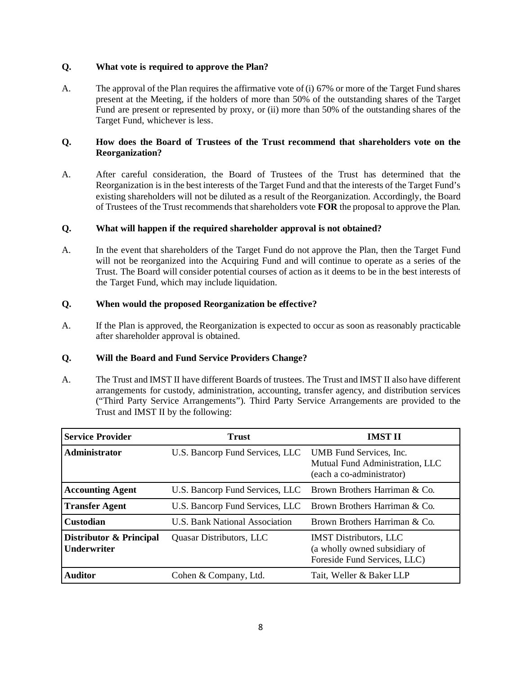## **Q. What vote is required to approve the Plan?**

A. The approval of the Plan requires the affirmative vote of (i) 67% or more of the Target Fund shares present at the Meeting, if the holders of more than 50% of the outstanding shares of the Target Fund are present or represented by proxy, or (ii) more than 50% of the outstanding shares of the Target Fund, whichever is less.

# **Q. How does the Board of Trustees of the Trust recommend that shareholders vote on the Reorganization?**

A. After careful consideration, the Board of Trustees of the Trust has determined that the Reorganization is in the best interests of the Target Fund and that the interests of the Target Fund's existing shareholders will not be diluted as a result of the Reorganization. Accordingly, the Board of Trustees of the Trust recommends that shareholders vote **FOR** the proposal to approve the Plan.

# **Q. What will happen if the required shareholder approval is not obtained?**

A. In the event that shareholders of the Target Fund do not approve the Plan, then the Target Fund will not be reorganized into the Acquiring Fund and will continue to operate as a series of the Trust. The Board will consider potential courses of action as it deems to be in the best interests of the Target Fund, which may include liquidation.

# **Q. When would the proposed Reorganization be effective?**

A. If the Plan is approved, the Reorganization is expected to occur as soon as reasonably practicable after shareholder approval is obtained.

## **Q. Will the Board and Fund Service Providers Change?**

A. The Trust and IMST II have different Boards of trustees. The Trust and IMST II also have different arrangements for custody, administration, accounting, transfer agency, and distribution services ("Third Party Service Arrangements"). Third Party Service Arrangements are provided to the Trust and IMST II by the following:

| <b>Service Provider</b>                       | <b>Trust</b>                                                  | <b>IMST II</b>                                                                                 |  |
|-----------------------------------------------|---------------------------------------------------------------|------------------------------------------------------------------------------------------------|--|
| Administrator                                 | U.S. Bancorp Fund Services, LLC                               | UMB Fund Services, Inc.<br>Mutual Fund Administration, LLC<br>(each a co-administrator)        |  |
| <b>Accounting Agent</b>                       | U.S. Bancorp Fund Services, LLC Brown Brothers Harriman & Co. |                                                                                                |  |
| <b>Transfer Agent</b>                         | U.S. Bancorp Fund Services, LLC                               | Brown Brothers Harriman & Co.                                                                  |  |
| <b>Custodian</b>                              | <b>U.S. Bank National Association</b>                         | Brown Brothers Harriman & Co.                                                                  |  |
| Distributor & Principal<br><b>Underwriter</b> | Quasar Distributors, LLC                                      | <b>IMST Distributors, LLC</b><br>(a wholly owned subsidiary of<br>Foreside Fund Services, LLC) |  |
| <b>Auditor</b>                                | Cohen & Company, Ltd.                                         | Tait, Weller & Baker LLP                                                                       |  |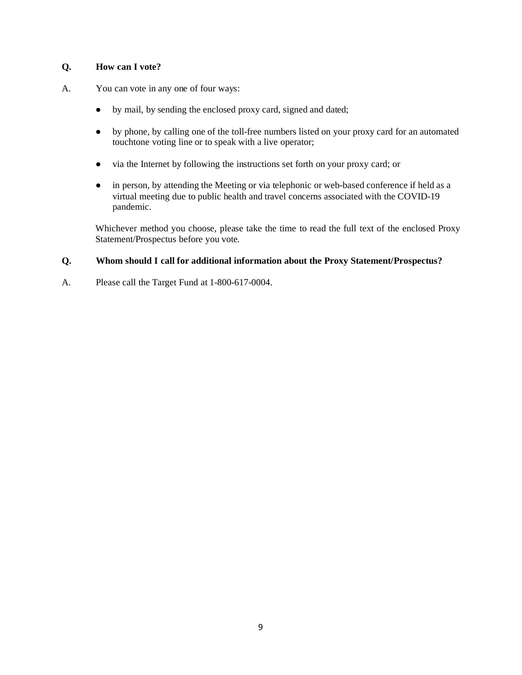# **Q. How can I vote?**

- A. You can vote in any one of four ways:
	- by mail, by sending the enclosed proxy card, signed and dated;
	- by phone, by calling one of the toll-free numbers listed on your proxy card for an automated touchtone voting line or to speak with a live operator;
	- via the Internet by following the instructions set forth on your proxy card; or
	- in person, by attending the Meeting or via telephonic or web-based conference if held as a virtual meeting due to public health and travel concerns associated with the COVID-19 pandemic.

Whichever method you choose, please take the time to read the full text of the enclosed Proxy Statement/Prospectus before you vote.

# **Q. Whom should I call for additional information about the Proxy Statement/Prospectus?**

A. Please call the Target Fund at 1-800-617-0004.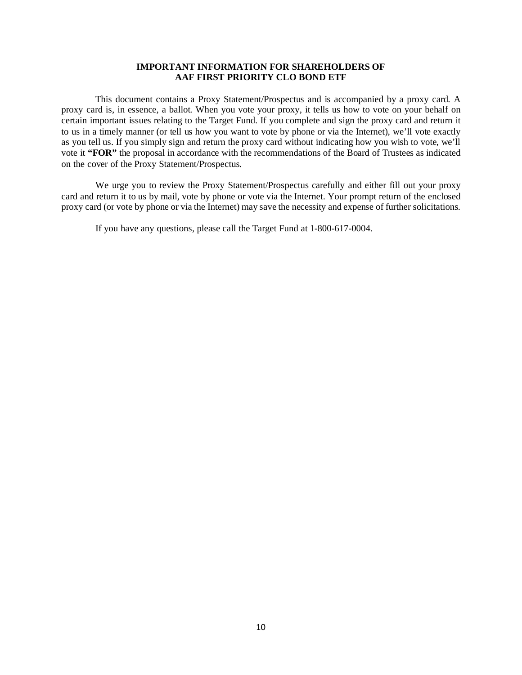## **IMPORTANT INFORMATION FOR SHAREHOLDERS OF AAF FIRST PRIORITY CLO BOND ETF**

This document contains a Proxy Statement/Prospectus and is accompanied by a proxy card. A proxy card is, in essence, a ballot. When you vote your proxy, it tells us how to vote on your behalf on certain important issues relating to the Target Fund. If you complete and sign the proxy card and return it to us in a timely manner (or tell us how you want to vote by phone or via the Internet), we'll vote exactly as you tell us. If you simply sign and return the proxy card without indicating how you wish to vote, we'll vote it **"FOR"** the proposal in accordance with the recommendations of the Board of Trustees as indicated on the cover of the Proxy Statement/Prospectus.

We urge you to review the Proxy Statement/Prospectus carefully and either fill out your proxy card and return it to us by mail, vote by phone or vote via the Internet. Your prompt return of the enclosed proxy card (or vote by phone or via the Internet) may save the necessity and expense of further solicitations.

If you have any questions, please call the Target Fund at 1-800-617-0004.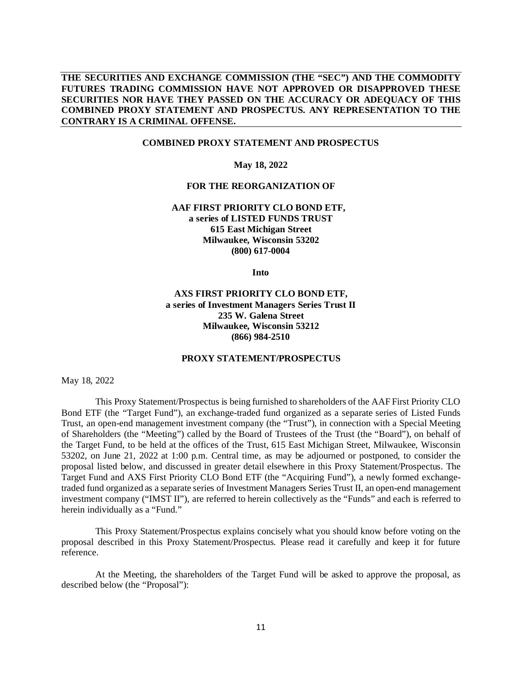## **THE SECURITIES AND EXCHANGE COMMISSION (THE "SEC") AND THE COMMODITY FUTURES TRADING COMMISSION HAVE NOT APPROVED OR DISAPPROVED THESE SECURITIES NOR HAVE THEY PASSED ON THE ACCURACY OR ADEQUACY OF THIS COMBINED PROXY STATEMENT AND PROSPECTUS. ANY REPRESENTATION TO THE CONTRARY IS A CRIMINAL OFFENSE.**

## **COMBINED PROXY STATEMENT AND PROSPECTUS**

**May 18, 2022**

#### **FOR THE REORGANIZATION OF**

**AAF FIRST PRIORITY CLO BOND ETF, a series of LISTED FUNDS TRUST 615 East Michigan Street Milwaukee, Wisconsin 53202 (800) 617-0004**

**Into**

## **AXS FIRST PRIORITY CLO BOND ETF, a series of Investment Managers Series Trust II 235 W. Galena Street Milwaukee, Wisconsin 53212 (866) 984-2510**

#### **PROXY STATEMENT/PROSPECTUS**

May 18, 2022

This Proxy Statement/Prospectus is being furnished to shareholders of the AAF First Priority CLO Bond ETF (the "Target Fund"), an exchange-traded fund organized as a separate series of Listed Funds Trust, an open-end management investment company (the "Trust"), in connection with a Special Meeting of Shareholders (the "Meeting") called by the Board of Trustees of the Trust (the "Board"), on behalf of the Target Fund, to be held at the offices of the Trust, 615 East Michigan Street, Milwaukee, Wisconsin 53202, on June 21, 2022 at 1:00 p.m. Central time, as may be adjourned or postponed, to consider the proposal listed below, and discussed in greater detail elsewhere in this Proxy Statement/Prospectus. The Target Fund and AXS First Priority CLO Bond ETF (the "Acquiring Fund"), a newly formed exchangetraded fund organized as a separate series of Investment Managers Series Trust II, an open-end management investment company ("IMST II"), are referred to herein collectively as the "Funds" and each is referred to herein individually as a "Fund."

This Proxy Statement/Prospectus explains concisely what you should know before voting on the proposal described in this Proxy Statement/Prospectus. Please read it carefully and keep it for future reference.

At the Meeting, the shareholders of the Target Fund will be asked to approve the proposal, as described below (the "Proposal"):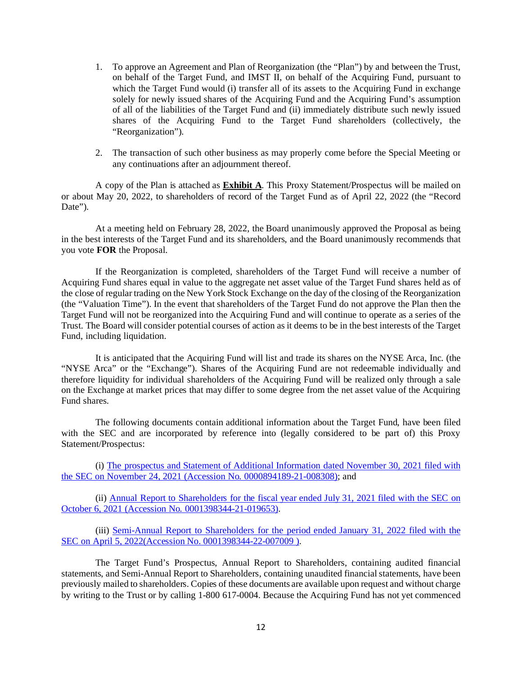- 1. To approve an Agreement and Plan of Reorganization (the "Plan") by and between the Trust, on behalf of the Target Fund, and IMST II, on behalf of the Acquiring Fund, pursuant to which the Target Fund would (i) transfer all of its assets to the Acquiring Fund in exchange solely for newly issued shares of the Acquiring Fund and the Acquiring Fund's assumption of all of the liabilities of the Target Fund and (ii) immediately distribute such newly issued shares of the Acquiring Fund to the Target Fund shareholders (collectively, the "Reorganization").
- 2. The transaction of such other business as may properly come before the Special Meeting or any continuations after an adjournment thereof.

A copy of the Plan is attached as **Exhibit A**. This Proxy Statement/Prospectus will be mailed on or about May 20, 2022, to shareholders of record of the Target Fund as of April 22, 2022 (the "Record Date").

At a meeting held on February 28, 2022, the Board unanimously approved the Proposal as being in the best interests of the Target Fund and its shareholders, and the Board unanimously recommends that you vote **FOR** the Proposal.

If the Reorganization is completed, shareholders of the Target Fund will receive a number of Acquiring Fund shares equal in value to the aggregate net asset value of the Target Fund shares held as of the close of regular trading on the New York Stock Exchange on the day of the closing of the Reorganization (the "Valuation Time"). In the event that shareholders of the Target Fund do not approve the Plan then the Target Fund will not be reorganized into the Acquiring Fund and will continue to operate as a series of the Trust. The Board will consider potential courses of action as it deems to be in the best interests of the Target Fund, including liquidation.

It is anticipated that the Acquiring Fund will list and trade its shares on the NYSE Arca, Inc. (the "NYSE Arca" or the "Exchange"). Shares of the Acquiring Fund are not redeemable individually and therefore liquidity for individual shareholders of the Acquiring Fund will be realized only through a sale on the Exchange at market prices that may differ to some degree from the net asset value of the Acquiring Fund shares.

The following documents contain additional information about the Target Fund, have been filed with the SEC and are incorporated by reference into (legally considered to be part of) this Proxy Statement/Prospectus:

(i) [The prospectus and Statement of Additional Information dated November 30, 2021 filed with](https://www.sec.gov/ix?doc=/Archives/edgar/data/1683471/000089418921008308/ck0001683471-20210731.htm)  [the SEC on November 24, 2021 \(Accession No. 0000894189-21-008308\);](https://www.sec.gov/ix?doc=/Archives/edgar/data/1683471/000089418921008308/ck0001683471-20210731.htm) and

(ii) [Annual Report to Shareholders for the fiscal year ended July](https://www.sec.gov/Archives/edgar/data/1683471/000139834421019653/fp0068859_ncsr.htm) 31, 2021 filed with the SEC on [October 6, 2021 \(Accession No. 0001398344-21-019653\).](https://www.sec.gov/Archives/edgar/data/1683471/000139834421019653/fp0068859_ncsr.htm)

(iii) [Semi-Annual Report to Shareholders for the period ended January 31, 2022 filed with the](https://www.sec.gov/Archives/edgar/data/1683471/000139834422007009/fp0074534_ncsrs.htm)  [SEC on April 5, 2022\(Accession No. 0001398344-22-007009](https://www.sec.gov/Archives/edgar/data/1683471/000139834422007009/fp0074534_ncsrs.htm)).

The Target Fund's Prospectus, Annual Report to Shareholders, containing audited financial statements, and Semi-Annual Report to Shareholders, containing unaudited financial statements, have been previously mailed to shareholders. Copies of these documents are available upon request and without charge by writing to the Trust or by calling 1-800 617-0004. Because the Acquiring Fund has not yet commenced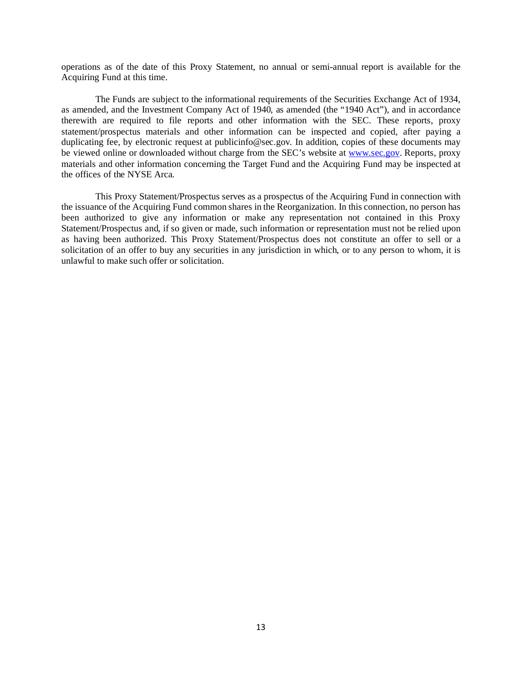operations as of the date of this Proxy Statement, no annual or semi-annual report is available for the Acquiring Fund at this time.

The Funds are subject to the informational requirements of the Securities Exchange Act of 1934, as amended, and the Investment Company Act of 1940, as amended (the "1940 Act"), and in accordance therewith are required to file reports and other information with the SEC. These reports, proxy statement/prospectus materials and other information can be inspected and copied, after paying a duplicating fee, by electronic request at publicinfo@sec.gov. In addition, copies of these documents may be viewed online or downloaded without charge from the SEC's website a[t www.sec.gov.](http://www.sec.gov/) Reports, proxy materials and other information concerning the Target Fund and the Acquiring Fund may be inspected at the offices of the NYSE Arca.

This Proxy Statement/Prospectus serves as a prospectus of the Acquiring Fund in connection with the issuance of the Acquiring Fund common shares in the Reorganization. In this connection, no person has been authorized to give any information or make any representation not contained in this Proxy Statement/Prospectus and, if so given or made, such information or representation must not be relied upon as having been authorized. This Proxy Statement/Prospectus does not constitute an offer to sell or a solicitation of an offer to buy any securities in any jurisdiction in which, or to any person to whom, it is unlawful to make such offer or solicitation.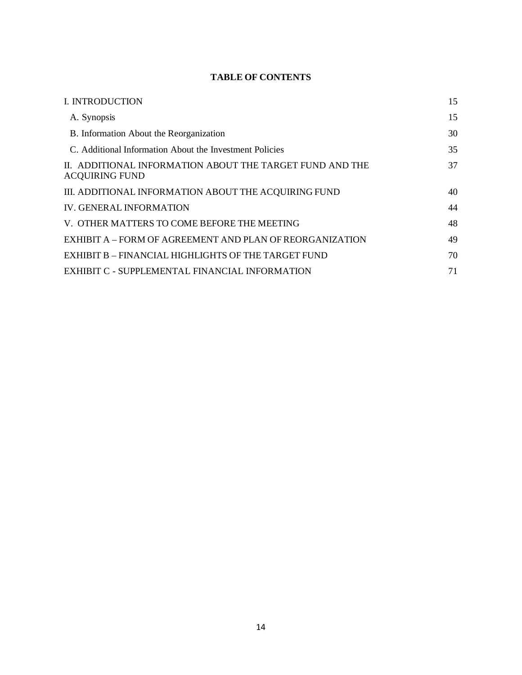# **TABLE OF CONTENTS**

| I. INTRODUCTION                                                                   | 15 |
|-----------------------------------------------------------------------------------|----|
| A. Synopsis                                                                       | 15 |
| B. Information About the Reorganization                                           | 30 |
| C. Additional Information About the Investment Policies                           | 35 |
| II. ADDITIONAL INFORMATION ABOUT THE TARGET FUND AND THE<br><b>ACQUIRING FUND</b> | 37 |
| III. ADDITIONAL INFORMATION ABOUT THE ACQUIRING FUND                              | 40 |
| <b>IV. GENERAL INFORMATION</b>                                                    | 44 |
| V. OTHER MATTERS TO COME BEFORE THE MEETING                                       | 48 |
| EXHIBIT A – FORM OF AGREEMENT AND PLAN OF REORGANIZATION                          | 49 |
| EXHIBIT B – FINANCIAL HIGHLIGHTS OF THE TARGET FUND                               | 70 |
| EXHIBIT C - SUPPLEMENTAL FINANCIAL INFORMATION                                    | 71 |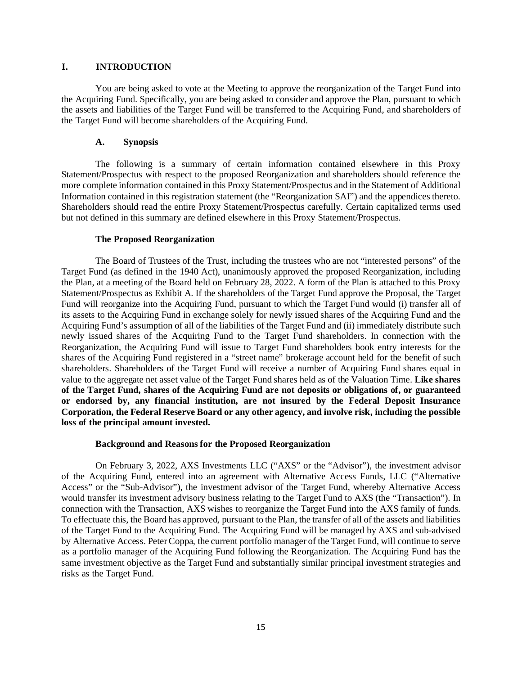## **I. INTRODUCTION**

You are being asked to vote at the Meeting to approve the reorganization of the Target Fund into the Acquiring Fund. Specifically, you are being asked to consider and approve the Plan, pursuant to which the assets and liabilities of the Target Fund will be transferred to the Acquiring Fund, and shareholders of the Target Fund will become shareholders of the Acquiring Fund.

## **A. Synopsis**

The following is a summary of certain information contained elsewhere in this Proxy Statement/Prospectus with respect to the proposed Reorganization and shareholders should reference the more complete information contained in this Proxy Statement/Prospectus and in the Statement of Additional Information contained in this registration statement (the "Reorganization SAI") and the appendices thereto. Shareholders should read the entire Proxy Statement/Prospectus carefully. Certain capitalized terms used but not defined in this summary are defined elsewhere in this Proxy Statement/Prospectus.

## **The Proposed Reorganization**

The Board of Trustees of the Trust, including the trustees who are not "interested persons" of the Target Fund (as defined in the 1940 Act), unanimously approved the proposed Reorganization, including the Plan, at a meeting of the Board held on February 28, 2022. A form of the Plan is attached to this Proxy Statement/Prospectus as Exhibit A. If the shareholders of the Target Fund approve the Proposal, the Target Fund will reorganize into the Acquiring Fund, pursuant to which the Target Fund would (i) transfer all of its assets to the Acquiring Fund in exchange solely for newly issued shares of the Acquiring Fund and the Acquiring Fund's assumption of all of the liabilities of the Target Fund and (ii) immediately distribute such newly issued shares of the Acquiring Fund to the Target Fund shareholders. In connection with the Reorganization, the Acquiring Fund will issue to Target Fund shareholders book entry interests for the shares of the Acquiring Fund registered in a "street name" brokerage account held for the benefit of such shareholders. Shareholders of the Target Fund will receive a number of Acquiring Fund shares equal in value to the aggregate net asset value of the Target Fund shares held as of the Valuation Time. **Like shares of the Target Fund, shares of the Acquiring Fund are not deposits or obligations of, or guaranteed or endorsed by, any financial institution, are not insured by the Federal Deposit Insurance Corporation, the Federal Reserve Board or any other agency, and involve risk, including the possible loss of the principal amount invested.**

## **Background and Reasons for the Proposed Reorganization**

On February 3, 2022, AXS Investments LLC ("AXS" or the "Advisor"), the investment advisor of the Acquiring Fund, entered into an agreement with Alternative Access Funds, LLC ("Alternative Access" or the "Sub-Advisor"), the investment advisor of the Target Fund, whereby Alternative Access would transfer its investment advisory business relating to the Target Fund to AXS (the "Transaction"). In connection with the Transaction, AXS wishes to reorganize the Target Fund into the AXS family of funds. To effectuate this, the Board has approved, pursuant to the Plan, the transfer of all of the assets and liabilities of the Target Fund to the Acquiring Fund. The Acquiring Fund will be managed by AXS and sub-advised by Alternative Access. Peter Coppa, the current portfolio manager of the Target Fund, will continue to serve as a portfolio manager of the Acquiring Fund following the Reorganization. The Acquiring Fund has the same investment objective as the Target Fund and substantially similar principal investment strategies and risks as the Target Fund.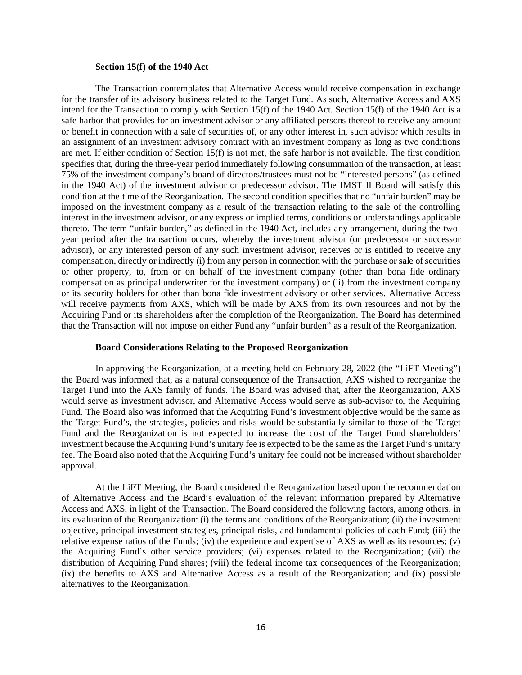#### **Section 15(f) of the 1940 Act**

The Transaction contemplates that Alternative Access would receive compensation in exchange for the transfer of its advisory business related to the Target Fund. As such, Alternative Access and AXS intend for the Transaction to comply with Section 15(f) of the 1940 Act. Section 15(f) of the 1940 Act is a safe harbor that provides for an investment advisor or any affiliated persons thereof to receive any amount or benefit in connection with a sale of securities of, or any other interest in, such advisor which results in an assignment of an investment advisory contract with an investment company as long as two conditions are met. If either condition of Section 15(f) is not met, the safe harbor is not available. The first condition specifies that, during the three-year period immediately following consummation of the transaction, at least 75% of the investment company's board of directors/trustees must not be "interested persons" (as defined in the 1940 Act) of the investment advisor or predecessor advisor. The IMST II Board will satisfy this condition at the time of the Reorganization. The second condition specifies that no "unfair burden" may be imposed on the investment company as a result of the transaction relating to the sale of the controlling interest in the investment advisor, or any express or implied terms, conditions or understandings applicable thereto. The term "unfair burden," as defined in the 1940 Act, includes any arrangement, during the twoyear period after the transaction occurs, whereby the investment advisor (or predecessor or successor advisor), or any interested person of any such investment advisor, receives or is entitled to receive any compensation, directly or indirectly (i) from any person in connection with the purchase or sale of securities or other property, to, from or on behalf of the investment company (other than bona fide ordinary compensation as principal underwriter for the investment company) or (ii) from the investment company or its security holders for other than bona fide investment advisory or other services. Alternative Access will receive payments from AXS, which will be made by AXS from its own resources and not by the Acquiring Fund or its shareholders after the completion of the Reorganization. The Board has determined that the Transaction will not impose on either Fund any "unfair burden" as a result of the Reorganization.

#### **Board Considerations Relating to the Proposed Reorganization**

In approving the Reorganization, at a meeting held on February 28, 2022 (the "LiFT Meeting") the Board was informed that, as a natural consequence of the Transaction, AXS wished to reorganize the Target Fund into the AXS family of funds. The Board was advised that, after the Reorganization, AXS would serve as investment advisor, and Alternative Access would serve as sub-advisor to, the Acquiring Fund. The Board also was informed that the Acquiring Fund's investment objective would be the same as the Target Fund's, the strategies, policies and risks would be substantially similar to those of the Target Fund and the Reorganization is not expected to increase the cost of the Target Fund shareholders' investment because the Acquiring Fund's unitary fee is expected to be the same as the Target Fund's unitary fee. The Board also noted that the Acquiring Fund's unitary fee could not be increased without shareholder approval.

At the LiFT Meeting, the Board considered the Reorganization based upon the recommendation of Alternative Access and the Board's evaluation of the relevant information prepared by Alternative Access and AXS, in light of the Transaction. The Board considered the following factors, among others, in its evaluation of the Reorganization: (i) the terms and conditions of the Reorganization; (ii) the investment objective, principal investment strategies, principal risks, and fundamental policies of each Fund; (iii) the relative expense ratios of the Funds; (iv) the experience and expertise of AXS as well as its resources; (v) the Acquiring Fund's other service providers; (vi) expenses related to the Reorganization; (vii) the distribution of Acquiring Fund shares; (viii) the federal income tax consequences of the Reorganization; (ix) the benefits to AXS and Alternative Access as a result of the Reorganization; and (ix) possible alternatives to the Reorganization.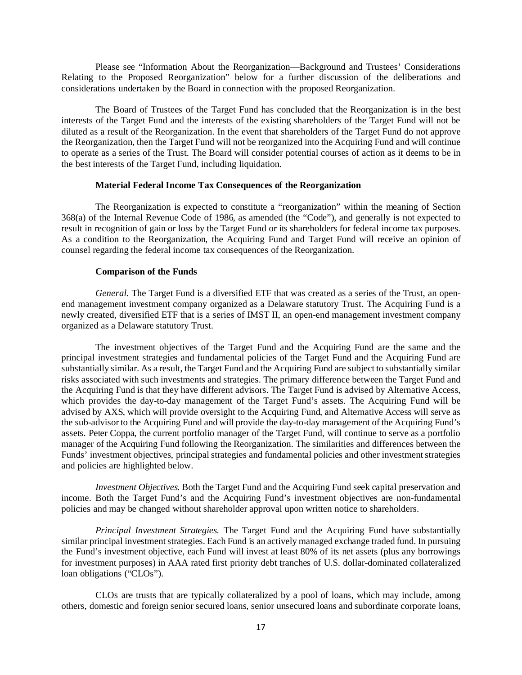Please see "Information About the Reorganization—Background and Trustees' Considerations Relating to the Proposed Reorganization" below for a further discussion of the deliberations and considerations undertaken by the Board in connection with the proposed Reorganization.

The Board of Trustees of the Target Fund has concluded that the Reorganization is in the best interests of the Target Fund and the interests of the existing shareholders of the Target Fund will not be diluted as a result of the Reorganization. In the event that shareholders of the Target Fund do not approve the Reorganization, then the Target Fund will not be reorganized into the Acquiring Fund and will continue to operate as a series of the Trust. The Board will consider potential courses of action as it deems to be in the best interests of the Target Fund, including liquidation.

## **Material Federal Income Tax Consequences of the Reorganization**

The Reorganization is expected to constitute a "reorganization" within the meaning of Section 368(a) of the Internal Revenue Code of 1986, as amended (the "Code"), and generally is not expected to result in recognition of gain or loss by the Target Fund or its shareholders for federal income tax purposes. As a condition to the Reorganization, the Acquiring Fund and Target Fund will receive an opinion of counsel regarding the federal income tax consequences of the Reorganization.

## **Comparison of the Funds**

*General.* The Target Fund is a diversified ETF that was created as a series of the Trust, an openend management investment company organized as a Delaware statutory Trust. The Acquiring Fund is a newly created, diversified ETF that is a series of IMST II, an open-end management investment company organized as a Delaware statutory Trust.

The investment objectives of the Target Fund and the Acquiring Fund are the same and the principal investment strategies and fundamental policies of the Target Fund and the Acquiring Fund are substantially similar. As a result, the Target Fund and the Acquiring Fund are subject to substantially similar risks associated with such investments and strategies. The primary difference between the Target Fund and the Acquiring Fund is that they have different advisors. The Target Fund is advised by Alternative Access, which provides the day-to-day management of the Target Fund's assets. The Acquiring Fund will be advised by AXS, which will provide oversight to the Acquiring Fund, and Alternative Access will serve as the sub-advisor to the Acquiring Fund and will provide the day-to-day management of the Acquiring Fund's assets. Peter Coppa, the current portfolio manager of the Target Fund, will continue to serve as a portfolio manager of the Acquiring Fund following the Reorganization. The similarities and differences between the Funds' investment objectives, principal strategies and fundamental policies and other investment strategies and policies are highlighted below.

*Investment Objectives.* Both the Target Fund and the Acquiring Fund seek capital preservation and income. Both the Target Fund's and the Acquiring Fund's investment objectives are non-fundamental policies and may be changed without shareholder approval upon written notice to shareholders.

*Principal Investment Strategies.* The Target Fund and the Acquiring Fund have substantially similar principal investment strategies. Each Fund is an actively managed exchange traded fund. In pursuing the Fund's investment objective, each Fund will invest at least 80% of its net assets (plus any borrowings for investment purposes) in AAA rated first priority debt tranches of U.S. dollar-dominated collateralized loan obligations ("CLOs").

CLOs are trusts that are typically collateralized by a pool of loans, which may include, among others, domestic and foreign senior secured loans, senior unsecured loans and subordinate corporate loans,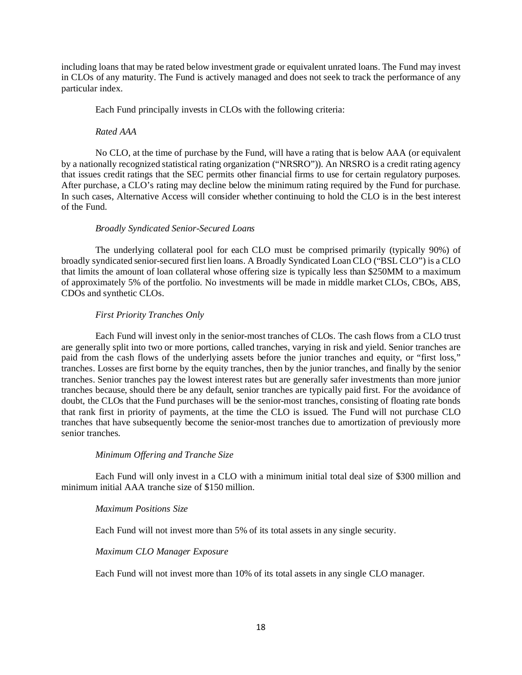including loans that may be rated below investment grade or equivalent unrated loans. The Fund may invest in CLOs of any maturity. The Fund is actively managed and does not seek to track the performance of any particular index.

Each Fund principally invests in CLOs with the following criteria:

#### *Rated AAA*

No CLO, at the time of purchase by the Fund, will have a rating that is below AAA (or equivalent by a nationally recognized statistical rating organization ("NRSRO")). An NRSRO is a credit rating agency that issues credit ratings that the SEC permits other financial firms to use for certain regulatory purposes. After purchase, a CLO's rating may decline below the minimum rating required by the Fund for purchase. In such cases, Alternative Access will consider whether continuing to hold the CLO is in the best interest of the Fund.

## *Broadly Syndicated Senior-Secured Loans*

The underlying collateral pool for each CLO must be comprised primarily (typically 90%) of broadly syndicated senior-secured first lien loans. A Broadly Syndicated Loan CLO ("BSL CLO") is a CLO that limits the amount of loan collateral whose offering size is typically less than \$250MM to a maximum of approximately 5% of the portfolio. No investments will be made in middle market CLOs, CBOs, ABS, CDOs and synthetic CLOs.

## *First Priority Tranches Only*

Each Fund will invest only in the senior-most tranches of CLOs. The cash flows from a CLO trust are generally split into two or more portions, called tranches, varying in risk and yield. Senior tranches are paid from the cash flows of the underlying assets before the junior tranches and equity, or "first loss," tranches. Losses are first borne by the equity tranches, then by the junior tranches, and finally by the senior tranches. Senior tranches pay the lowest interest rates but are generally safer investments than more junior tranches because, should there be any default, senior tranches are typically paid first. For the avoidance of doubt, the CLOs that the Fund purchases will be the senior-most tranches, consisting of floating rate bonds that rank first in priority of payments, at the time the CLO is issued. The Fund will not purchase CLO tranches that have subsequently become the senior-most tranches due to amortization of previously more senior tranches.

## *Minimum Offering and Tranche Size*

Each Fund will only invest in a CLO with a minimum initial total deal size of \$300 million and minimum initial AAA tranche size of \$150 million.

#### *Maximum Positions Size*

Each Fund will not invest more than 5% of its total assets in any single security.

## *Maximum CLO Manager Exposure*

Each Fund will not invest more than 10% of its total assets in any single CLO manager.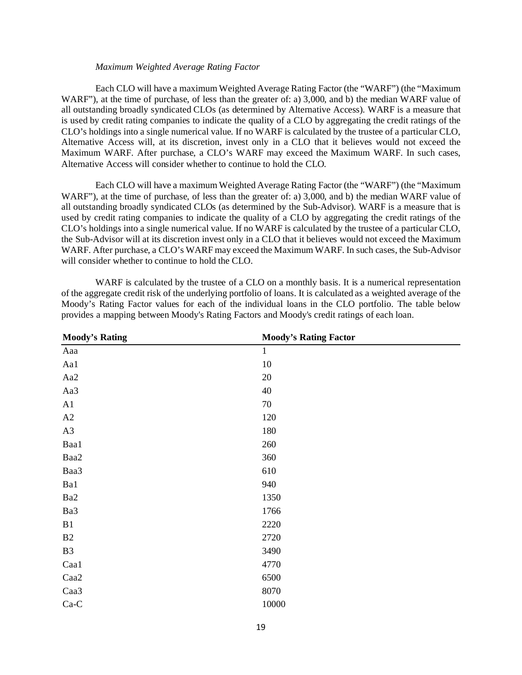#### *Maximum Weighted Average Rating Factor*

Each CLO will have a maximum Weighted Average Rating Factor (the "WARF") (the "Maximum WARF"), at the time of purchase, of less than the greater of: a) 3,000, and b) the median WARF value of all outstanding broadly syndicated CLOs (as determined by Alternative Access). WARF is a measure that is used by credit rating companies to indicate the quality of a CLO by aggregating the credit ratings of the CLO's holdings into a single numerical value. If no WARF is calculated by the trustee of a particular CLO, Alternative Access will, at its discretion, invest only in a CLO that it believes would not exceed the Maximum WARF. After purchase, a CLO's WARF may exceed the Maximum WARF. In such cases, Alternative Access will consider whether to continue to hold the CLO.

Each CLO will have a maximum Weighted Average Rating Factor (the "WARF") (the "Maximum WARF"), at the time of purchase, of less than the greater of: a) 3,000, and b) the median WARF value of all outstanding broadly syndicated CLOs (as determined by the Sub-Advisor). WARF is a measure that is used by credit rating companies to indicate the quality of a CLO by aggregating the credit ratings of the CLO's holdings into a single numerical value. If no WARF is calculated by the trustee of a particular CLO, the Sub-Advisor will at its discretion invest only in a CLO that it believes would not exceed the Maximum WARF. After purchase, a CLO's WARF may exceed the Maximum WARF. In such cases, the Sub-Advisor will consider whether to continue to hold the CLO.

WARF is calculated by the trustee of a CLO on a monthly basis. It is a numerical representation of the aggregate credit risk of the underlying portfolio of loans. It is calculated as a weighted average of the Moody's Rating Factor values for each of the individual loans in the CLO portfolio. The table below provides a mapping between Moody's Rating Factors and Moody's credit ratings of each loan.

| <b>Moody's Rating</b> | <b>Moody's Rating Factor</b> |  |
|-----------------------|------------------------------|--|
| Aaa                   | $\mathbf{1}$                 |  |
| Aa1                   | $10\,$                       |  |
| Aa2                   | 20                           |  |
| Aa3                   | 40                           |  |
| A1                    | 70                           |  |
| A2                    | 120                          |  |
| A3                    | 180                          |  |
| Baa1                  | 260                          |  |
| Baa2                  | 360                          |  |
| Baa3                  | 610                          |  |
| Ba1                   | 940                          |  |
| Ba2                   | 1350                         |  |
| Ba3                   | 1766                         |  |
| B1                    | 2220                         |  |
| B2                    | 2720                         |  |
| B <sub>3</sub>        | 3490                         |  |
| Caa1                  | 4770                         |  |
| Caa2                  | 6500                         |  |
| Caa3                  | 8070                         |  |
| $Ca-C$                | 10000                        |  |
|                       |                              |  |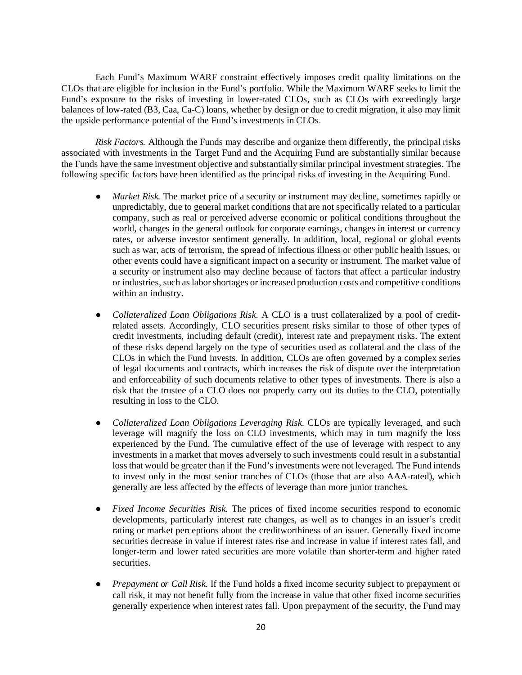Each Fund's Maximum WARF constraint effectively imposes credit quality limitations on the CLOs that are eligible for inclusion in the Fund's portfolio. While the Maximum WARF seeks to limit the Fund's exposure to the risks of investing in lower-rated CLOs, such as CLOs with exceedingly large balances of low-rated (B3, Caa, Ca-C) loans, whether by design or due to credit migration, it also may limit the upside performance potential of the Fund's investments in CLOs.

*Risk Factors.* Although the Funds may describe and organize them differently, the principal risks associated with investments in the Target Fund and the Acquiring Fund are substantially similar because the Funds have the same investment objective and substantially similar principal investment strategies. The following specific factors have been identified as the principal risks of investing in the Acquiring Fund.

- *Market Risk.* The market price of a security or instrument may decline, sometimes rapidly or unpredictably, due to general market conditions that are not specifically related to a particular company, such as real or perceived adverse economic or political conditions throughout the world, changes in the general outlook for corporate earnings, changes in interest or currency rates, or adverse investor sentiment generally. In addition, local, regional or global events such as war, acts of terrorism, the spread of infectious illness or other public health issues, or other events could have a significant impact on a security or instrument. The market value of a security or instrument also may decline because of factors that affect a particular industry or industries, such as labor shortages or increased production costs and competitive conditions within an industry.
- *Collateralized Loan Obligations Risk.* A CLO is a trust collateralized by a pool of creditrelated assets. Accordingly, CLO securities present risks similar to those of other types of credit investments, including default (credit), interest rate and prepayment risks. The extent of these risks depend largely on the type of securities used as collateral and the class of the CLOs in which the Fund invests. In addition, CLOs are often governed by a complex series of legal documents and contracts, which increases the risk of dispute over the interpretation and enforceability of such documents relative to other types of investments. There is also a risk that the trustee of a CLO does not properly carry out its duties to the CLO, potentially resulting in loss to the CLO.
- *Collateralized Loan Obligations Leveraging Risk.* CLOs are typically leveraged, and such leverage will magnify the loss on CLO investments, which may in turn magnify the loss experienced by the Fund. The cumulative effect of the use of leverage with respect to any investments in a market that moves adversely to such investments could result in a substantial loss that would be greater than if the Fund's investments were not leveraged. The Fund intends to invest only in the most senior tranches of CLOs (those that are also AAA-rated), which generally are less affected by the effects of leverage than more junior tranches.
- *Fixed Income Securities Risk.* The prices of fixed income securities respond to economic developments, particularly interest rate changes, as well as to changes in an issuer's credit rating or market perceptions about the creditworthiness of an issuer. Generally fixed income securities decrease in value if interest rates rise and increase in value if interest rates fall, and longer-term and lower rated securities are more volatile than shorter-term and higher rated securities.
- *Prepayment or Call Risk.* If the Fund holds a fixed income security subject to prepayment or call risk, it may not benefit fully from the increase in value that other fixed income securities generally experience when interest rates fall. Upon prepayment of the security, the Fund may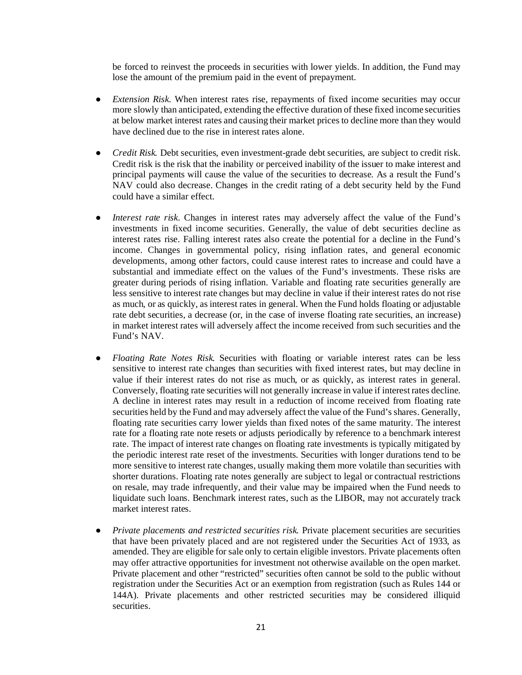be forced to reinvest the proceeds in securities with lower yields. In addition, the Fund may lose the amount of the premium paid in the event of prepayment.

- *Extension Risk.* When interest rates rise, repayments of fixed income securities may occur more slowly than anticipated, extending the effective duration of these fixed income securities at below market interest rates and causing their market prices to decline more than they would have declined due to the rise in interest rates alone.
- *Credit Risk.* Debt securities, even investment-grade debt securities, are subject to credit risk. Credit risk is the risk that the inability or perceived inability of the issuer to make interest and principal payments will cause the value of the securities to decrease. As a result the Fund's NAV could also decrease. Changes in the credit rating of a debt security held by the Fund could have a similar effect.
- *Interest rate risk.* Changes in interest rates may adversely affect the value of the Fund's investments in fixed income securities. Generally, the value of debt securities decline as interest rates rise. Falling interest rates also create the potential for a decline in the Fund's income. Changes in governmental policy, rising inflation rates, and general economic developments, among other factors, could cause interest rates to increase and could have a substantial and immediate effect on the values of the Fund's investments. These risks are greater during periods of rising inflation. Variable and floating rate securities generally are less sensitive to interest rate changes but may decline in value if their interest rates do not rise as much, or as quickly, as interest rates in general. When the Fund holds floating or adjustable rate debt securities, a decrease (or, in the case of inverse floating rate securities, an increase) in market interest rates will adversely affect the income received from such securities and the Fund's NAV.
- *Floating Rate Notes Risk.* Securities with floating or variable interest rates can be less sensitive to interest rate changes than securities with fixed interest rates, but may decline in value if their interest rates do not rise as much, or as quickly, as interest rates in general. Conversely, floating rate securities will not generally increase in value if interest rates decline. A decline in interest rates may result in a reduction of income received from floating rate securities held by the Fund and may adversely affect the value of the Fund's shares. Generally, floating rate securities carry lower yields than fixed notes of the same maturity. The interest rate for a floating rate note resets or adjusts periodically by reference to a benchmark interest rate. The impact of interest rate changes on floating rate investments is typically mitigated by the periodic interest rate reset of the investments. Securities with longer durations tend to be more sensitive to interest rate changes, usually making them more volatile than securities with shorter durations. Floating rate notes generally are subject to legal or contractual restrictions on resale, may trade infrequently, and their value may be impaired when the Fund needs to liquidate such loans. Benchmark interest rates, such as the LIBOR, may not accurately track market interest rates.
- *Private placements and restricted securities risk.* Private placement securities are securities that have been privately placed and are not registered under the Securities Act of 1933, as amended. They are eligible for sale only to certain eligible investors. Private placements often may offer attractive opportunities for investment not otherwise available on the open market. Private placement and other "restricted" securities often cannot be sold to the public without registration under the Securities Act or an exemption from registration (such as Rules 144 or 144A). Private placements and other restricted securities may be considered illiquid securities.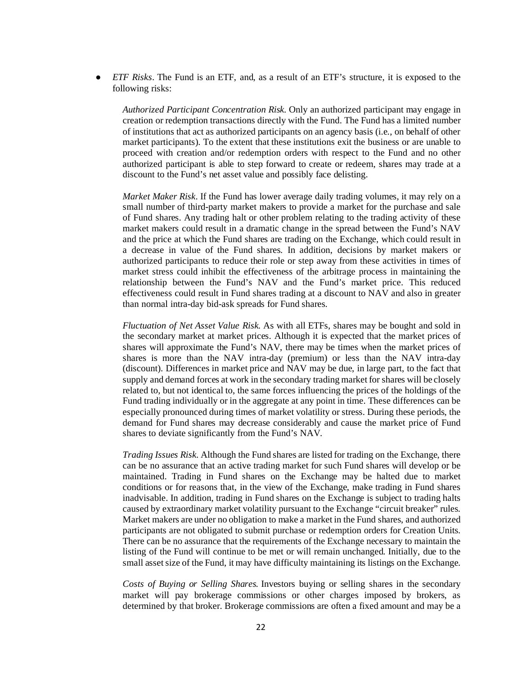● *ETF Risks*. The Fund is an ETF, and, as a result of an ETF's structure, it is exposed to the following risks:

*Authorized Participant Concentration Risk.* Only an authorized participant may engage in creation or redemption transactions directly with the Fund. The Fund has a limited number of institutions that act as authorized participants on an agency basis (i.e., on behalf of other market participants). To the extent that these institutions exit the business or are unable to proceed with creation and/or redemption orders with respect to the Fund and no other authorized participant is able to step forward to create or redeem, shares may trade at a discount to the Fund's net asset value and possibly face delisting.

*Market Maker Risk*. If the Fund has lower average daily trading volumes, it may rely on a small number of third-party market makers to provide a market for the purchase and sale of Fund shares. Any trading halt or other problem relating to the trading activity of these market makers could result in a dramatic change in the spread between the Fund's NAV and the price at which the Fund shares are trading on the Exchange, which could result in a decrease in value of the Fund shares. In addition, decisions by market makers or authorized participants to reduce their role or step away from these activities in times of market stress could inhibit the effectiveness of the arbitrage process in maintaining the relationship between the Fund's NAV and the Fund's market price. This reduced effectiveness could result in Fund shares trading at a discount to NAV and also in greater than normal intra-day bid-ask spreads for Fund shares.

*Fluctuation of Net Asset Value Risk*. As with all ETFs, shares may be bought and sold in the secondary market at market prices. Although it is expected that the market prices of shares will approximate the Fund's NAV, there may be times when the market prices of shares is more than the NAV intra-day (premium) or less than the NAV intra-day (discount). Differences in market price and NAV may be due, in large part, to the fact that supply and demand forces at work in the secondary trading market for shares will be closely related to, but not identical to, the same forces influencing the prices of the holdings of the Fund trading individually or in the aggregate at any point in time. These differences can be especially pronounced during times of market volatility or stress. During these periods, the demand for Fund shares may decrease considerably and cause the market price of Fund shares to deviate significantly from the Fund's NAV.

*Trading Issues Risk.* Although the Fund shares are listed for trading on the Exchange, there can be no assurance that an active trading market for such Fund shares will develop or be maintained. Trading in Fund shares on the Exchange may be halted due to market conditions or for reasons that, in the view of the Exchange, make trading in Fund shares inadvisable. In addition, trading in Fund shares on the Exchange is subject to trading halts caused by extraordinary market volatility pursuant to the Exchange "circuit breaker" rules. Market makers are under no obligation to make a market in the Fund shares, and authorized participants are not obligated to submit purchase or redemption orders for Creation Units. There can be no assurance that the requirements of the Exchange necessary to maintain the listing of the Fund will continue to be met or will remain unchanged. Initially, due to the small asset size of the Fund, it may have difficulty maintaining its listings on the Exchange.

*Costs of Buying or Selling Shares.* Investors buying or selling shares in the secondary market will pay brokerage commissions or other charges imposed by brokers, as determined by that broker. Brokerage commissions are often a fixed amount and may be a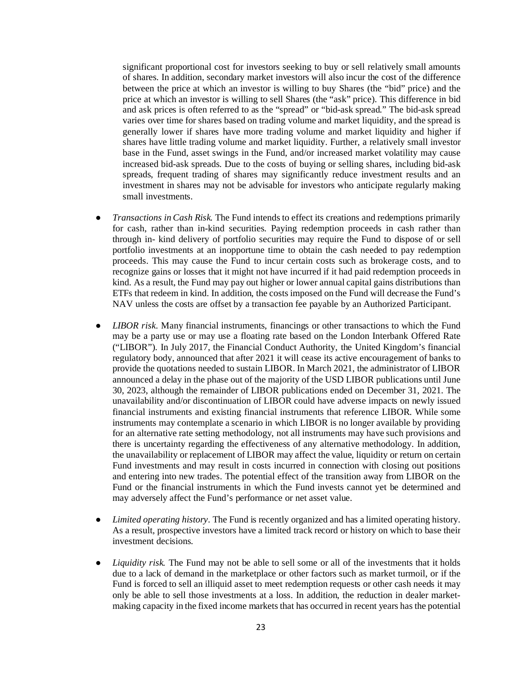significant proportional cost for investors seeking to buy or sell relatively small amounts of shares. In addition, secondary market investors will also incur the cost of the difference between the price at which an investor is willing to buy Shares (the "bid" price) and the price at which an investor is willing to sell Shares (the "ask" price). This difference in bid and ask prices is often referred to as the "spread" or "bid-ask spread." The bid-ask spread varies over time for shares based on trading volume and market liquidity, and the spread is generally lower if shares have more trading volume and market liquidity and higher if shares have little trading volume and market liquidity. Further, a relatively small investor base in the Fund, asset swings in the Fund, and/or increased market volatility may cause increased bid-ask spreads. Due to the costs of buying or selling shares, including bid-ask spreads, frequent trading of shares may significantly reduce investment results and an investment in shares may not be advisable for investors who anticipate regularly making small investments.

- *Transactions in Cash Risk.* The Fund intends to effect its creations and redemptions primarily for cash, rather than in-kind securities. Paying redemption proceeds in cash rather than through in- kind delivery of portfolio securities may require the Fund to dispose of or sell portfolio investments at an inopportune time to obtain the cash needed to pay redemption proceeds. This may cause the Fund to incur certain costs such as brokerage costs, and to recognize gains or losses that it might not have incurred if it had paid redemption proceeds in kind. As a result, the Fund may pay out higher or lower annual capital gains distributions than ETFs that redeem in kind. In addition, the costs imposed on the Fund will decrease the Fund's NAV unless the costs are offset by a transaction fee payable by an Authorized Participant.
- *LIBOR risk.* Many financial instruments, financings or other transactions to which the Fund may be a party use or may use a floating rate based on the London Interbank Offered Rate ("LIBOR"). In July 2017, the Financial Conduct Authority, the United Kingdom's financial regulatory body, announced that after 2021 it will cease its active encouragement of banks to provide the quotations needed to sustain LIBOR. In March 2021, the administrator of LIBOR announced a delay in the phase out of the majority of the USD LIBOR publications until June 30, 2023, although the remainder of LIBOR publications ended on December 31, 2021. The unavailability and/or discontinuation of LIBOR could have adverse impacts on newly issued financial instruments and existing financial instruments that reference LIBOR. While some instruments may contemplate a scenario in which LIBOR is no longer available by providing for an alternative rate setting methodology, not all instruments may have such provisions and there is uncertainty regarding the effectiveness of any alternative methodology. In addition, the unavailability or replacement of LIBOR may affect the value, liquidity or return on certain Fund investments and may result in costs incurred in connection with closing out positions and entering into new trades. The potential effect of the transition away from LIBOR on the Fund or the financial instruments in which the Fund invests cannot yet be determined and may adversely affect the Fund's performance or net asset value.
- Limited operating history. The Fund is recently organized and has a limited operating history. As a result, prospective investors have a limited track record or history on which to base their investment decisions.
- *Liquidity risk.* The Fund may not be able to sell some or all of the investments that it holds due to a lack of demand in the marketplace or other factors such as market turmoil, or if the Fund is forced to sell an illiquid asset to meet redemption requests or other cash needs it may only be able to sell those investments at a loss. In addition, the reduction in dealer marketmaking capacity in the fixed income markets that has occurred in recent years has the potential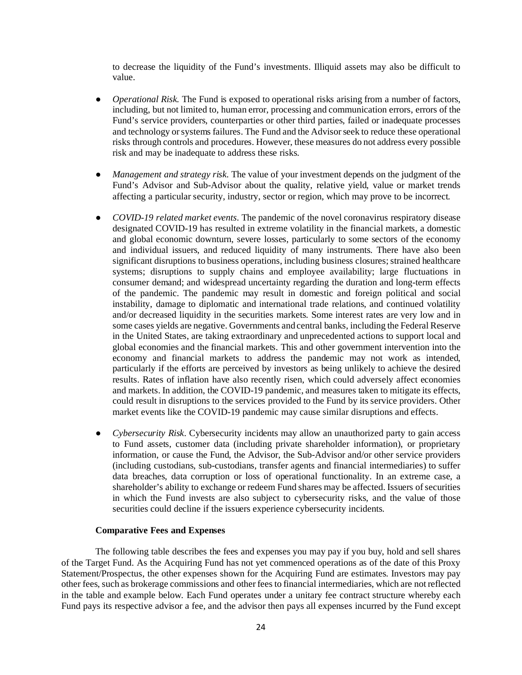to decrease the liquidity of the Fund's investments. Illiquid assets may also be difficult to value.

- *Operational Risk*. The Fund is exposed to operational risks arising from a number of factors, including, but not limited to, human error, processing and communication errors, errors of the Fund's service providers, counterparties or other third parties, failed or inadequate processes and technology or systems failures. The Fund and the Advisor seek to reduce these operational risks through controls and procedures. However, these measures do not address every possible risk and may be inadequate to address these risks.
- *Management and strategy risk.* The value of your investment depends on the judgment of the Fund's Advisor and Sub-Advisor about the quality, relative yield, value or market trends affecting a particular security, industry, sector or region, which may prove to be incorrect.
- *COVID-19 related market events.* The pandemic of the novel coronavirus respiratory disease designated COVID-19 has resulted in extreme volatility in the financial markets, a domestic and global economic downturn, severe losses, particularly to some sectors of the economy and individual issuers, and reduced liquidity of many instruments. There have also been significant disruptions to business operations, including business closures; strained healthcare systems; disruptions to supply chains and employee availability; large fluctuations in consumer demand; and widespread uncertainty regarding the duration and long-term effects of the pandemic. The pandemic may result in domestic and foreign political and social instability, damage to diplomatic and international trade relations, and continued volatility and/or decreased liquidity in the securities markets. Some interest rates are very low and in some cases yields are negative. Governments and central banks, including the Federal Reserve in the United States, are taking extraordinary and unprecedented actions to support local and global economies and the financial markets. This and other government intervention into the economy and financial markets to address the pandemic may not work as intended, particularly if the efforts are perceived by investors as being unlikely to achieve the desired results. Rates of inflation have also recently risen, which could adversely affect economies and markets. In addition, the COVID-19 pandemic, and measures taken to mitigate its effects, could result in disruptions to the services provided to the Fund by its service providers. Other market events like the COVID-19 pandemic may cause similar disruptions and effects.
- *Cybersecurity Risk*. Cybersecurity incidents may allow an unauthorized party to gain access to Fund assets, customer data (including private shareholder information), or proprietary information, or cause the Fund, the Advisor, the Sub-Advisor and/or other service providers (including custodians, sub-custodians, transfer agents and financial intermediaries) to suffer data breaches, data corruption or loss of operational functionality. In an extreme case, a shareholder's ability to exchange or redeem Fund shares may be affected. Issuers of securities in which the Fund invests are also subject to cybersecurity risks, and the value of those securities could decline if the issuers experience cybersecurity incidents.

#### **Comparative Fees and Expenses**

The following table describes the fees and expenses you may pay if you buy, hold and sell shares of the Target Fund. As the Acquiring Fund has not yet commenced operations as of the date of this Proxy Statement/Prospectus, the other expenses shown for the Acquiring Fund are estimates. Investors may pay other fees, such as brokerage commissions and other fees to financial intermediaries, which are not reflected in the table and example below. Each Fund operates under a unitary fee contract structure whereby each Fund pays its respective advisor a fee, and the advisor then pays all expenses incurred by the Fund except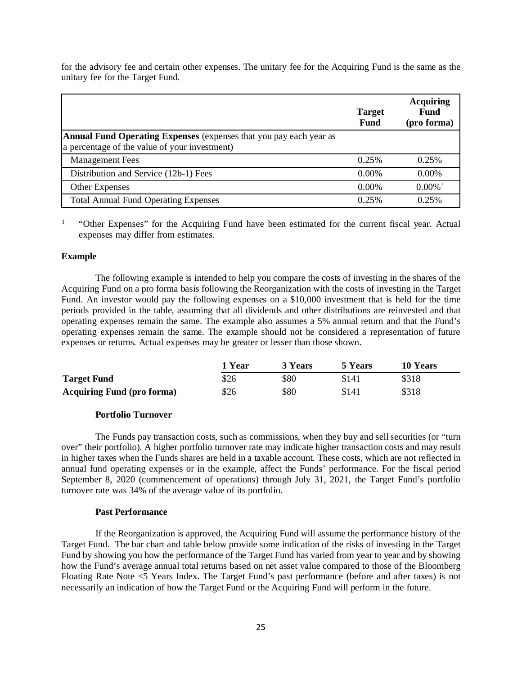for the advisory fee and certain other expenses. The unitary fee for the Acquiring Fund is the same as the unitary fee for the Target Fund.

|                                                                                                                            | Target<br><b>Fund</b> | <b>Acquiring</b><br><b>Fund</b><br>(pro forma) |
|----------------------------------------------------------------------------------------------------------------------------|-----------------------|------------------------------------------------|
| <b>Annual Fund Operating Expenses</b> (expenses that you pay each year as<br>a percentage of the value of your investment) |                       |                                                |
| <b>Management Fees</b>                                                                                                     | 0.25%                 | 0.25%                                          |
| Distribution and Service (12b-1) Fees                                                                                      | 0.00%                 | $0.00\%$                                       |
| Other Expenses                                                                                                             | 0.00%                 | $0.00\%$ <sup>1</sup>                          |
| <b>Total Annual Fund Operating Expenses</b>                                                                                | 0.25%                 | 0.25%                                          |

<sup>1</sup> "Other Expenses" for the Acquiring Fund have been estimated for the current fiscal year. Actual expenses may differ from estimates.

#### **Example**

The following example is intended to help you compare the costs of investing in the shares of the Acquiring Fund on a pro forma basis following the Reorganization with the costs of investing in the Target Fund. An investor would pay the following expenses on a \$10,000 investment that is held for the time periods provided in the table, assuming that all dividends and other distributions are reinvested and that operating expenses remain the same. The example also assumes a 5% annual return and that the Fund's operating expenses remain the same. The example should not be considered a representation of future expenses or returns. Actual expenses may be greater or lesser than those shown.

|                                   | 1 Year | 3 Years | 5 Years | 10 Years |
|-----------------------------------|--------|---------|---------|----------|
| <b>Target Fund</b>                | \$26   | \$80    | \$141   | \$318    |
| <b>Acquiring Fund (pro forma)</b> | \$26   | \$80    | \$141   | \$318    |

#### **Portfolio Turnover**

The Funds pay transaction costs, such as commissions, when they buy and sell securities (or "turn over" their portfolio). A higher portfolio turnover rate may indicate higher transaction costs and may result in higher taxes when the Funds shares are held in a taxable account. These costs, which are not reflected in annual fund operating expenses or in the example, affect the Funds' performance. For the fiscal period September 8, 2020 (commencement of operations) through July 31, 2021, the Target Fund's portfolio turnover rate was 34% of the average value of its portfolio.

#### **Past Performance**

If the Reorganization is approved, the Acquiring Fund will assume the performance history of the Target Fund. The bar chart and table below provide some indication of the risks of investing in the Target Fund by showing you how the performance of the Target Fund has varied from year to year and by showing how the Fund's average annual total returns based on net asset value compared to those of the Bloomberg Floating Rate Note <5 Years Index. The Target Fund's past performance (before and after taxes) is not necessarily an indication of how the Target Fund or the Acquiring Fund will perform in the future.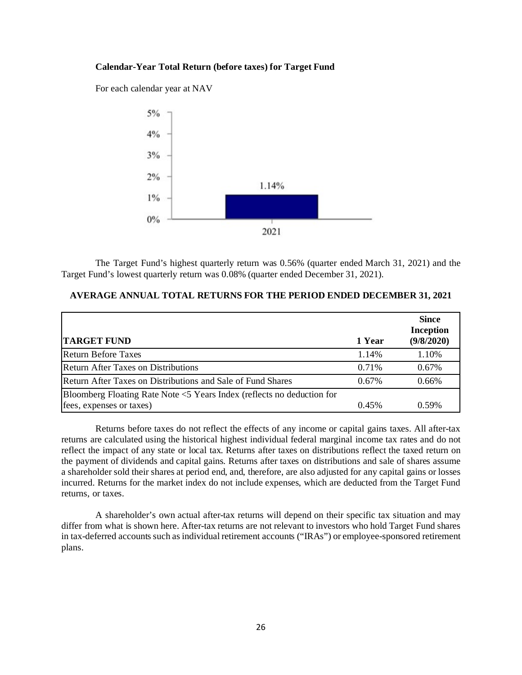## **Calendar-Year Total Return (before taxes) for Target Fund**

For each calendar year at NAV



The Target Fund's highest quarterly return was 0.56% (quarter ended March 31, 2021) and the Target Fund's lowest quarterly return was 0.08% (quarter ended December 31, 2021).

## **AVERAGE ANNUAL TOTAL RETURNS FOR THE PERIOD ENDED DECEMBER 31, 2021**

| <b>TARGET FUND</b>                                                           | 1 Year | <b>Since</b><br><b>Inception</b><br>(9/8/2020) |
|------------------------------------------------------------------------------|--------|------------------------------------------------|
| <b>Return Before Taxes</b>                                                   | 1.14%  | 1.10%                                          |
| <b>Return After Taxes on Distributions</b>                                   | 0.71%  | $0.67\%$                                       |
| Return After Taxes on Distributions and Sale of Fund Shares                  | 0.67%  | 0.66%                                          |
| Bloomberg Floating Rate Note $\leq$ 5 Years Index (reflects no deduction for |        |                                                |
| fees, expenses or taxes)                                                     | 0.45%  | 0.59%                                          |

Returns before taxes do not reflect the effects of any income or capital gains taxes. All after-tax returns are calculated using the historical highest individual federal marginal income tax rates and do not reflect the impact of any state or local tax. Returns after taxes on distributions reflect the taxed return on the payment of dividends and capital gains. Returns after taxes on distributions and sale of shares assume a shareholder sold their shares at period end, and, therefore, are also adjusted for any capital gains or losses incurred. Returns for the market index do not include expenses, which are deducted from the Target Fund returns, or taxes.

A shareholder's own actual after-tax returns will depend on their specific tax situation and may differ from what is shown here. After-tax returns are not relevant to investors who hold Target Fund shares in tax-deferred accounts such as individual retirement accounts ("IRAs") or employee-sponsored retirement plans.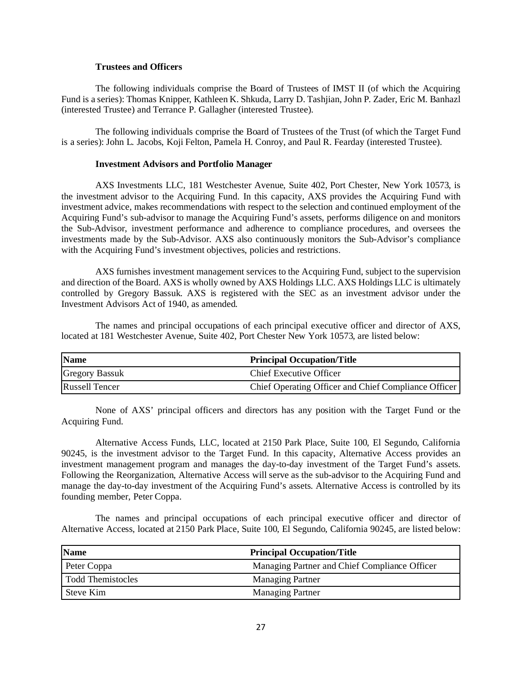## **Trustees and Officers**

The following individuals comprise the Board of Trustees of IMST II (of which the Acquiring Fund is a series): Thomas Knipper, Kathleen K. Shkuda, Larry D. Tashjian, John P. Zader, Eric M. Banhazl (interested Trustee) and Terrance P. Gallagher (interested Trustee).

The following individuals comprise the Board of Trustees of the Trust (of which the Target Fund is a series): John L. Jacobs, Koji Felton, Pamela H. Conroy, and Paul R. Fearday (interested Trustee).

#### **Investment Advisors and Portfolio Manager**

AXS Investments LLC, 181 Westchester Avenue, Suite 402, Port Chester, New York 10573, is the investment advisor to the Acquiring Fund. In this capacity, AXS provides the Acquiring Fund with investment advice, makes recommendations with respect to the selection and continued employment of the Acquiring Fund's sub-advisor to manage the Acquiring Fund's assets, performs diligence on and monitors the Sub-Advisor, investment performance and adherence to compliance procedures, and oversees the investments made by the Sub-Advisor. AXS also continuously monitors the Sub-Advisor's compliance with the Acquiring Fund's investment objectives, policies and restrictions.

AXS furnishes investment management services to the Acquiring Fund, subject to the supervision and direction of the Board. AXS is wholly owned by AXS Holdings LLC. AXS Holdings LLC is ultimately controlled by Gregory Bassuk. AXS is registered with the SEC as an investment advisor under the Investment Advisors Act of 1940, as amended.

The names and principal occupations of each principal executive officer and director of AXS, located at 181 Westchester Avenue, Suite 402, Port Chester New York 10573, are listed below:

| <b>Name</b>           | <b>Principal Occupation/Title</b>                    |
|-----------------------|------------------------------------------------------|
| <b>Gregory Bassuk</b> | <b>Chief Executive Officer</b>                       |
| <b>Russell Tencer</b> | Chief Operating Officer and Chief Compliance Officer |

None of AXS' principal officers and directors has any position with the Target Fund or the Acquiring Fund.

Alternative Access Funds, LLC, located at 2150 Park Place, Suite 100, El Segundo, California 90245, is the investment advisor to the Target Fund. In this capacity, Alternative Access provides an investment management program and manages the day-to-day investment of the Target Fund's assets. Following the Reorganization, Alternative Access will serve as the sub-advisor to the Acquiring Fund and manage the day-to-day investment of the Acquiring Fund's assets. Alternative Access is controlled by its founding member, Peter Coppa.

The names and principal occupations of each principal executive officer and director of Alternative Access, located at 2150 Park Place, Suite 100, El Segundo, California 90245, are listed below:

| <b>Name</b>       | <b>Principal Occupation/Title</b>             |  |
|-------------------|-----------------------------------------------|--|
| Peter Coppa       | Managing Partner and Chief Compliance Officer |  |
| Todd Themistocles | <b>Managing Partner</b>                       |  |
| Steve Kim         | <b>Managing Partner</b>                       |  |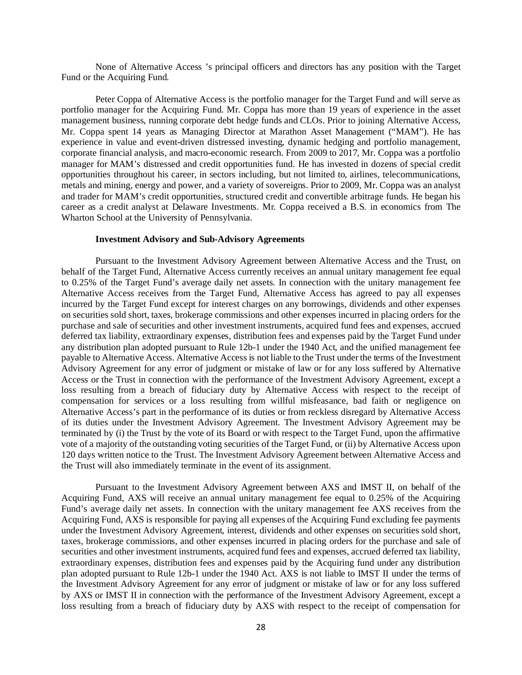None of Alternative Access 's principal officers and directors has any position with the Target Fund or the Acquiring Fund.

Peter Coppa of Alternative Access is the portfolio manager for the Target Fund and will serve as portfolio manager for the Acquiring Fund. Mr. Coppa has more than 19 years of experience in the asset management business, running corporate debt hedge funds and CLOs. Prior to joining Alternative Access, Mr. Coppa spent 14 years as Managing Director at Marathon Asset Management ("MAM"). He has experience in value and event-driven distressed investing, dynamic hedging and portfolio management, corporate financial analysis, and macro-economic research. From 2009 to 2017, Mr. Coppa was a portfolio manager for MAM's distressed and credit opportunities fund. He has invested in dozens of special credit opportunities throughout his career, in sectors including, but not limited to, airlines, telecommunications, metals and mining, energy and power, and a variety of sovereigns. Prior to 2009, Mr. Coppa was an analyst and trader for MAM's credit opportunities, structured credit and convertible arbitrage funds. He began his career as a credit analyst at Delaware Investments. Mr. Coppa received a B.S. in economics from The Wharton School at the University of Pennsylvania.

## **Investment Advisory and Sub-Advisory Agreements**

Pursuant to the Investment Advisory Agreement between Alternative Access and the Trust, on behalf of the Target Fund, Alternative Access currently receives an annual unitary management fee equal to 0.25% of the Target Fund's average daily net assets. In connection with the unitary management fee Alternative Access receives from the Target Fund, Alternative Access has agreed to pay all expenses incurred by the Target Fund except for interest charges on any borrowings, dividends and other expenses on securities sold short, taxes, brokerage commissions and other expenses incurred in placing orders for the purchase and sale of securities and other investment instruments, acquired fund fees and expenses, accrued deferred tax liability, extraordinary expenses, distribution fees and expenses paid by the Target Fund under any distribution plan adopted pursuant to Rule 12b-1 under the 1940 Act, and the unified management fee payable to Alternative Access. Alternative Access is not liable to the Trust under the terms of the Investment Advisory Agreement for any error of judgment or mistake of law or for any loss suffered by Alternative Access or the Trust in connection with the performance of the Investment Advisory Agreement, except a loss resulting from a breach of fiduciary duty by Alternative Access with respect to the receipt of compensation for services or a loss resulting from willful misfeasance, bad faith or negligence on Alternative Access's part in the performance of its duties or from reckless disregard by Alternative Access of its duties under the Investment Advisory Agreement. The Investment Advisory Agreement may be terminated by (i) the Trust by the vote of its Board or with respect to the Target Fund, upon the affirmative vote of a majority of the outstanding voting securities of the Target Fund, or (ii) by Alternative Access upon 120 days written notice to the Trust. The Investment Advisory Agreement between Alternative Access and the Trust will also immediately terminate in the event of its assignment.

Pursuant to the Investment Advisory Agreement between AXS and IMST II, on behalf of the Acquiring Fund, AXS will receive an annual unitary management fee equal to 0.25% of the Acquiring Fund's average daily net assets. In connection with the unitary management fee AXS receives from the Acquiring Fund, AXS is responsible for paying all expenses of the Acquiring Fund excluding fee payments under the Investment Advisory Agreement, interest, dividends and other expenses on securities sold short, taxes, brokerage commissions, and other expenses incurred in placing orders for the purchase and sale of securities and other investment instruments, acquired fund fees and expenses, accrued deferred tax liability, extraordinary expenses, distribution fees and expenses paid by the Acquiring fund under any distribution plan adopted pursuant to Rule 12b-1 under the 1940 Act. AXS is not liable to IMST II under the terms of the Investment Advisory Agreement for any error of judgment or mistake of law or for any loss suffered by AXS or IMST II in connection with the performance of the Investment Advisory Agreement, except a loss resulting from a breach of fiduciary duty by AXS with respect to the receipt of compensation for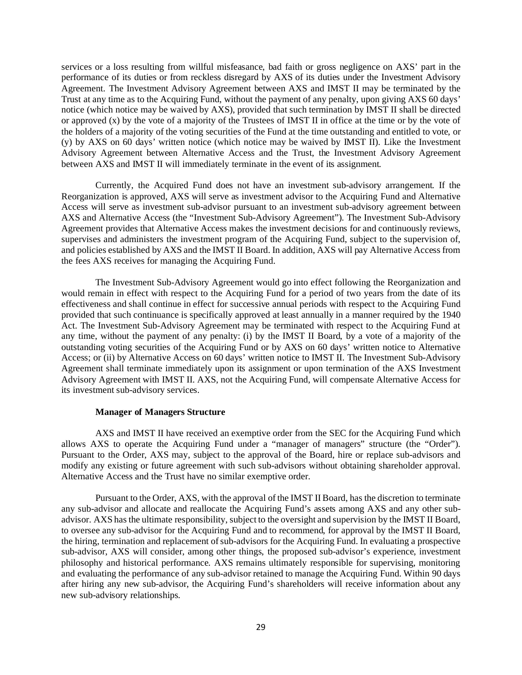services or a loss resulting from willful misfeasance, bad faith or gross negligence on AXS' part in the performance of its duties or from reckless disregard by AXS of its duties under the Investment Advisory Agreement. The Investment Advisory Agreement between AXS and IMST II may be terminated by the Trust at any time as to the Acquiring Fund, without the payment of any penalty, upon giving AXS 60 days' notice (which notice may be waived by AXS), provided that such termination by IMST II shall be directed or approved (x) by the vote of a majority of the Trustees of IMST II in office at the time or by the vote of the holders of a majority of the voting securities of the Fund at the time outstanding and entitled to vote, or (y) by AXS on 60 days' written notice (which notice may be waived by IMST II). Like the Investment Advisory Agreement between Alternative Access and the Trust, the Investment Advisory Agreement between AXS and IMST II will immediately terminate in the event of its assignment.

Currently, the Acquired Fund does not have an investment sub-advisory arrangement. If the Reorganization is approved, AXS will serve as investment advisor to the Acquiring Fund and Alternative Access will serve as investment sub-advisor pursuant to an investment sub-advisory agreement between AXS and Alternative Access (the "Investment Sub-Advisory Agreement"). The Investment Sub-Advisory Agreement provides that Alternative Access makes the investment decisions for and continuously reviews, supervises and administers the investment program of the Acquiring Fund, subject to the supervision of, and policies established by AXS and the IMST II Board. In addition, AXS will pay Alternative Access from the fees AXS receives for managing the Acquiring Fund.

The Investment Sub-Advisory Agreement would go into effect following the Reorganization and would remain in effect with respect to the Acquiring Fund for a period of two years from the date of its effectiveness and shall continue in effect for successive annual periods with respect to the Acquiring Fund provided that such continuance is specifically approved at least annually in a manner required by the 1940 Act. The Investment Sub-Advisory Agreement may be terminated with respect to the Acquiring Fund at any time, without the payment of any penalty: (i) by the IMST II Board, by a vote of a majority of the outstanding voting securities of the Acquiring Fund or by AXS on 60 days' written notice to Alternative Access; or (ii) by Alternative Access on 60 days' written notice to IMST II. The Investment Sub-Advisory Agreement shall terminate immediately upon its assignment or upon termination of the AXS Investment Advisory Agreement with IMST II. AXS, not the Acquiring Fund, will compensate Alternative Access for its investment sub-advisory services.

#### **Manager of Managers Structure**

AXS and IMST II have received an exemptive order from the SEC for the Acquiring Fund which allows AXS to operate the Acquiring Fund under a "manager of managers" structure (the "Order"). Pursuant to the Order, AXS may, subject to the approval of the Board, hire or replace sub-advisors and modify any existing or future agreement with such sub-advisors without obtaining shareholder approval. Alternative Access and the Trust have no similar exemptive order.

Pursuant to the Order, AXS, with the approval of the IMST II Board, has the discretion to terminate any sub-advisor and allocate and reallocate the Acquiring Fund's assets among AXS and any other subadvisor. AXS has the ultimate responsibility, subject to the oversight and supervision by the IMST II Board, to oversee any sub-advisor for the Acquiring Fund and to recommend, for approval by the IMST II Board, the hiring, termination and replacement of sub-advisors for the Acquiring Fund. In evaluating a prospective sub-advisor, AXS will consider, among other things, the proposed sub-advisor's experience, investment philosophy and historical performance. AXS remains ultimately responsible for supervising, monitoring and evaluating the performance of any sub-advisor retained to manage the Acquiring Fund. Within 90 days after hiring any new sub-advisor, the Acquiring Fund's shareholders will receive information about any new sub-advisory relationships.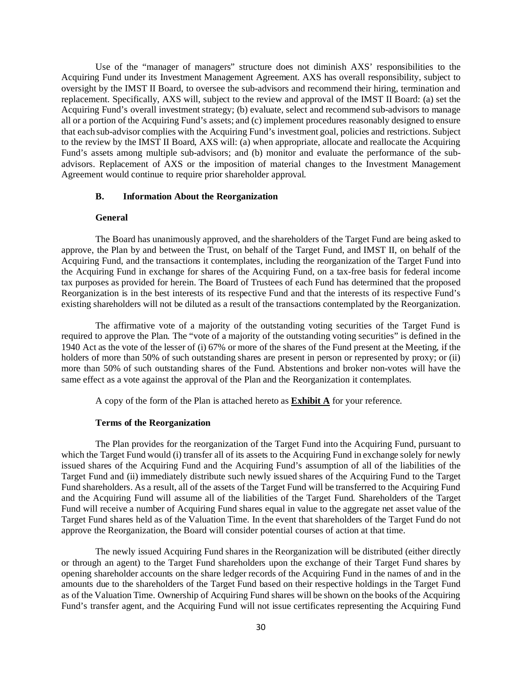Use of the "manager of managers" structure does not diminish AXS' responsibilities to the Acquiring Fund under its Investment Management Agreement. AXS has overall responsibility, subject to oversight by the IMST II Board, to oversee the sub-advisors and recommend their hiring, termination and replacement. Specifically, AXS will, subject to the review and approval of the IMST II Board: (a) set the Acquiring Fund's overall investment strategy; (b) evaluate, select and recommend sub-advisors to manage all or a portion of the Acquiring Fund's assets; and (c) implement procedures reasonably designed to ensure that each sub-advisor complies with the Acquiring Fund's investment goal, policies and restrictions. Subject to the review by the IMST II Board, AXS will: (a) when appropriate, allocate and reallocate the Acquiring Fund's assets among multiple sub-advisors; and (b) monitor and evaluate the performance of the subadvisors. Replacement of AXS or the imposition of material changes to the Investment Management Agreement would continue to require prior shareholder approval.

## **B. Information About the Reorganization**

#### **General**

The Board has unanimously approved, and the shareholders of the Target Fund are being asked to approve, the Plan by and between the Trust, on behalf of the Target Fund, and IMST II, on behalf of the Acquiring Fund, and the transactions it contemplates, including the reorganization of the Target Fund into the Acquiring Fund in exchange for shares of the Acquiring Fund, on a tax-free basis for federal income tax purposes as provided for herein. The Board of Trustees of each Fund has determined that the proposed Reorganization is in the best interests of its respective Fund and that the interests of its respective Fund's existing shareholders will not be diluted as a result of the transactions contemplated by the Reorganization.

The affirmative vote of a majority of the outstanding voting securities of the Target Fund is required to approve the Plan. The "vote of a majority of the outstanding voting securities" is defined in the 1940 Act as the vote of the lesser of (i) 67% or more of the shares of the Fund present at the Meeting, if the holders of more than 50% of such outstanding shares are present in person or represented by proxy; or (ii) more than 50% of such outstanding shares of the Fund. Abstentions and broker non-votes will have the same effect as a vote against the approval of the Plan and the Reorganization it contemplates.

A copy of the form of the Plan is attached hereto as **Exhibit A** for your reference.

#### **Terms of the Reorganization**

The Plan provides for the reorganization of the Target Fund into the Acquiring Fund, pursuant to which the Target Fund would (i) transfer all of its assets to the Acquiring Fund in exchange solely for newly issued shares of the Acquiring Fund and the Acquiring Fund's assumption of all of the liabilities of the Target Fund and (ii) immediately distribute such newly issued shares of the Acquiring Fund to the Target Fund shareholders. As a result, all of the assets of the Target Fund will be transferred to the Acquiring Fund and the Acquiring Fund will assume all of the liabilities of the Target Fund. Shareholders of the Target Fund will receive a number of Acquiring Fund shares equal in value to the aggregate net asset value of the Target Fund shares held as of the Valuation Time. In the event that shareholders of the Target Fund do not approve the Reorganization, the Board will consider potential courses of action at that time.

The newly issued Acquiring Fund shares in the Reorganization will be distributed (either directly or through an agent) to the Target Fund shareholders upon the exchange of their Target Fund shares by opening shareholder accounts on the share ledger records of the Acquiring Fund in the names of and in the amounts due to the shareholders of the Target Fund based on their respective holdings in the Target Fund as of the Valuation Time. Ownership of Acquiring Fund shares will be shown on the books of the Acquiring Fund's transfer agent, and the Acquiring Fund will not issue certificates representing the Acquiring Fund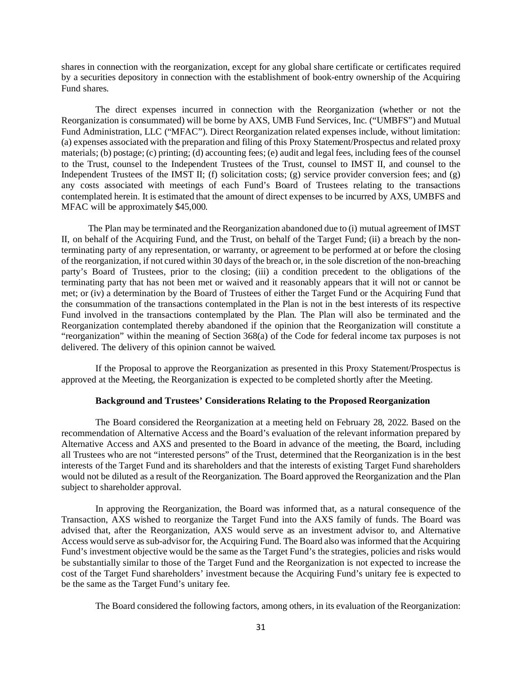shares in connection with the reorganization, except for any global share certificate or certificates required by a securities depository in connection with the establishment of book-entry ownership of the Acquiring Fund shares.

The direct expenses incurred in connection with the Reorganization (whether or not the Reorganization is consummated) will be borne by AXS, UMB Fund Services, Inc. ("UMBFS") and Mutual Fund Administration, LLC ("MFAC"). Direct Reorganization related expenses include, without limitation: (a) expenses associated with the preparation and filing of this Proxy Statement/Prospectus and related proxy materials; (b) postage; (c) printing; (d) accounting fees; (e) audit and legal fees, including fees of the counsel to the Trust, counsel to the Independent Trustees of the Trust, counsel to IMST II, and counsel to the Independent Trustees of the IMST II; (f) solicitation costs; (g) service provider conversion fees; and (g) any costs associated with meetings of each Fund's Board of Trustees relating to the transactions contemplated herein. It is estimated that the amount of direct expenses to be incurred by AXS, UMBFS and MFAC will be approximately \$45,000.

The Plan may be terminated and the Reorganization abandoned due to (i) mutual agreement of IMST II, on behalf of the Acquiring Fund, and the Trust, on behalf of the Target Fund; (ii) a breach by the nonterminating party of any representation, or warranty, or agreement to be performed at or before the closing of the reorganization, if not cured within 30 days of the breach or, in the sole discretion of the non-breaching party's Board of Trustees, prior to the closing; (iii) a condition precedent to the obligations of the terminating party that has not been met or waived and it reasonably appears that it will not or cannot be met; or (iv) a determination by the Board of Trustees of either the Target Fund or the Acquiring Fund that the consummation of the transactions contemplated in the Plan is not in the best interests of its respective Fund involved in the transactions contemplated by the Plan. The Plan will also be terminated and the Reorganization contemplated thereby abandoned if the opinion that the Reorganization will constitute a "reorganization" within the meaning of Section 368(a) of the Code for federal income tax purposes is not delivered. The delivery of this opinion cannot be waived.

If the Proposal to approve the Reorganization as presented in this Proxy Statement/Prospectus is approved at the Meeting, the Reorganization is expected to be completed shortly after the Meeting.

#### **Background and Trustees' Considerations Relating to the Proposed Reorganization**

The Board considered the Reorganization at a meeting held on February 28, 2022. Based on the recommendation of Alternative Access and the Board's evaluation of the relevant information prepared by Alternative Access and AXS and presented to the Board in advance of the meeting, the Board, including all Trustees who are not "interested persons" of the Trust, determined that the Reorganization is in the best interests of the Target Fund and its shareholders and that the interests of existing Target Fund shareholders would not be diluted as a result of the Reorganization. The Board approved the Reorganization and the Plan subject to shareholder approval.

In approving the Reorganization, the Board was informed that, as a natural consequence of the Transaction, AXS wished to reorganize the Target Fund into the AXS family of funds. The Board was advised that, after the Reorganization, AXS would serve as an investment advisor to, and Alternative Access would serve as sub-advisor for, the Acquiring Fund. The Board also was informed that the Acquiring Fund's investment objective would be the same as the Target Fund's the strategies, policies and risks would be substantially similar to those of the Target Fund and the Reorganization is not expected to increase the cost of the Target Fund shareholders' investment because the Acquiring Fund's unitary fee is expected to be the same as the Target Fund's unitary fee.

The Board considered the following factors, among others, in its evaluation of the Reorganization: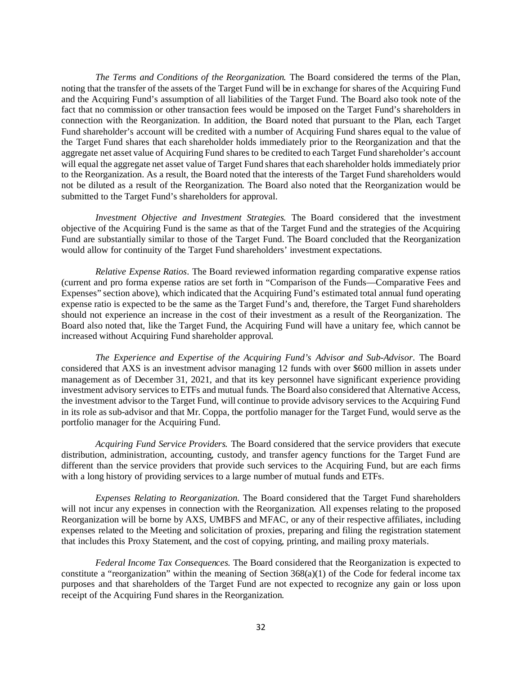*The Terms and Conditions of the Reorganization.* The Board considered the terms of the Plan, noting that the transfer of the assets of the Target Fund will be in exchange for shares of the Acquiring Fund and the Acquiring Fund's assumption of all liabilities of the Target Fund. The Board also took note of the fact that no commission or other transaction fees would be imposed on the Target Fund's shareholders in connection with the Reorganization. In addition, the Board noted that pursuant to the Plan, each Target Fund shareholder's account will be credited with a number of Acquiring Fund shares equal to the value of the Target Fund shares that each shareholder holds immediately prior to the Reorganization and that the aggregate net asset value of Acquiring Fund shares to be credited to each Target Fund shareholder's account will equal the aggregate net asset value of Target Fund shares that each shareholder holds immediately prior to the Reorganization. As a result, the Board noted that the interests of the Target Fund shareholders would not be diluted as a result of the Reorganization. The Board also noted that the Reorganization would be submitted to the Target Fund's shareholders for approval.

*Investment Objective and Investment Strategies.* The Board considered that the investment objective of the Acquiring Fund is the same as that of the Target Fund and the strategies of the Acquiring Fund are substantially similar to those of the Target Fund. The Board concluded that the Reorganization would allow for continuity of the Target Fund shareholders' investment expectations.

*Relative Expense Ratios.* The Board reviewed information regarding comparative expense ratios (current and pro forma expense ratios are set forth in "Comparison of the Funds—Comparative Fees and Expenses" section above), which indicated that the Acquiring Fund's estimated total annual fund operating expense ratio is expected to be the same as the Target Fund's and, therefore, the Target Fund shareholders should not experience an increase in the cost of their investment as a result of the Reorganization. The Board also noted that, like the Target Fund, the Acquiring Fund will have a unitary fee, which cannot be increased without Acquiring Fund shareholder approval.

*The Experience and Expertise of the Acquiring Fund's Advisor and Sub-Advisor.* The Board considered that AXS is an investment advisor managing 12 funds with over \$600 million in assets under management as of December 31, 2021, and that its key personnel have significant experience providing investment advisory services to ETFs and mutual funds. The Board also considered that Alternative Access, the investment advisor to the Target Fund, will continue to provide advisory services to the Acquiring Fund in its role as sub-advisor and that Mr. Coppa, the portfolio manager for the Target Fund, would serve as the portfolio manager for the Acquiring Fund.

*Acquiring Fund Service Providers.* The Board considered that the service providers that execute distribution, administration, accounting, custody, and transfer agency functions for the Target Fund are different than the service providers that provide such services to the Acquiring Fund, but are each firms with a long history of providing services to a large number of mutual funds and ETFs.

*Expenses Relating to Reorganization.* The Board considered that the Target Fund shareholders will not incur any expenses in connection with the Reorganization. All expenses relating to the proposed Reorganization will be borne by AXS, UMBFS and MFAC, or any of their respective affiliates, including expenses related to the Meeting and solicitation of proxies, preparing and filing the registration statement that includes this Proxy Statement, and the cost of copying, printing, and mailing proxy materials.

*Federal Income Tax Consequences.* The Board considered that the Reorganization is expected to constitute a "reorganization" within the meaning of Section  $368(a)(1)$  of the Code for federal income tax purposes and that shareholders of the Target Fund are not expected to recognize any gain or loss upon receipt of the Acquiring Fund shares in the Reorganization.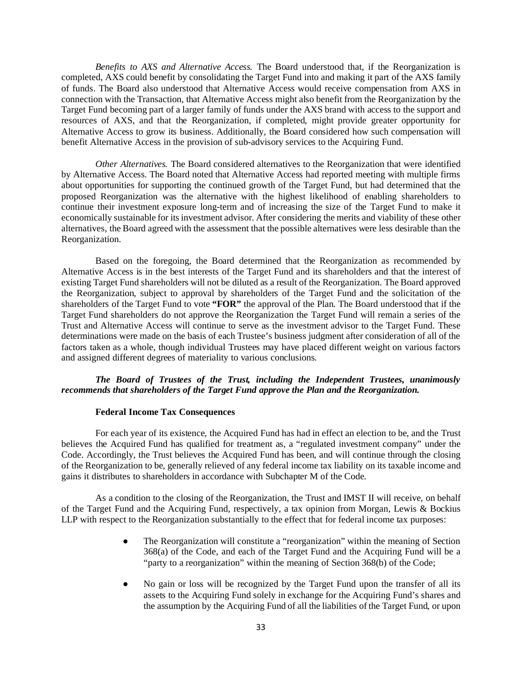*Benefits to AXS and Alternative Access.* The Board understood that, if the Reorganization is completed, AXS could benefit by consolidating the Target Fund into and making it part of the AXS family of funds. The Board also understood that Alternative Access would receive compensation from AXS in connection with the Transaction, that Alternative Access might also benefit from the Reorganization by the Target Fund becoming part of a larger family of funds under the AXS brand with access to the support and resources of AXS, and that the Reorganization, if completed, might provide greater opportunity for Alternative Access to grow its business. Additionally, the Board considered how such compensation will benefit Alternative Access in the provision of sub-advisory services to the Acquiring Fund.

*Other Alternatives.* The Board considered alternatives to the Reorganization that were identified by Alternative Access. The Board noted that Alternative Access had reported meeting with multiple firms about opportunities for supporting the continued growth of the Target Fund, but had determined that the proposed Reorganization was the alternative with the highest likelihood of enabling shareholders to continue their investment exposure long-term and of increasing the size of the Target Fund to make it economically sustainable for its investment advisor. After considering the merits and viability of these other alternatives, the Board agreed with the assessment that the possible alternatives were less desirable than the Reorganization.

Based on the foregoing, the Board determined that the Reorganization as recommended by Alternative Access is in the best interests of the Target Fund and its shareholders and that the interest of existing Target Fund shareholders will not be diluted as a result of the Reorganization. The Board approved the Reorganization, subject to approval by shareholders of the Target Fund and the solicitation of the shareholders of the Target Fund to vote **"FOR"** the approval of the Plan. The Board understood that if the Target Fund shareholders do not approve the Reorganization the Target Fund will remain a series of the Trust and Alternative Access will continue to serve as the investment advisor to the Target Fund. These determinations were made on the basis of each Trustee's business judgment after consideration of all of the factors taken as a whole, though individual Trustees may have placed different weight on various factors and assigned different degrees of materiality to various conclusions.

## *The Board of Trustees of the Trust, including the Independent Trustees, unanimously recommends that shareholders of the Target Fund approve the Plan and the Reorganization.*

#### **Federal Income Tax Consequences**

For each year of its existence, the Acquired Fund has had in effect an election to be, and the Trust believes the Acquired Fund has qualified for treatment as, a "regulated investment company" under the Code. Accordingly, the Trust believes the Acquired Fund has been, and will continue through the closing of the Reorganization to be, generally relieved of any federal income tax liability on its taxable income and gains it distributes to shareholders in accordance with Subchapter M of the Code.

As a condition to the closing of the Reorganization, the Trust and IMST II will receive, on behalf of the Target Fund and the Acquiring Fund, respectively, a tax opinion from Morgan, Lewis & Bockius LLP with respect to the Reorganization substantially to the effect that for federal income tax purposes:

- The Reorganization will constitute a "reorganization" within the meaning of Section 368(a) of the Code, and each of the Target Fund and the Acquiring Fund will be a "party to a reorganization" within the meaning of Section 368(b) of the Code;
- No gain or loss will be recognized by the Target Fund upon the transfer of all its assets to the Acquiring Fund solely in exchange for the Acquiring Fund's shares and the assumption by the Acquiring Fund of all the liabilities of the Target Fund, or upon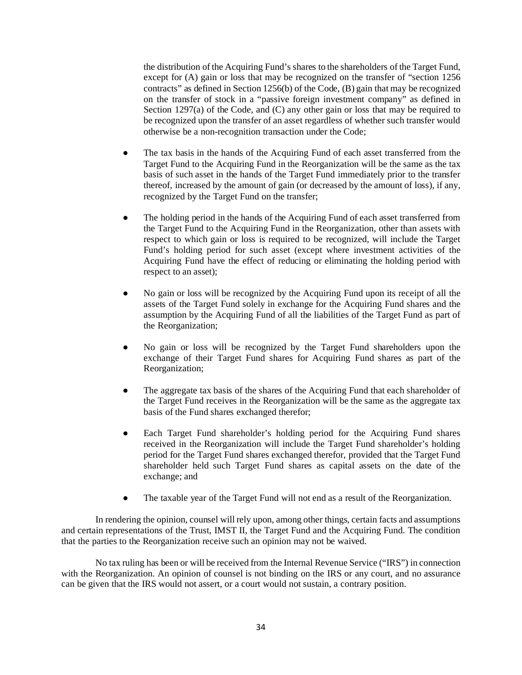the distribution of the Acquiring Fund's shares to the shareholders of the Target Fund, except for (A) gain or loss that may be recognized on the transfer of "section 1256 contracts" as defined in Section 1256(b) of the Code, (B) gain that may be recognized on the transfer of stock in a "passive foreign investment company" as defined in Section 1297(a) of the Code, and (C) any other gain or loss that may be required to be recognized upon the transfer of an asset regardless of whether such transfer would otherwise be a non-recognition transaction under the Code;

- The tax basis in the hands of the Acquiring Fund of each asset transferred from the Target Fund to the Acquiring Fund in the Reorganization will be the same as the tax basis of such asset in the hands of the Target Fund immediately prior to the transfer thereof, increased by the amount of gain (or decreased by the amount of loss), if any, recognized by the Target Fund on the transfer;
- The holding period in the hands of the Acquiring Fund of each asset transferred from the Target Fund to the Acquiring Fund in the Reorganization, other than assets with respect to which gain or loss is required to be recognized, will include the Target Fund's holding period for such asset (except where investment activities of the Acquiring Fund have the effect of reducing or eliminating the holding period with respect to an asset);
- No gain or loss will be recognized by the Acquiring Fund upon its receipt of all the assets of the Target Fund solely in exchange for the Acquiring Fund shares and the assumption by the Acquiring Fund of all the liabilities of the Target Fund as part of the Reorganization;
- No gain or loss will be recognized by the Target Fund shareholders upon the exchange of their Target Fund shares for Acquiring Fund shares as part of the Reorganization;
- The aggregate tax basis of the shares of the Acquiring Fund that each shareholder of the Target Fund receives in the Reorganization will be the same as the aggregate tax basis of the Fund shares exchanged therefor;
- Each Target Fund shareholder's holding period for the Acquiring Fund shares received in the Reorganization will include the Target Fund shareholder's holding period for the Target Fund shares exchanged therefor, provided that the Target Fund shareholder held such Target Fund shares as capital assets on the date of the exchange; and
- The taxable year of the Target Fund will not end as a result of the Reorganization.

In rendering the opinion, counsel will rely upon, among other things, certain facts and assumptions and certain representations of the Trust, IMST II, the Target Fund and the Acquiring Fund. The condition that the parties to the Reorganization receive such an opinion may not be waived.

No tax ruling has been or will be received from the Internal Revenue Service ("IRS") in connection with the Reorganization. An opinion of counsel is not binding on the IRS or any court, and no assurance can be given that the IRS would not assert, or a court would not sustain, a contrary position.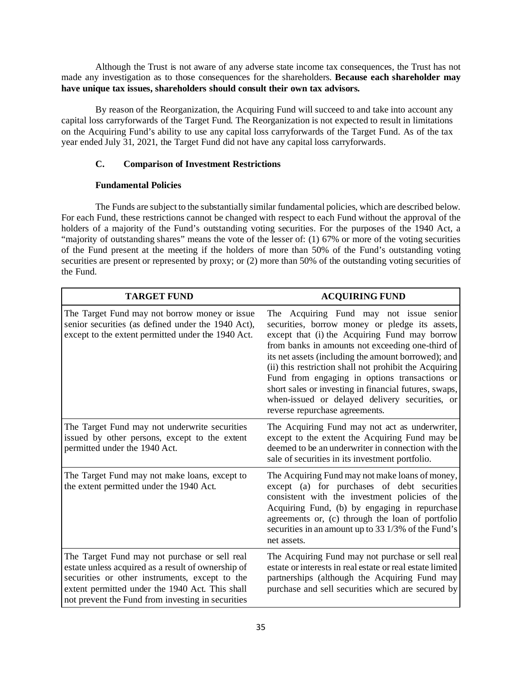Although the Trust is not aware of any adverse state income tax consequences, the Trust has not made any investigation as to those consequences for the shareholders. **Because each shareholder may have unique tax issues, shareholders should consult their own tax advisors.**

By reason of the Reorganization, the Acquiring Fund will succeed to and take into account any capital loss carryforwards of the Target Fund. The Reorganization is not expected to result in limitations on the Acquiring Fund's ability to use any capital loss carryforwards of the Target Fund. As of the tax year ended July 31, 2021, the Target Fund did not have any capital loss carryforwards.

# **C. Comparison of Investment Restrictions**

# **Fundamental Policies**

The Funds are subject to the substantially similar fundamental policies, which are described below. For each Fund, these restrictions cannot be changed with respect to each Fund without the approval of the holders of a majority of the Fund's outstanding voting securities. For the purposes of the 1940 Act, a "majority of outstanding shares" means the vote of the lesser of: (1) 67% or more of the voting securities of the Fund present at the meeting if the holders of more than 50% of the Fund's outstanding voting securities are present or represented by proxy; or (2) more than 50% of the outstanding voting securities of the Fund.

| <b>TARGET FUND</b>                                                                                                                                                                                                                                            | <b>ACQUIRING FUND</b>                                                                                                                                                                                                                                                                                                                                                                                                                                                                                               |
|---------------------------------------------------------------------------------------------------------------------------------------------------------------------------------------------------------------------------------------------------------------|---------------------------------------------------------------------------------------------------------------------------------------------------------------------------------------------------------------------------------------------------------------------------------------------------------------------------------------------------------------------------------------------------------------------------------------------------------------------------------------------------------------------|
| The Target Fund may not borrow money or issue<br>senior securities (as defined under the 1940 Act),<br>except to the extent permitted under the 1940 Act.                                                                                                     | Acquiring Fund may not issue<br>The<br>senior<br>securities, borrow money or pledge its assets,<br>except that (i) the Acquiring Fund may borrow<br>from banks in amounts not exceeding one-third of<br>its net assets (including the amount borrowed); and<br>(ii) this restriction shall not prohibit the Acquiring<br>Fund from engaging in options transactions or<br>short sales or investing in financial futures, swaps,<br>when-issued or delayed delivery securities, or<br>reverse repurchase agreements. |
| The Target Fund may not underwrite securities<br>issued by other persons, except to the extent<br>permitted under the 1940 Act.                                                                                                                               | The Acquiring Fund may not act as underwriter,<br>except to the extent the Acquiring Fund may be<br>deemed to be an underwriter in connection with the<br>sale of securities in its investment portfolio.                                                                                                                                                                                                                                                                                                           |
| The Target Fund may not make loans, except to<br>the extent permitted under the 1940 Act.                                                                                                                                                                     | The Acquiring Fund may not make loans of money,<br>except (a) for purchases of debt securities<br>consistent with the investment policies of the<br>Acquiring Fund, (b) by engaging in repurchase<br>agreements or, (c) through the loan of portfolio<br>securities in an amount up to 33 1/3% of the Fund's<br>net assets.                                                                                                                                                                                         |
| The Target Fund may not purchase or sell real<br>estate unless acquired as a result of ownership of<br>securities or other instruments, except to the<br>extent permitted under the 1940 Act. This shall<br>not prevent the Fund from investing in securities | The Acquiring Fund may not purchase or sell real<br>estate or interests in real estate or real estate limited<br>partnerships (although the Acquiring Fund may<br>purchase and sell securities which are secured by                                                                                                                                                                                                                                                                                                 |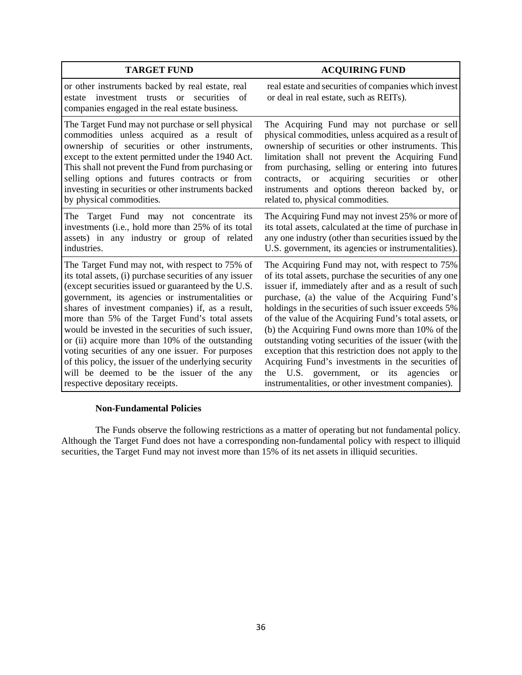| <b>TARGET FUND</b>                                                                                                                                                                                                                                                                                                                                                                                                                                                                                                                                                                                                                    | <b>ACQUIRING FUND</b>                                                                                                                                                                                                                                                                                                                                                                                                                                                                                                                                                                                                                                                                     |
|---------------------------------------------------------------------------------------------------------------------------------------------------------------------------------------------------------------------------------------------------------------------------------------------------------------------------------------------------------------------------------------------------------------------------------------------------------------------------------------------------------------------------------------------------------------------------------------------------------------------------------------|-------------------------------------------------------------------------------------------------------------------------------------------------------------------------------------------------------------------------------------------------------------------------------------------------------------------------------------------------------------------------------------------------------------------------------------------------------------------------------------------------------------------------------------------------------------------------------------------------------------------------------------------------------------------------------------------|
| or other instruments backed by real estate, real<br>securities<br>investment trusts<br>$\alpha$<br>of<br>estate<br>companies engaged in the real estate business.                                                                                                                                                                                                                                                                                                                                                                                                                                                                     | real estate and securities of companies which invest<br>or deal in real estate, such as REITs).                                                                                                                                                                                                                                                                                                                                                                                                                                                                                                                                                                                           |
| The Target Fund may not purchase or sell physical<br>commodities unless acquired as a result of<br>ownership of securities or other instruments,<br>except to the extent permitted under the 1940 Act.<br>This shall not prevent the Fund from purchasing or<br>selling options and futures contracts or from<br>investing in securities or other instruments backed<br>by physical commodities.                                                                                                                                                                                                                                      | The Acquiring Fund may not purchase or sell<br>physical commodities, unless acquired as a result of<br>ownership of securities or other instruments. This<br>limitation shall not prevent the Acquiring Fund<br>from purchasing, selling or entering into futures<br>acquiring securities<br>other<br>contracts,<br><b>or</b><br><b>or</b><br>instruments and options thereon backed by, or<br>related to, physical commodities.                                                                                                                                                                                                                                                          |
| The Target Fund may not concentrate its<br>investments (i.e., hold more than 25% of its total<br>assets) in any industry or group of related<br>industries.                                                                                                                                                                                                                                                                                                                                                                                                                                                                           | The Acquiring Fund may not invest 25% or more of<br>its total assets, calculated at the time of purchase in<br>any one industry (other than securities issued by the<br>U.S. government, its agencies or instrumentalities).                                                                                                                                                                                                                                                                                                                                                                                                                                                              |
| The Target Fund may not, with respect to 75% of<br>its total assets, (i) purchase securities of any issuer<br>(except securities issued or guaranteed by the U.S.<br>government, its agencies or instrumentalities or<br>shares of investment companies) if, as a result,<br>more than 5% of the Target Fund's total assets<br>would be invested in the securities of such issuer,<br>or (ii) acquire more than 10% of the outstanding<br>voting securities of any one issuer. For purposes<br>of this policy, the issuer of the underlying security<br>will be deemed to be the issuer of the any<br>respective depositary receipts. | The Acquiring Fund may not, with respect to 75%<br>of its total assets, purchase the securities of any one<br>issuer if, immediately after and as a result of such<br>purchase, (a) the value of the Acquiring Fund's<br>holdings in the securities of such issuer exceeds 5%<br>of the value of the Acquiring Fund's total assets, or<br>(b) the Acquiring Fund owns more than 10% of the<br>outstanding voting securities of the issuer (with the<br>exception that this restriction does not apply to the<br>Acquiring Fund's investments in the securities of<br>U.S. government, or<br>its<br>the<br>agencies<br><sub>or</sub><br>instrumentalities, or other investment companies). |

## **Non-Fundamental Policies**

The Funds observe the following restrictions as a matter of operating but not fundamental policy. Although the Target Fund does not have a corresponding non-fundamental policy with respect to illiquid securities, the Target Fund may not invest more than 15% of its net assets in illiquid securities.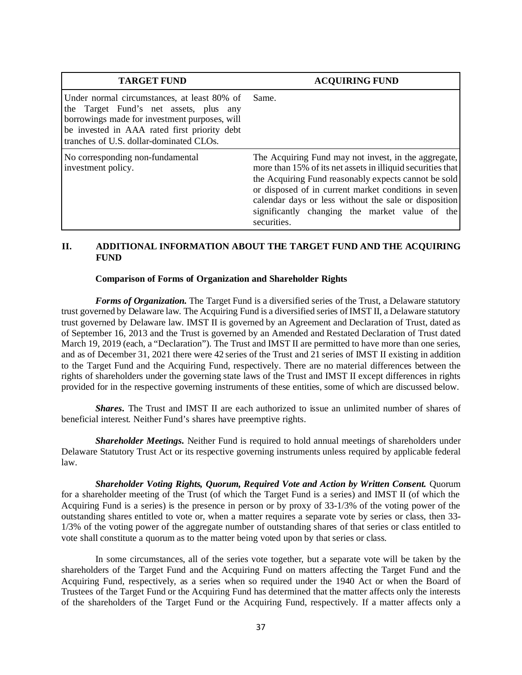| <b>TARGET FUND</b>                                                                                                                                                                                                                | <b>ACQUIRING FUND</b>                                                                                                                                                                                                                                                                                                                                         |
|-----------------------------------------------------------------------------------------------------------------------------------------------------------------------------------------------------------------------------------|---------------------------------------------------------------------------------------------------------------------------------------------------------------------------------------------------------------------------------------------------------------------------------------------------------------------------------------------------------------|
| Under normal circumstances, at least 80% of<br>the Target Fund's net assets, plus any<br>borrowings made for investment purposes, will<br>be invested in AAA rated first priority debt<br>tranches of U.S. dollar-dominated CLOs. | Same.                                                                                                                                                                                                                                                                                                                                                         |
| No corresponding non-fundamental<br>investment policy.                                                                                                                                                                            | The Acquiring Fund may not invest, in the aggregate,<br>more than 15% of its net assets in illiquid securities that<br>the Acquiring Fund reasonably expects cannot be sold<br>or disposed of in current market conditions in seven<br>calendar days or less without the sale or disposition<br>significantly changing the market value of the<br>securities. |

# **II. ADDITIONAL INFORMATION ABOUT THE TARGET FUND AND THE ACQUIRING FUND**

#### **Comparison of Forms of Organization and Shareholder Rights**

*Forms of Organization.* The Target Fund is a diversified series of the Trust, a Delaware statutory trust governed by Delaware law. The Acquiring Fund is a diversified series of IMST II, a Delaware statutory trust governed by Delaware law. IMST II is governed by an Agreement and Declaration of Trust, dated as of September 16, 2013 and the Trust is governed by an Amended and Restated Declaration of Trust dated March 19, 2019 (each, a "Declaration"). The Trust and IMST II are permitted to have more than one series, and as of December 31, 2021 there were 42 series of the Trust and 21 series of IMST II existing in addition to the Target Fund and the Acquiring Fund, respectively. There are no material differences between the rights of shareholders under the governing state laws of the Trust and IMST II except differences in rights provided for in the respective governing instruments of these entities, some of which are discussed below.

*Shares.* The Trust and IMST II are each authorized to issue an unlimited number of shares of beneficial interest. Neither Fund's shares have preemptive rights.

*Shareholder Meetings.* Neither Fund is required to hold annual meetings of shareholders under Delaware Statutory Trust Act or its respective governing instruments unless required by applicable federal law.

*Shareholder Voting Rights, Quorum, Required Vote and Action by Written Consent.* Quorum for a shareholder meeting of the Trust (of which the Target Fund is a series) and IMST II (of which the Acquiring Fund is a series) is the presence in person or by proxy of 33-1/3% of the voting power of the outstanding shares entitled to vote or, when a matter requires a separate vote by series or class, then 33- 1/3% of the voting power of the aggregate number of outstanding shares of that series or class entitled to vote shall constitute a quorum as to the matter being voted upon by that series or class.

In some circumstances, all of the series vote together, but a separate vote will be taken by the shareholders of the Target Fund and the Acquiring Fund on matters affecting the Target Fund and the Acquiring Fund, respectively, as a series when so required under the 1940 Act or when the Board of Trustees of the Target Fund or the Acquiring Fund has determined that the matter affects only the interests of the shareholders of the Target Fund or the Acquiring Fund, respectively. If a matter affects only a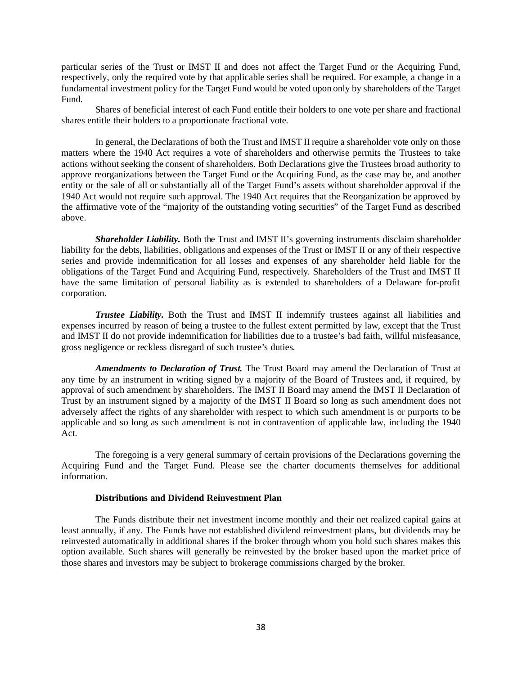particular series of the Trust or IMST II and does not affect the Target Fund or the Acquiring Fund, respectively, only the required vote by that applicable series shall be required. For example, a change in a fundamental investment policy for the Target Fund would be voted upon only by shareholders of the Target Fund.

Shares of beneficial interest of each Fund entitle their holders to one vote per share and fractional shares entitle their holders to a proportionate fractional vote.

In general, the Declarations of both the Trust and IMST II require a shareholder vote only on those matters where the 1940 Act requires a vote of shareholders and otherwise permits the Trustees to take actions without seeking the consent of shareholders. Both Declarations give the Trustees broad authority to approve reorganizations between the Target Fund or the Acquiring Fund, as the case may be, and another entity or the sale of all or substantially all of the Target Fund's assets without shareholder approval if the 1940 Act would not require such approval. The 1940 Act requires that the Reorganization be approved by the affirmative vote of the "majority of the outstanding voting securities" of the Target Fund as described above.

*Shareholder Liability.* Both the Trust and IMST II's governing instruments disclaim shareholder liability for the debts, liabilities, obligations and expenses of the Trust or IMST II or any of their respective series and provide indemnification for all losses and expenses of any shareholder held liable for the obligations of the Target Fund and Acquiring Fund, respectively. Shareholders of the Trust and IMST II have the same limitation of personal liability as is extended to shareholders of a Delaware for-profit corporation.

*Trustee Liability.* Both the Trust and IMST II indemnify trustees against all liabilities and expenses incurred by reason of being a trustee to the fullest extent permitted by law, except that the Trust and IMST II do not provide indemnification for liabilities due to a trustee's bad faith, willful misfeasance, gross negligence or reckless disregard of such trustee's duties.

*Amendments to Declaration of Trust.* The Trust Board may amend the Declaration of Trust at any time by an instrument in writing signed by a majority of the Board of Trustees and, if required, by approval of such amendment by shareholders. The IMST II Board may amend the IMST II Declaration of Trust by an instrument signed by a majority of the IMST II Board so long as such amendment does not adversely affect the rights of any shareholder with respect to which such amendment is or purports to be applicable and so long as such amendment is not in contravention of applicable law, including the 1940 Act.

The foregoing is a very general summary of certain provisions of the Declarations governing the Acquiring Fund and the Target Fund. Please see the charter documents themselves for additional information.

## **Distributions and Dividend Reinvestment Plan**

The Funds distribute their net investment income monthly and their net realized capital gains at least annually, if any. The Funds have not established dividend reinvestment plans, but dividends may be reinvested automatically in additional shares if the broker through whom you hold such shares makes this option available. Such shares will generally be reinvested by the broker based upon the market price of those shares and investors may be subject to brokerage commissions charged by the broker.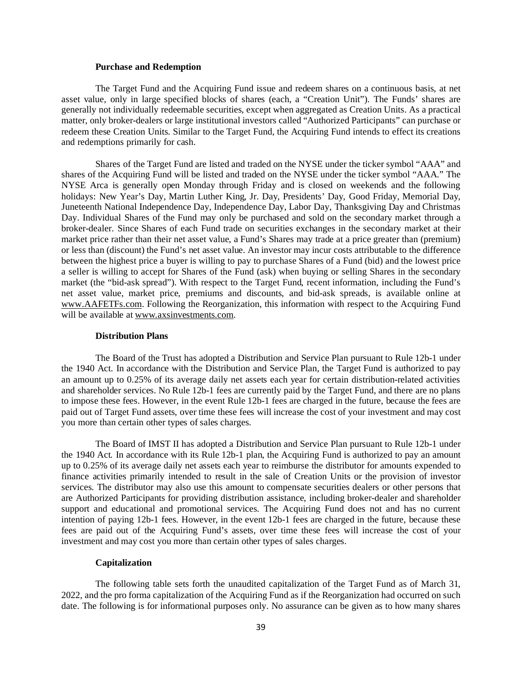#### **Purchase and Redemption**

The Target Fund and the Acquiring Fund issue and redeem shares on a continuous basis, at net asset value, only in large specified blocks of shares (each, a "Creation Unit"). The Funds' shares are generally not individually redeemable securities, except when aggregated as Creation Units. As a practical matter, only broker-dealers or large institutional investors called "Authorized Participants" can purchase or redeem these Creation Units. Similar to the Target Fund, the Acquiring Fund intends to effect its creations and redemptions primarily for cash.

Shares of the Target Fund are listed and traded on the NYSE under the ticker symbol "AAA" and shares of the Acquiring Fund will be listed and traded on the NYSE under the ticker symbol "AAA." The NYSE Arca is generally open Monday through Friday and is closed on weekends and the following holidays: New Year's Day, Martin Luther King, Jr. Day, Presidents' Day, Good Friday, Memorial Day, Juneteenth National Independence Day, Independence Day, Labor Day, Thanksgiving Day and Christmas Day. Individual Shares of the Fund may only be purchased and sold on the secondary market through a broker-dealer. Since Shares of each Fund trade on securities exchanges in the secondary market at their market price rather than their net asset value, a Fund's Shares may trade at a price greater than (premium) or less than (discount) the Fund's net asset value. An investor may incur costs attributable to the difference between the highest price a buyer is willing to pay to purchase Shares of a Fund (bid) and the lowest price a seller is willing to accept for Shares of the Fund (ask) when buying or selling Shares in the secondary market (the "bid-ask spread"). With respect to the Target Fund, recent information, including the Fund's net asset value, market price, premiums and discounts, and bid-ask spreads, is available online at www.AAFETFs.com. Following the Reorganization, this information with respect to the Acquiring Fund will be available at www.axsinvestments.com.

#### **Distribution Plans**

The Board of the Trust has adopted a Distribution and Service Plan pursuant to Rule 12b-1 under the 1940 Act. In accordance with the Distribution and Service Plan, the Target Fund is authorized to pay an amount up to 0.25% of its average daily net assets each year for certain distribution-related activities and shareholder services. No Rule 12b-1 fees are currently paid by the Target Fund, and there are no plans to impose these fees. However, in the event Rule 12b-1 fees are charged in the future, because the fees are paid out of Target Fund assets, over time these fees will increase the cost of your investment and may cost you more than certain other types of sales charges.

The Board of IMST II has adopted a Distribution and Service Plan pursuant to Rule 12b-1 under the 1940 Act. In accordance with its Rule 12b-1 plan, the Acquiring Fund is authorized to pay an amount up to 0.25% of its average daily net assets each year to reimburse the distributor for amounts expended to finance activities primarily intended to result in the sale of Creation Units or the provision of investor services. The distributor may also use this amount to compensate securities dealers or other persons that are Authorized Participants for providing distribution assistance, including broker-dealer and shareholder support and educational and promotional services. The Acquiring Fund does not and has no current intention of paying 12b-1 fees. However, in the event 12b-1 fees are charged in the future, because these fees are paid out of the Acquiring Fund's assets, over time these fees will increase the cost of your investment and may cost you more than certain other types of sales charges.

## **Capitalization**

The following table sets forth the unaudited capitalization of the Target Fund as of March 31, 2022, and the pro forma capitalization of the Acquiring Fund as if the Reorganization had occurred on such date. The following is for informational purposes only. No assurance can be given as to how many shares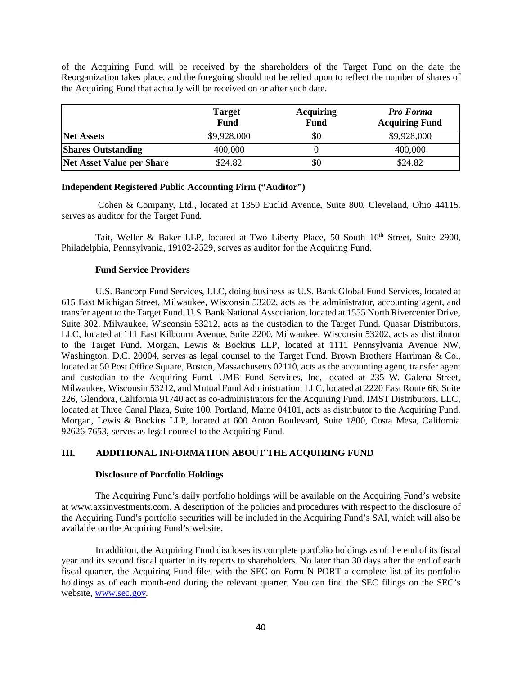of the Acquiring Fund will be received by the shareholders of the Target Fund on the date the Reorganization takes place, and the foregoing should not be relied upon to reflect the number of shares of the Acquiring Fund that actually will be received on or after such date.

|                                  | <b>Target</b><br><b>Fund</b> | <b>Acquiring</b><br><b>Fund</b> | <b>Pro Forma</b><br><b>Acquiring Fund</b> |
|----------------------------------|------------------------------|---------------------------------|-------------------------------------------|
| <b>Net Assets</b>                | \$9,928,000                  | \$0                             | \$9,928,000                               |
| <b>Shares Outstanding</b>        | 400,000                      |                                 | 400,000                                   |
| <b>Net Asset Value per Share</b> | \$24.82                      | \$0                             | \$24.82                                   |

# **Independent Registered Public Accounting Firm ("Auditor")**

Cohen & Company, Ltd., located at 1350 Euclid Avenue, Suite 800, Cleveland, Ohio 44115, serves as auditor for the Target Fund.

Tait, Weller & Baker LLP, located at Two Liberty Place, 50 South 16<sup>th</sup> Street, Suite 2900, Philadelphia, Pennsylvania, 19102-2529, serves as auditor for the Acquiring Fund.

#### **Fund Service Providers**

U.S. Bancorp Fund Services, LLC, doing business as U.S. Bank Global Fund Services, located at 615 East Michigan Street, Milwaukee, Wisconsin 53202, acts as the administrator, accounting agent, and transfer agent to the Target Fund. U.S. Bank National Association, located at 1555 North Rivercenter Drive, Suite 302, Milwaukee, Wisconsin 53212, acts as the custodian to the Target Fund. Quasar Distributors, LLC, located at 111 East Kilbourn Avenue, Suite 2200, Milwaukee, Wisconsin 53202, acts as distributor to the Target Fund. Morgan, Lewis & Bockius LLP, located at 1111 Pennsylvania Avenue NW, Washington, D.C. 20004, serves as legal counsel to the Target Fund. Brown Brothers Harriman & Co., located at 50 Post Office Square, Boston, Massachusetts 02110, acts as the accounting agent, transfer agent and custodian to the Acquiring Fund. UMB Fund Services, Inc, located at 235 W. Galena Street, Milwaukee, Wisconsin 53212, and Mutual Fund Administration, LLC, located at 2220 East Route 66, Suite 226, Glendora, California 91740 act as co-administrators for the Acquiring Fund. IMST Distributors, LLC, located at Three Canal Plaza, Suite 100, Portland, Maine 04101, acts as distributor to the Acquiring Fund. Morgan, Lewis & Bockius LLP, located at 600 Anton Boulevard, Suite 1800, Costa Mesa, California 92626-7653, serves as legal counsel to the Acquiring Fund.

## **III. ADDITIONAL INFORMATION ABOUT THE ACQUIRING FUND**

#### **Disclosure of Portfolio Holdings**

The Acquiring Fund's daily portfolio holdings will be available on the Acquiring Fund's website at www.axsinvestments.com. A description of the policies and procedures with respect to the disclosure of the Acquiring Fund's portfolio securities will be included in the Acquiring Fund's SAI, which will also be available on the Acquiring Fund's website.

In addition, the Acquiring Fund discloses its complete portfolio holdings as of the end of its fiscal year and its second fiscal quarter in its reports to shareholders. No later than 30 days after the end of each fiscal quarter, the Acquiring Fund files with the SEC on Form N-PORT a complete list of its portfolio holdings as of each month-end during the relevant quarter. You can find the SEC filings on the SEC's website, [www.sec.gov.](http://www.sec.gov/)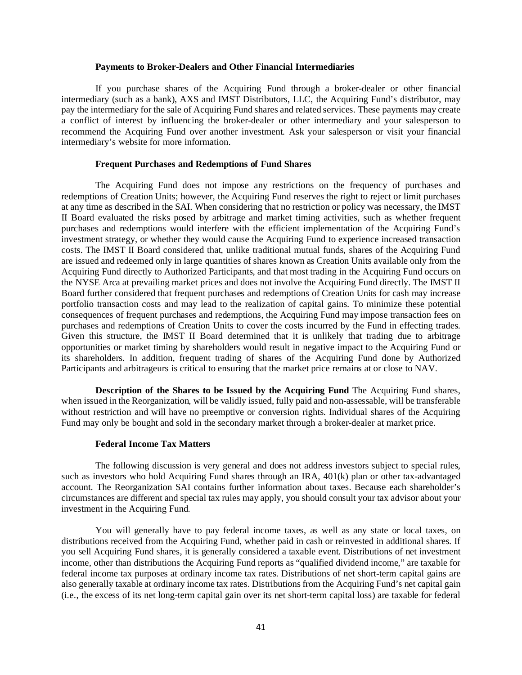#### **Payments to Broker-Dealers and Other Financial Intermediaries**

If you purchase shares of the Acquiring Fund through a broker-dealer or other financial intermediary (such as a bank), AXS and IMST Distributors, LLC, the Acquiring Fund's distributor, may pay the intermediary for the sale of Acquiring Fund shares and related services. These payments may create a conflict of interest by influencing the broker-dealer or other intermediary and your salesperson to recommend the Acquiring Fund over another investment. Ask your salesperson or visit your financial intermediary's website for more information.

#### **Frequent Purchases and Redemptions of Fund Shares**

The Acquiring Fund does not impose any restrictions on the frequency of purchases and redemptions of Creation Units; however, the Acquiring Fund reserves the right to reject or limit purchases at any time as described in the SAI. When considering that no restriction or policy was necessary, the IMST II Board evaluated the risks posed by arbitrage and market timing activities, such as whether frequent purchases and redemptions would interfere with the efficient implementation of the Acquiring Fund's investment strategy, or whether they would cause the Acquiring Fund to experience increased transaction costs. The IMST II Board considered that, unlike traditional mutual funds, shares of the Acquiring Fund are issued and redeemed only in large quantities of shares known as Creation Units available only from the Acquiring Fund directly to Authorized Participants, and that most trading in the Acquiring Fund occurs on the NYSE Arca at prevailing market prices and does not involve the Acquiring Fund directly. The IMST II Board further considered that frequent purchases and redemptions of Creation Units for cash may increase portfolio transaction costs and may lead to the realization of capital gains. To minimize these potential consequences of frequent purchases and redemptions, the Acquiring Fund may impose transaction fees on purchases and redemptions of Creation Units to cover the costs incurred by the Fund in effecting trades. Given this structure, the IMST II Board determined that it is unlikely that trading due to arbitrage opportunities or market timing by shareholders would result in negative impact to the Acquiring Fund or its shareholders. In addition, frequent trading of shares of the Acquiring Fund done by Authorized Participants and arbitrageurs is critical to ensuring that the market price remains at or close to NAV.

**Description of the Shares to be Issued by the Acquiring Fund** The Acquiring Fund shares, when issued in the Reorganization, will be validly issued, fully paid and non-assessable, will be transferable without restriction and will have no preemptive or conversion rights. Individual shares of the Acquiring Fund may only be bought and sold in the secondary market through a broker-dealer at market price.

#### **Federal Income Tax Matters**

The following discussion is very general and does not address investors subject to special rules, such as investors who hold Acquiring Fund shares through an IRA, 401(k) plan or other tax-advantaged account. The Reorganization SAI contains further information about taxes. Because each shareholder's circumstances are different and special tax rules may apply, you should consult your tax advisor about your investment in the Acquiring Fund.

You will generally have to pay federal income taxes, as well as any state or local taxes, on distributions received from the Acquiring Fund, whether paid in cash or reinvested in additional shares. If you sell Acquiring Fund shares, it is generally considered a taxable event. Distributions of net investment income, other than distributions the Acquiring Fund reports as "qualified dividend income," are taxable for federal income tax purposes at ordinary income tax rates. Distributions of net short-term capital gains are also generally taxable at ordinary income tax rates. Distributions from the Acquiring Fund's net capital gain (i.e., the excess of its net long-term capital gain over its net short-term capital loss) are taxable for federal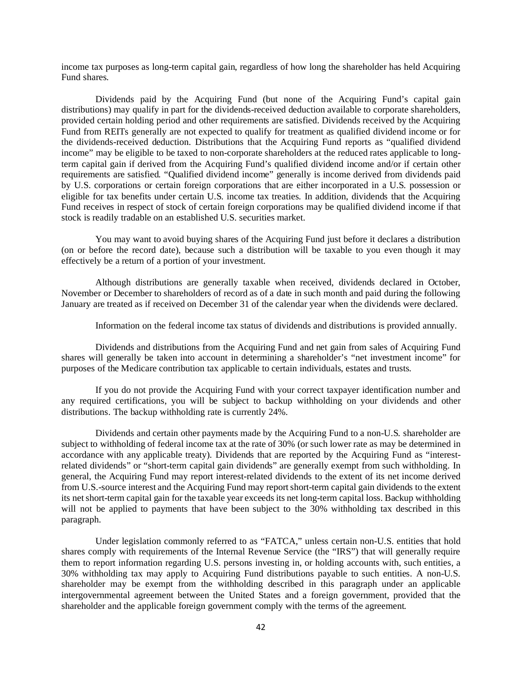income tax purposes as long-term capital gain, regardless of how long the shareholder has held Acquiring Fund shares.

Dividends paid by the Acquiring Fund (but none of the Acquiring Fund's capital gain distributions) may qualify in part for the dividends-received deduction available to corporate shareholders, provided certain holding period and other requirements are satisfied. Dividends received by the Acquiring Fund from REITs generally are not expected to qualify for treatment as qualified dividend income or for the dividends-received deduction. Distributions that the Acquiring Fund reports as "qualified dividend income" may be eligible to be taxed to non-corporate shareholders at the reduced rates applicable to longterm capital gain if derived from the Acquiring Fund's qualified dividend income and/or if certain other requirements are satisfied. "Qualified dividend income" generally is income derived from dividends paid by U.S. corporations or certain foreign corporations that are either incorporated in a U.S. possession or eligible for tax benefits under certain U.S. income tax treaties. In addition, dividends that the Acquiring Fund receives in respect of stock of certain foreign corporations may be qualified dividend income if that stock is readily tradable on an established U.S. securities market.

You may want to avoid buying shares of the Acquiring Fund just before it declares a distribution (on or before the record date), because such a distribution will be taxable to you even though it may effectively be a return of a portion of your investment.

Although distributions are generally taxable when received, dividends declared in October, November or December to shareholders of record as of a date in such month and paid during the following January are treated as if received on December 31 of the calendar year when the dividends were declared.

Information on the federal income tax status of dividends and distributions is provided annually.

Dividends and distributions from the Acquiring Fund and net gain from sales of Acquiring Fund shares will generally be taken into account in determining a shareholder's "net investment income" for purposes of the Medicare contribution tax applicable to certain individuals, estates and trusts.

If you do not provide the Acquiring Fund with your correct taxpayer identification number and any required certifications, you will be subject to backup withholding on your dividends and other distributions. The backup withholding rate is currently 24%.

Dividends and certain other payments made by the Acquiring Fund to a non-U.S. shareholder are subject to withholding of federal income tax at the rate of 30% (or such lower rate as may be determined in accordance with any applicable treaty). Dividends that are reported by the Acquiring Fund as "interestrelated dividends" or "short-term capital gain dividends" are generally exempt from such withholding. In general, the Acquiring Fund may report interest-related dividends to the extent of its net income derived from U.S.-source interest and the Acquiring Fund may report short-term capital gain dividends to the extent its net short-term capital gain for the taxable year exceeds its net long-term capital loss. Backup withholding will not be applied to payments that have been subject to the 30% withholding tax described in this paragraph.

Under legislation commonly referred to as "FATCA," unless certain non-U.S. entities that hold shares comply with requirements of the Internal Revenue Service (the "IRS") that will generally require them to report information regarding U.S. persons investing in, or holding accounts with, such entities, a 30% withholding tax may apply to Acquiring Fund distributions payable to such entities. A non-U.S. shareholder may be exempt from the withholding described in this paragraph under an applicable intergovernmental agreement between the United States and a foreign government, provided that the shareholder and the applicable foreign government comply with the terms of the agreement.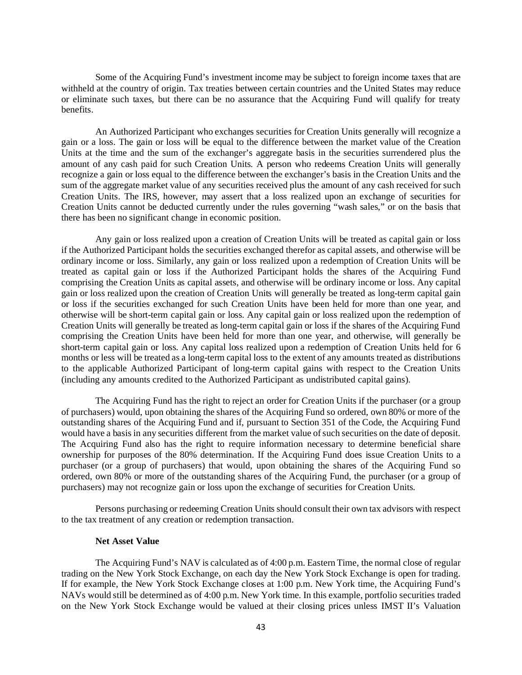Some of the Acquiring Fund's investment income may be subject to foreign income taxes that are withheld at the country of origin. Tax treaties between certain countries and the United States may reduce or eliminate such taxes, but there can be no assurance that the Acquiring Fund will qualify for treaty benefits.

An Authorized Participant who exchanges securities for Creation Units generally will recognize a gain or a loss. The gain or loss will be equal to the difference between the market value of the Creation Units at the time and the sum of the exchanger's aggregate basis in the securities surrendered plus the amount of any cash paid for such Creation Units. A person who redeems Creation Units will generally recognize a gain or loss equal to the difference between the exchanger's basis in the Creation Units and the sum of the aggregate market value of any securities received plus the amount of any cash received for such Creation Units. The IRS, however, may assert that a loss realized upon an exchange of securities for Creation Units cannot be deducted currently under the rules governing "wash sales," or on the basis that there has been no significant change in economic position.

Any gain or loss realized upon a creation of Creation Units will be treated as capital gain or loss if the Authorized Participant holds the securities exchanged therefor as capital assets, and otherwise will be ordinary income or loss. Similarly, any gain or loss realized upon a redemption of Creation Units will be treated as capital gain or loss if the Authorized Participant holds the shares of the Acquiring Fund comprising the Creation Units as capital assets, and otherwise will be ordinary income or loss. Any capital gain or loss realized upon the creation of Creation Units will generally be treated as long-term capital gain or loss if the securities exchanged for such Creation Units have been held for more than one year, and otherwise will be short-term capital gain or loss. Any capital gain or loss realized upon the redemption of Creation Units will generally be treated as long-term capital gain or loss if the shares of the Acquiring Fund comprising the Creation Units have been held for more than one year, and otherwise, will generally be short-term capital gain or loss. Any capital loss realized upon a redemption of Creation Units held for 6 months or less will be treated as a long-term capital loss to the extent of any amounts treated as distributions to the applicable Authorized Participant of long-term capital gains with respect to the Creation Units (including any amounts credited to the Authorized Participant as undistributed capital gains).

The Acquiring Fund has the right to reject an order for Creation Units if the purchaser (or a group of purchasers) would, upon obtaining the shares of the Acquiring Fund so ordered, own 80% or more of the outstanding shares of the Acquiring Fund and if, pursuant to Section 351 of the Code, the Acquiring Fund would have a basis in any securities different from the market value of such securities on the date of deposit. The Acquiring Fund also has the right to require information necessary to determine beneficial share ownership for purposes of the 80% determination. If the Acquiring Fund does issue Creation Units to a purchaser (or a group of purchasers) that would, upon obtaining the shares of the Acquiring Fund so ordered, own 80% or more of the outstanding shares of the Acquiring Fund, the purchaser (or a group of purchasers) may not recognize gain or loss upon the exchange of securities for Creation Units.

Persons purchasing or redeeming Creation Units should consult their own tax advisors with respect to the tax treatment of any creation or redemption transaction.

## **Net Asset Value**

The Acquiring Fund's NAV is calculated as of 4:00 p.m. Eastern Time, the normal close of regular trading on the New York Stock Exchange, on each day the New York Stock Exchange is open for trading. If for example, the New York Stock Exchange closes at 1:00 p.m. New York time, the Acquiring Fund's NAVs would still be determined as of 4:00 p.m. New York time. In this example, portfolio securities traded on the New York Stock Exchange would be valued at their closing prices unless IMST II's Valuation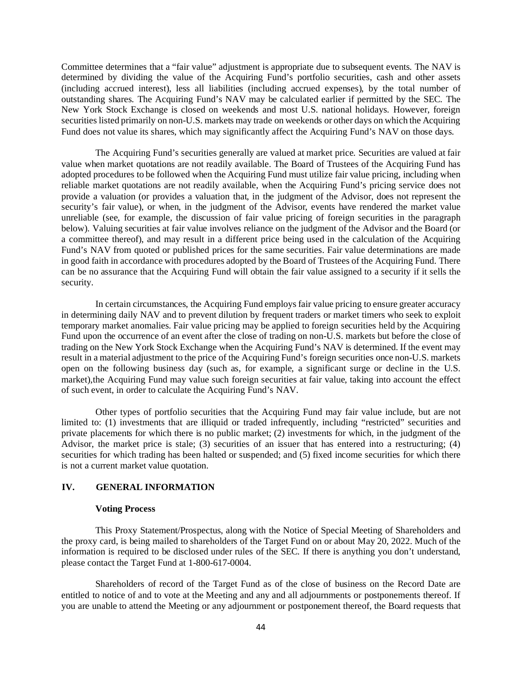Committee determines that a "fair value" adjustment is appropriate due to subsequent events. The NAV is determined by dividing the value of the Acquiring Fund's portfolio securities, cash and other assets (including accrued interest), less all liabilities (including accrued expenses), by the total number of outstanding shares. The Acquiring Fund's NAV may be calculated earlier if permitted by the SEC. The New York Stock Exchange is closed on weekends and most U.S. national holidays. However, foreign securities listed primarily on non-U.S. markets may trade on weekends or other days on which the Acquiring Fund does not value its shares, which may significantly affect the Acquiring Fund's NAV on those days.

The Acquiring Fund's securities generally are valued at market price. Securities are valued at fair value when market quotations are not readily available. The Board of Trustees of the Acquiring Fund has adopted procedures to be followed when the Acquiring Fund must utilize fair value pricing, including when reliable market quotations are not readily available, when the Acquiring Fund's pricing service does not provide a valuation (or provides a valuation that, in the judgment of the Advisor, does not represent the security's fair value), or when, in the judgment of the Advisor, events have rendered the market value unreliable (see, for example, the discussion of fair value pricing of foreign securities in the paragraph below). Valuing securities at fair value involves reliance on the judgment of the Advisor and the Board (or a committee thereof), and may result in a different price being used in the calculation of the Acquiring Fund's NAV from quoted or published prices for the same securities. Fair value determinations are made in good faith in accordance with procedures adopted by the Board of Trustees of the Acquiring Fund. There can be no assurance that the Acquiring Fund will obtain the fair value assigned to a security if it sells the security.

In certain circumstances, the Acquiring Fund employs fair value pricing to ensure greater accuracy in determining daily NAV and to prevent dilution by frequent traders or market timers who seek to exploit temporary market anomalies. Fair value pricing may be applied to foreign securities held by the Acquiring Fund upon the occurrence of an event after the close of trading on non-U.S. markets but before the close of trading on the New York Stock Exchange when the Acquiring Fund's NAV is determined. If the event may result in a material adjustment to the price of the Acquiring Fund's foreign securities once non-U.S. markets open on the following business day (such as, for example, a significant surge or decline in the U.S. market),the Acquiring Fund may value such foreign securities at fair value, taking into account the effect of such event, in order to calculate the Acquiring Fund's NAV.

Other types of portfolio securities that the Acquiring Fund may fair value include, but are not limited to: (1) investments that are illiquid or traded infrequently, including "restricted" securities and private placements for which there is no public market; (2) investments for which, in the judgment of the Advisor, the market price is stale; (3) securities of an issuer that has entered into a restructuring; (4) securities for which trading has been halted or suspended; and (5) fixed income securities for which there is not a current market value quotation.

## **IV. GENERAL INFORMATION**

#### **Voting Process**

This Proxy Statement/Prospectus, along with the Notice of Special Meeting of Shareholders and the proxy card, is being mailed to shareholders of the Target Fund on or about May 20, 2022. Much of the information is required to be disclosed under rules of the SEC. If there is anything you don't understand, please contact the Target Fund at 1-800-617-0004.

Shareholders of record of the Target Fund as of the close of business on the Record Date are entitled to notice of and to vote at the Meeting and any and all adjournments or postponements thereof. If you are unable to attend the Meeting or any adjournment or postponement thereof, the Board requests that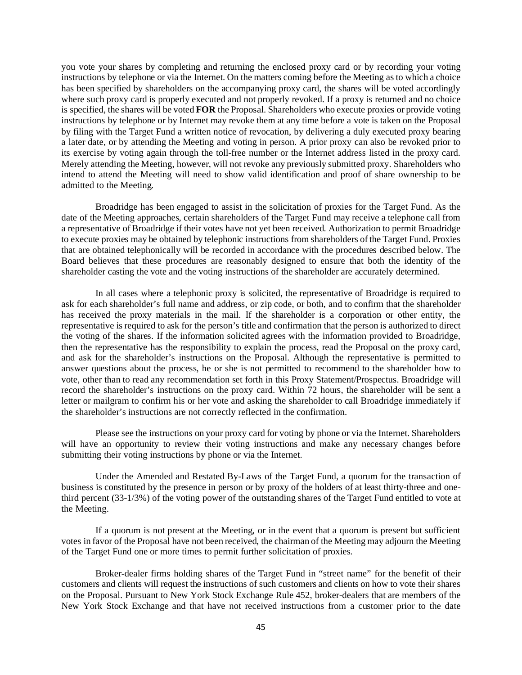you vote your shares by completing and returning the enclosed proxy card or by recording your voting instructions by telephone or via the Internet. On the matters coming before the Meeting as to which a choice has been specified by shareholders on the accompanying proxy card, the shares will be voted accordingly where such proxy card is properly executed and not properly revoked. If a proxy is returned and no choice is specified, the shares will be voted **FOR** the Proposal. Shareholders who execute proxies or provide voting instructions by telephone or by Internet may revoke them at any time before a vote is taken on the Proposal by filing with the Target Fund a written notice of revocation, by delivering a duly executed proxy bearing a later date, or by attending the Meeting and voting in person. A prior proxy can also be revoked prior to its exercise by voting again through the toll-free number or the Internet address listed in the proxy card. Merely attending the Meeting, however, will not revoke any previously submitted proxy. Shareholders who intend to attend the Meeting will need to show valid identification and proof of share ownership to be admitted to the Meeting.

Broadridge has been engaged to assist in the solicitation of proxies for the Target Fund. As the date of the Meeting approaches, certain shareholders of the Target Fund may receive a telephone call from a representative of Broadridge if their votes have not yet been received. Authorization to permit Broadridge to execute proxies may be obtained by telephonic instructions from shareholders of the Target Fund. Proxies that are obtained telephonically will be recorded in accordance with the procedures described below. The Board believes that these procedures are reasonably designed to ensure that both the identity of the shareholder casting the vote and the voting instructions of the shareholder are accurately determined.

In all cases where a telephonic proxy is solicited, the representative of Broadridge is required to ask for each shareholder's full name and address, or zip code, or both, and to confirm that the shareholder has received the proxy materials in the mail. If the shareholder is a corporation or other entity, the representative is required to ask for the person's title and confirmation that the person is authorized to direct the voting of the shares. If the information solicited agrees with the information provided to Broadridge, then the representative has the responsibility to explain the process, read the Proposal on the proxy card, and ask for the shareholder's instructions on the Proposal. Although the representative is permitted to answer questions about the process, he or she is not permitted to recommend to the shareholder how to vote, other than to read any recommendation set forth in this Proxy Statement/Prospectus. Broadridge will record the shareholder's instructions on the proxy card. Within 72 hours, the shareholder will be sent a letter or mailgram to confirm his or her vote and asking the shareholder to call Broadridge immediately if the shareholder's instructions are not correctly reflected in the confirmation.

Please see the instructions on your proxy card for voting by phone or via the Internet. Shareholders will have an opportunity to review their voting instructions and make any necessary changes before submitting their voting instructions by phone or via the Internet.

Under the Amended and Restated By-Laws of the Target Fund, a quorum for the transaction of business is constituted by the presence in person or by proxy of the holders of at least thirty-three and onethird percent (33-1/3%) of the voting power of the outstanding shares of the Target Fund entitled to vote at the Meeting.

If a quorum is not present at the Meeting, or in the event that a quorum is present but sufficient votes in favor of the Proposal have not been received, the chairman of the Meeting may adjourn the Meeting of the Target Fund one or more times to permit further solicitation of proxies.

Broker-dealer firms holding shares of the Target Fund in "street name" for the benefit of their customers and clients will request the instructions of such customers and clients on how to vote their shares on the Proposal. Pursuant to New York Stock Exchange Rule 452, broker-dealers that are members of the New York Stock Exchange and that have not received instructions from a customer prior to the date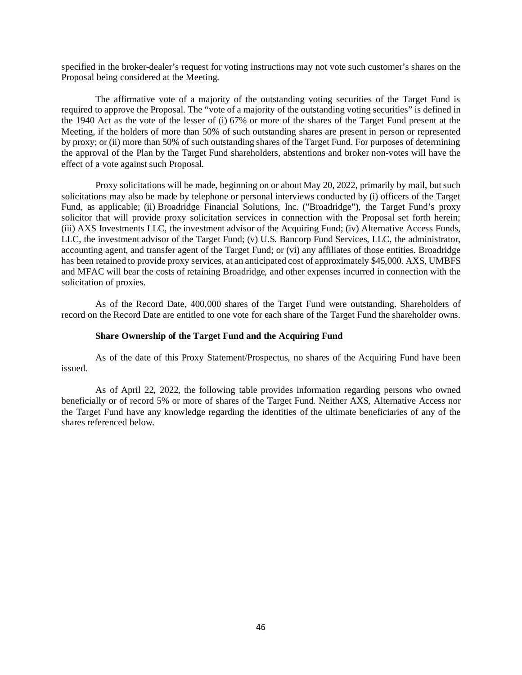specified in the broker-dealer's request for voting instructions may not vote such customer's shares on the Proposal being considered at the Meeting.

The affirmative vote of a majority of the outstanding voting securities of the Target Fund is required to approve the Proposal. The "vote of a majority of the outstanding voting securities" is defined in the 1940 Act as the vote of the lesser of (i) 67% or more of the shares of the Target Fund present at the Meeting, if the holders of more than 50% of such outstanding shares are present in person or represented by proxy; or (ii) more than 50% of such outstanding shares of the Target Fund. For purposes of determining the approval of the Plan by the Target Fund shareholders, abstentions and broker non-votes will have the effect of a vote against such Proposal.

Proxy solicitations will be made, beginning on or about May 20, 2022, primarily by mail, but such solicitations may also be made by telephone or personal interviews conducted by (i) officers of the Target Fund, as applicable; (ii) Broadridge Financial Solutions, Inc. ("Broadridge"), the Target Fund's proxy solicitor that will provide proxy solicitation services in connection with the Proposal set forth herein; (iii) AXS Investments LLC, the investment advisor of the Acquiring Fund; (iv) Alternative Access Funds, LLC, the investment advisor of the Target Fund; (v) U.S. Bancorp Fund Services, LLC, the administrator, accounting agent, and transfer agent of the Target Fund; or (vi) any affiliates of those entities. Broadridge has been retained to provide proxy services, at an anticipated cost of approximately \$45,000. AXS, UMBFS and MFAC will bear the costs of retaining Broadridge, and other expenses incurred in connection with the solicitation of proxies.

As of the Record Date, 400,000 shares of the Target Fund were outstanding. Shareholders of record on the Record Date are entitled to one vote for each share of the Target Fund the shareholder owns.

#### **Share Ownership of the Target Fund and the Acquiring Fund**

As of the date of this Proxy Statement/Prospectus, no shares of the Acquiring Fund have been issued.

As of April 22, 2022, the following table provides information regarding persons who owned beneficially or of record 5% or more of shares of the Target Fund. Neither AXS, Alternative Access nor the Target Fund have any knowledge regarding the identities of the ultimate beneficiaries of any of the shares referenced below.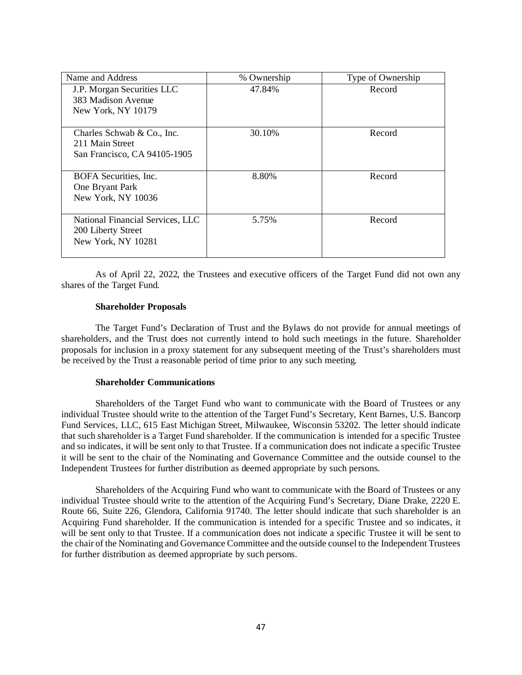| Name and Address                 | % Ownership | Type of Ownership |
|----------------------------------|-------------|-------------------|
| J.P. Morgan Securities LLC       | 47.84%      | Record            |
| 383 Madison Avenue               |             |                   |
| New York, NY 10179               |             |                   |
|                                  |             |                   |
| Charles Schwab $& Co., Inc.$     | 30.10%      | Record            |
| 211 Main Street                  |             |                   |
| San Francisco, CA 94105-1905     |             |                   |
|                                  |             |                   |
| BOFA Securities, Inc.            | 8.80%       | Record            |
| One Bryant Park                  |             |                   |
| New York, NY 10036               |             |                   |
|                                  |             |                   |
| National Financial Services, LLC | 5.75%       | Record            |
| 200 Liberty Street               |             |                   |
| New York, NY 10281               |             |                   |
|                                  |             |                   |

As of April 22, 2022, the Trustees and executive officers of the Target Fund did not own any shares of the Target Fund.

#### **Shareholder Proposals**

The Target Fund's Declaration of Trust and the Bylaws do not provide for annual meetings of shareholders, and the Trust does not currently intend to hold such meetings in the future. Shareholder proposals for inclusion in a proxy statement for any subsequent meeting of the Trust's shareholders must be received by the Trust a reasonable period of time prior to any such meeting.

#### **Shareholder Communications**

Shareholders of the Target Fund who want to communicate with the Board of Trustees or any individual Trustee should write to the attention of the Target Fund's Secretary, Kent Barnes, U.S. Bancorp Fund Services, LLC, 615 East Michigan Street, Milwaukee, Wisconsin 53202. The letter should indicate that such shareholder is a Target Fund shareholder. If the communication is intended for a specific Trustee and so indicates, it will be sent only to that Trustee. If a communication does not indicate a specific Trustee it will be sent to the chair of the Nominating and Governance Committee and the outside counsel to the Independent Trustees for further distribution as deemed appropriate by such persons.

Shareholders of the Acquiring Fund who want to communicate with the Board of Trustees or any individual Trustee should write to the attention of the Acquiring Fund's Secretary, Diane Drake, 2220 E. Route 66, Suite 226, Glendora, California 91740. The letter should indicate that such shareholder is an Acquiring Fund shareholder. If the communication is intended for a specific Trustee and so indicates, it will be sent only to that Trustee. If a communication does not indicate a specific Trustee it will be sent to the chair of the Nominating and Governance Committee and the outside counsel to the Independent Trustees for further distribution as deemed appropriate by such persons.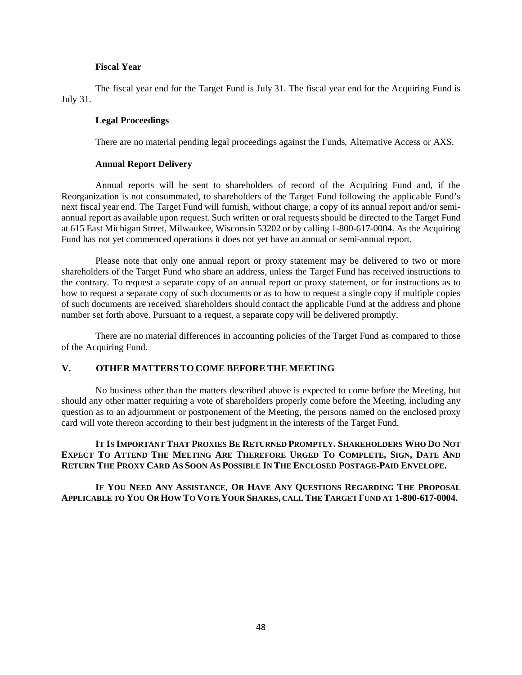## **Fiscal Year**

The fiscal year end for the Target Fund is July 31. The fiscal year end for the Acquiring Fund is July 31.

#### **Legal Proceedings**

There are no material pending legal proceedings against the Funds, Alternative Access or AXS.

#### **Annual Report Delivery**

Annual reports will be sent to shareholders of record of the Acquiring Fund and, if the Reorganization is not consummated, to shareholders of the Target Fund following the applicable Fund's next fiscal year end. The Target Fund will furnish, without charge, a copy of its annual report and/or semiannual report as available upon request. Such written or oral requests should be directed to the Target Fund at 615 East Michigan Street, Milwaukee, Wisconsin 53202 or by calling 1-800-617-0004. As the Acquiring Fund has not yet commenced operations it does not yet have an annual or semi-annual report.

Please note that only one annual report or proxy statement may be delivered to two or more shareholders of the Target Fund who share an address, unless the Target Fund has received instructions to the contrary. To request a separate copy of an annual report or proxy statement, or for instructions as to how to request a separate copy of such documents or as to how to request a single copy if multiple copies of such documents are received, shareholders should contact the applicable Fund at the address and phone number set forth above. Pursuant to a request, a separate copy will be delivered promptly.

There are no material differences in accounting policies of the Target Fund as compared to those of the Acquiring Fund.

#### **V. OTHER MATTERS TO COME BEFORE THE MEETING**

No business other than the matters described above is expected to come before the Meeting, but should any other matter requiring a vote of shareholders properly come before the Meeting, including any question as to an adjournment or postponement of the Meeting, the persons named on the enclosed proxy card will vote thereon according to their best judgment in the interests of the Target Fund.

**IT IS IMPORTANT THAT PROXIES BE RETURNED PROMPTLY. SHAREHOLDERS WHO DO NOT EXPECT TO ATTEND THE MEETING ARE THEREFORE URGED TO COMPLETE, SIGN, DATE AND RETURN THE PROXY CARD AS SOON AS POSSIBLE IN THE ENCLOSED POSTAGE-PAID ENVELOPE.**

**IF YOU NEED ANY ASSISTANCE, OR HAVE ANY QUESTIONS REGARDING THE PROPOSAL APPLICABLE TO YOU OR HOW TO VOTE YOUR SHARES, CALL THE TARGET FUND AT 1-800-617-0004.**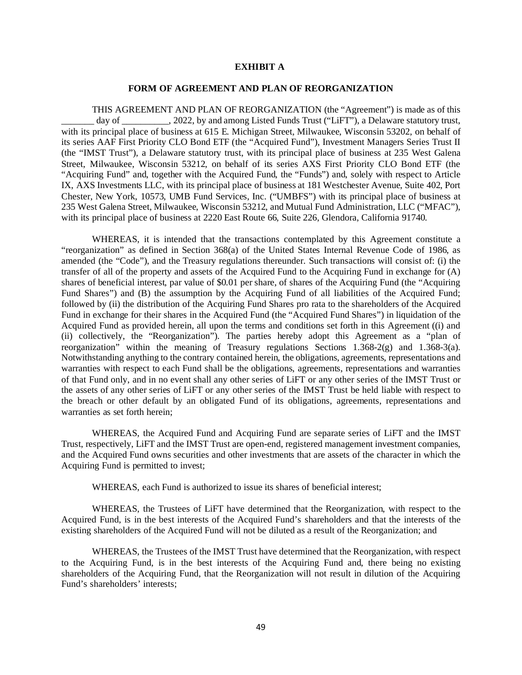#### **EXHIBIT A**

#### **FORM OF AGREEMENT AND PLAN OF REORGANIZATION**

THIS AGREEMENT AND PLAN OF REORGANIZATION (the "Agreement") is made as of this day of \_\_\_\_\_\_\_\_\_\_, 2022, by and among Listed Funds Trust ("LiFT"), a Delaware statutory trust, with its principal place of business at 615 E. Michigan Street, Milwaukee, Wisconsin 53202, on behalf of its series AAF First Priority CLO Bond ETF (the "Acquired Fund"), Investment Managers Series Trust II (the "IMST Trust"), a Delaware statutory trust, with its principal place of business at 235 West Galena Street, Milwaukee, Wisconsin 53212, on behalf of its series AXS First Priority CLO Bond ETF (the "Acquiring Fund" and, together with the Acquired Fund, the "Funds") and, solely with respect to Article IX, AXS Investments LLC, with its principal place of business at 181 Westchester Avenue, Suite 402, Port Chester, New York, 10573, UMB Fund Services, Inc. ("UMBFS") with its principal place of business at 235 West Galena Street, Milwaukee, Wisconsin 53212, and Mutual Fund Administration, LLC ("MFAC"), with its principal place of business at 2220 East Route 66, Suite 226, Glendora, California 91740.

WHEREAS, it is intended that the transactions contemplated by this Agreement constitute a "reorganization" as defined in Section 368(a) of the United States Internal Revenue Code of 1986, as amended (the "Code"), and the Treasury regulations thereunder. Such transactions will consist of: (i) the transfer of all of the property and assets of the Acquired Fund to the Acquiring Fund in exchange for (A) shares of beneficial interest, par value of \$0.01 per share, of shares of the Acquiring Fund (the "Acquiring Fund Shares") and (B) the assumption by the Acquiring Fund of all liabilities of the Acquired Fund; followed by (ii) the distribution of the Acquiring Fund Shares pro rata to the shareholders of the Acquired Fund in exchange for their shares in the Acquired Fund (the "Acquired Fund Shares") in liquidation of the Acquired Fund as provided herein, all upon the terms and conditions set forth in this Agreement ((i) and (ii) collectively, the "Reorganization"). The parties hereby adopt this Agreement as a "plan of reorganization" within the meaning of Treasury regulations Sections 1.368-2(g) and 1.368-3(a). Notwithstanding anything to the contrary contained herein, the obligations, agreements, representations and warranties with respect to each Fund shall be the obligations, agreements, representations and warranties of that Fund only, and in no event shall any other series of LiFT or any other series of the IMST Trust or the assets of any other series of LiFT or any other series of the IMST Trust be held liable with respect to the breach or other default by an obligated Fund of its obligations, agreements, representations and warranties as set forth herein;

WHEREAS, the Acquired Fund and Acquiring Fund are separate series of LiFT and the IMST Trust, respectively, LiFT and the IMST Trust are open-end, registered management investment companies, and the Acquired Fund owns securities and other investments that are assets of the character in which the Acquiring Fund is permitted to invest;

WHEREAS, each Fund is authorized to issue its shares of beneficial interest;

WHEREAS, the Trustees of LiFT have determined that the Reorganization, with respect to the Acquired Fund, is in the best interests of the Acquired Fund's shareholders and that the interests of the existing shareholders of the Acquired Fund will not be diluted as a result of the Reorganization; and

WHEREAS, the Trustees of the IMST Trust have determined that the Reorganization, with respect to the Acquiring Fund, is in the best interests of the Acquiring Fund and, there being no existing shareholders of the Acquiring Fund, that the Reorganization will not result in dilution of the Acquiring Fund's shareholders' interests;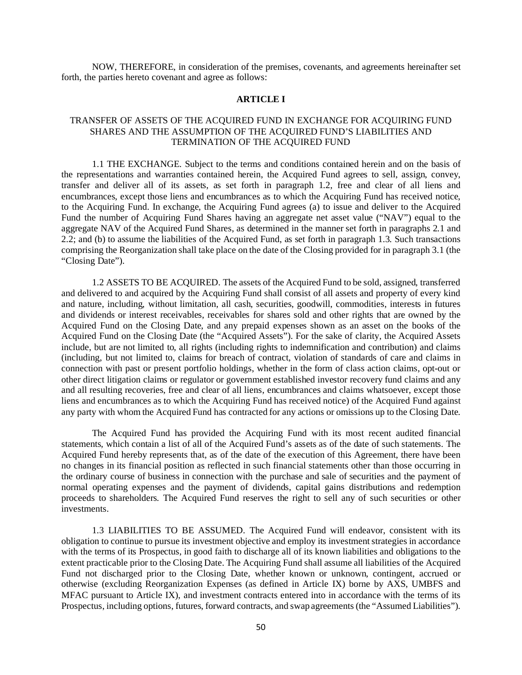NOW, THEREFORE, in consideration of the premises, covenants, and agreements hereinafter set forth, the parties hereto covenant and agree as follows:

## **ARTICLE I**

## TRANSFER OF ASSETS OF THE ACQUIRED FUND IN EXCHANGE FOR ACQUIRING FUND SHARES AND THE ASSUMPTION OF THE ACQUIRED FUND'S LIABILITIES AND TERMINATION OF THE ACQUIRED FUND

1.1 THE EXCHANGE. Subject to the terms and conditions contained herein and on the basis of the representations and warranties contained herein, the Acquired Fund agrees to sell, assign, convey, transfer and deliver all of its assets, as set forth in paragraph 1.2, free and clear of all liens and encumbrances, except those liens and encumbrances as to which the Acquiring Fund has received notice, to the Acquiring Fund. In exchange, the Acquiring Fund agrees (a) to issue and deliver to the Acquired Fund the number of Acquiring Fund Shares having an aggregate net asset value ("NAV") equal to the aggregate NAV of the Acquired Fund Shares, as determined in the manner set forth in paragraphs 2.1 and 2.2; and (b) to assume the liabilities of the Acquired Fund, as set forth in paragraph 1.3. Such transactions comprising the Reorganization shall take place on the date of the Closing provided for in paragraph 3.1 (the "Closing Date").

1.2 ASSETS TO BE ACQUIRED. The assets of the Acquired Fund to be sold, assigned, transferred and delivered to and acquired by the Acquiring Fund shall consist of all assets and property of every kind and nature, including, without limitation, all cash, securities, goodwill, commodities, interests in futures and dividends or interest receivables, receivables for shares sold and other rights that are owned by the Acquired Fund on the Closing Date, and any prepaid expenses shown as an asset on the books of the Acquired Fund on the Closing Date (the "Acquired Assets"). For the sake of clarity, the Acquired Assets include, but are not limited to, all rights (including rights to indemnification and contribution) and claims (including, but not limited to, claims for breach of contract, violation of standards of care and claims in connection with past or present portfolio holdings, whether in the form of class action claims, opt-out or other direct litigation claims or regulator or government established investor recovery fund claims and any and all resulting recoveries, free and clear of all liens, encumbrances and claims whatsoever, except those liens and encumbrances as to which the Acquiring Fund has received notice) of the Acquired Fund against any party with whom the Acquired Fund has contracted for any actions or omissions up to the Closing Date.

The Acquired Fund has provided the Acquiring Fund with its most recent audited financial statements, which contain a list of all of the Acquired Fund's assets as of the date of such statements. The Acquired Fund hereby represents that, as of the date of the execution of this Agreement, there have been no changes in its financial position as reflected in such financial statements other than those occurring in the ordinary course of business in connection with the purchase and sale of securities and the payment of normal operating expenses and the payment of dividends, capital gains distributions and redemption proceeds to shareholders. The Acquired Fund reserves the right to sell any of such securities or other investments.

1.3 LIABILITIES TO BE ASSUMED. The Acquired Fund will endeavor, consistent with its obligation to continue to pursue its investment objective and employ its investment strategies in accordance with the terms of its Prospectus, in good faith to discharge all of its known liabilities and obligations to the extent practicable prior to the Closing Date. The Acquiring Fund shall assume all liabilities of the Acquired Fund not discharged prior to the Closing Date, whether known or unknown, contingent, accrued or otherwise (excluding Reorganization Expenses (as defined in Article IX) borne by AXS, UMBFS and MFAC pursuant to Article IX), and investment contracts entered into in accordance with the terms of its Prospectus, including options, futures, forward contracts, and swap agreements (the "Assumed Liabilities").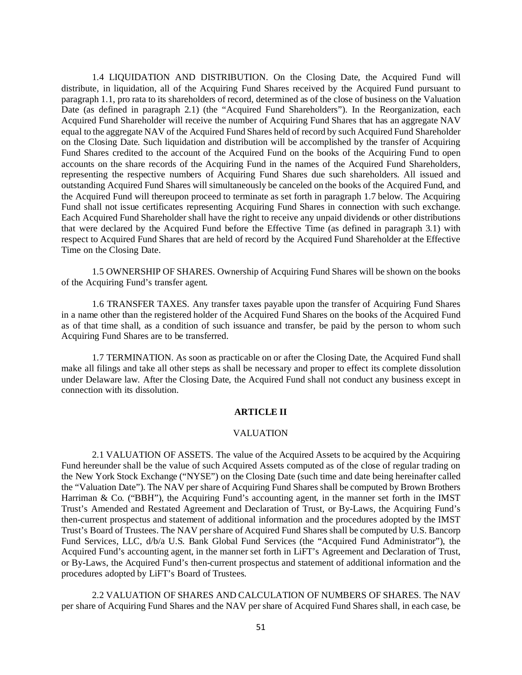1.4 LIQUIDATION AND DISTRIBUTION. On the Closing Date, the Acquired Fund will distribute, in liquidation, all of the Acquiring Fund Shares received by the Acquired Fund pursuant to paragraph 1.1, pro rata to its shareholders of record, determined as of the close of business on the Valuation Date (as defined in paragraph 2.1) (the "Acquired Fund Shareholders"). In the Reorganization, each Acquired Fund Shareholder will receive the number of Acquiring Fund Shares that has an aggregate NAV equal to the aggregate NAV of the Acquired Fund Shares held of record by such Acquired Fund Shareholder on the Closing Date. Such liquidation and distribution will be accomplished by the transfer of Acquiring Fund Shares credited to the account of the Acquired Fund on the books of the Acquiring Fund to open accounts on the share records of the Acquiring Fund in the names of the Acquired Fund Shareholders, representing the respective numbers of Acquiring Fund Shares due such shareholders. All issued and outstanding Acquired Fund Shares will simultaneously be canceled on the books of the Acquired Fund, and the Acquired Fund will thereupon proceed to terminate as set forth in paragraph 1.7 below. The Acquiring Fund shall not issue certificates representing Acquiring Fund Shares in connection with such exchange. Each Acquired Fund Shareholder shall have the right to receive any unpaid dividends or other distributions that were declared by the Acquired Fund before the Effective Time (as defined in paragraph 3.1) with respect to Acquired Fund Shares that are held of record by the Acquired Fund Shareholder at the Effective Time on the Closing Date.

1.5 OWNERSHIP OF SHARES. Ownership of Acquiring Fund Shares will be shown on the books of the Acquiring Fund's transfer agent.

1.6 TRANSFER TAXES. Any transfer taxes payable upon the transfer of Acquiring Fund Shares in a name other than the registered holder of the Acquired Fund Shares on the books of the Acquired Fund as of that time shall, as a condition of such issuance and transfer, be paid by the person to whom such Acquiring Fund Shares are to be transferred.

1.7 TERMINATION. As soon as practicable on or after the Closing Date, the Acquired Fund shall make all filings and take all other steps as shall be necessary and proper to effect its complete dissolution under Delaware law. After the Closing Date, the Acquired Fund shall not conduct any business except in connection with its dissolution.

#### **ARTICLE II**

#### VALUATION

2.1 VALUATION OF ASSETS. The value of the Acquired Assets to be acquired by the Acquiring Fund hereunder shall be the value of such Acquired Assets computed as of the close of regular trading on the New York Stock Exchange ("NYSE") on the Closing Date (such time and date being hereinafter called the "Valuation Date"). The NAV per share of Acquiring Fund Shares shall be computed by Brown Brothers Harriman & Co. ("BBH"), the Acquiring Fund's accounting agent, in the manner set forth in the IMST Trust's Amended and Restated Agreement and Declaration of Trust, or By-Laws, the Acquiring Fund's then-current prospectus and statement of additional information and the procedures adopted by the IMST Trust's Board of Trustees. The NAV per share of Acquired Fund Shares shall be computed by U.S. Bancorp Fund Services, LLC, d/b/a U.S. Bank Global Fund Services (the "Acquired Fund Administrator"), the Acquired Fund's accounting agent, in the manner set forth in LiFT's Agreement and Declaration of Trust, or By-Laws, the Acquired Fund's then-current prospectus and statement of additional information and the procedures adopted by LiFT's Board of Trustees.

2.2 VALUATION OF SHARES AND CALCULATION OF NUMBERS OF SHARES. The NAV per share of Acquiring Fund Shares and the NAV per share of Acquired Fund Shares shall, in each case, be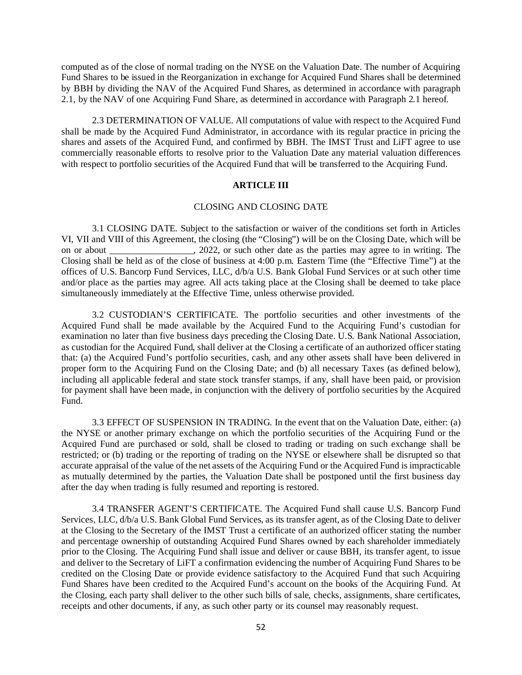computed as of the close of normal trading on the NYSE on the Valuation Date. The number of Acquiring Fund Shares to be issued in the Reorganization in exchange for Acquired Fund Shares shall be determined by BBH by dividing the NAV of the Acquired Fund Shares, as determined in accordance with paragraph 2.1, by the NAV of one Acquiring Fund Share, as determined in accordance with Paragraph 2.1 hereof.

2.3 DETERMINATION OF VALUE. All computations of value with respect to the Acquired Fund shall be made by the Acquired Fund Administrator, in accordance with its regular practice in pricing the shares and assets of the Acquired Fund, and confirmed by BBH. The IMST Trust and LiFT agree to use commercially reasonable efforts to resolve prior to the Valuation Date any material valuation differences with respect to portfolio securities of the Acquired Fund that will be transferred to the Acquiring Fund.

#### **ARTICLE III**

## CLOSING AND CLOSING DATE

3.1 CLOSING DATE. Subject to the satisfaction or waiver of the conditions set forth in Articles VI, VII and VIII of this Agreement, the closing (the "Closing") will be on the Closing Date, which will be on or about . 2022, or such other date as the parties may agree to in writing. The Closing shall be held as of the close of business at 4:00 p.m. Eastern Time (the "Effective Time") at the offices of U.S. Bancorp Fund Services, LLC, d/b/a U.S. Bank Global Fund Services or at such other time and/or place as the parties may agree. All acts taking place at the Closing shall be deemed to take place simultaneously immediately at the Effective Time, unless otherwise provided.

3.2 CUSTODIAN'S CERTIFICATE. The portfolio securities and other investments of the Acquired Fund shall be made available by the Acquired Fund to the Acquiring Fund's custodian for examination no later than five business days preceding the Closing Date. U.S. Bank National Association, as custodian for the Acquired Fund, shall deliver at the Closing a certificate of an authorized officer stating that: (a) the Acquired Fund's portfolio securities, cash, and any other assets shall have been delivered in proper form to the Acquiring Fund on the Closing Date; and (b) all necessary Taxes (as defined below), including all applicable federal and state stock transfer stamps, if any, shall have been paid, or provision for payment shall have been made, in conjunction with the delivery of portfolio securities by the Acquired Fund.

3.3 EFFECT OF SUSPENSION IN TRADING. In the event that on the Valuation Date, either: (a) the NYSE or another primary exchange on which the portfolio securities of the Acquiring Fund or the Acquired Fund are purchased or sold, shall be closed to trading or trading on such exchange shall be restricted; or (b) trading or the reporting of trading on the NYSE or elsewhere shall be disrupted so that accurate appraisal of the value of the net assets of the Acquiring Fund or the Acquired Fund is impracticable as mutually determined by the parties, the Valuation Date shall be postponed until the first business day after the day when trading is fully resumed and reporting is restored.

3.4 TRANSFER AGENT'S CERTIFICATE. The Acquired Fund shall cause U.S. Bancorp Fund Services, LLC, d/b/a U.S. Bank Global Fund Services, as its transfer agent, as of the Closing Date to deliver at the Closing to the Secretary of the IMST Trust a certificate of an authorized officer stating the number and percentage ownership of outstanding Acquired Fund Shares owned by each shareholder immediately prior to the Closing. The Acquiring Fund shall issue and deliver or cause BBH, its transfer agent, to issue and deliver to the Secretary of LiFT a confirmation evidencing the number of Acquiring Fund Shares to be credited on the Closing Date or provide evidence satisfactory to the Acquired Fund that such Acquiring Fund Shares have been credited to the Acquired Fund's account on the books of the Acquiring Fund. At the Closing, each party shall deliver to the other such bills of sale, checks, assignments, share certificates, receipts and other documents, if any, as such other party or its counsel may reasonably request.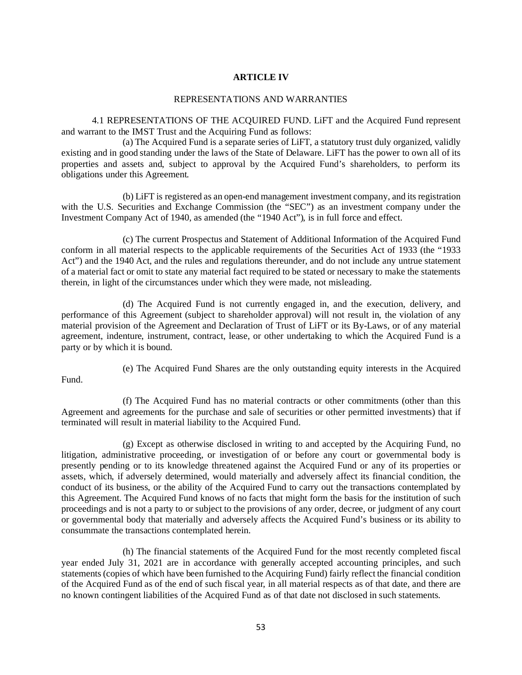## **ARTICLE IV**

## REPRESENTATIONS AND WARRANTIES

4.1 REPRESENTATIONS OF THE ACQUIRED FUND. LiFT and the Acquired Fund represent and warrant to the IMST Trust and the Acquiring Fund as follows:

(a) The Acquired Fund is a separate series of LiFT, a statutory trust duly organized, validly existing and in good standing under the laws of the State of Delaware. LiFT has the power to own all of its properties and assets and, subject to approval by the Acquired Fund's shareholders, to perform its obligations under this Agreement.

(b) LiFT is registered as an open-end management investment company, and its registration with the U.S. Securities and Exchange Commission (the "SEC") as an investment company under the Investment Company Act of 1940, as amended (the "1940 Act"), is in full force and effect.

(c) The current Prospectus and Statement of Additional Information of the Acquired Fund conform in all material respects to the applicable requirements of the Securities Act of 1933 (the "1933 Act") and the 1940 Act, and the rules and regulations thereunder, and do not include any untrue statement of a material fact or omit to state any material fact required to be stated or necessary to make the statements therein, in light of the circumstances under which they were made, not misleading.

(d) The Acquired Fund is not currently engaged in, and the execution, delivery, and performance of this Agreement (subject to shareholder approval) will not result in, the violation of any material provision of the Agreement and Declaration of Trust of LiFT or its By-Laws, or of any material agreement, indenture, instrument, contract, lease, or other undertaking to which the Acquired Fund is a party or by which it is bound.

Fund.

(e) The Acquired Fund Shares are the only outstanding equity interests in the Acquired

(f) The Acquired Fund has no material contracts or other commitments (other than this Agreement and agreements for the purchase and sale of securities or other permitted investments) that if terminated will result in material liability to the Acquired Fund.

(g) Except as otherwise disclosed in writing to and accepted by the Acquiring Fund, no litigation, administrative proceeding, or investigation of or before any court or governmental body is presently pending or to its knowledge threatened against the Acquired Fund or any of its properties or assets, which, if adversely determined, would materially and adversely affect its financial condition, the conduct of its business, or the ability of the Acquired Fund to carry out the transactions contemplated by this Agreement. The Acquired Fund knows of no facts that might form the basis for the institution of such proceedings and is not a party to or subject to the provisions of any order, decree, or judgment of any court or governmental body that materially and adversely affects the Acquired Fund's business or its ability to consummate the transactions contemplated herein.

(h) The financial statements of the Acquired Fund for the most recently completed fiscal year ended July 31, 2021 are in accordance with generally accepted accounting principles, and such statements (copies of which have been furnished to the Acquiring Fund) fairly reflect the financial condition of the Acquired Fund as of the end of such fiscal year, in all material respects as of that date, and there are no known contingent liabilities of the Acquired Fund as of that date not disclosed in such statements.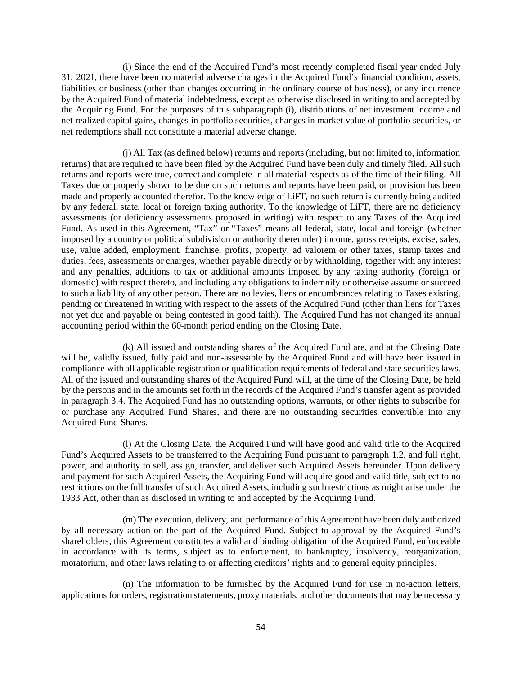(i) Since the end of the Acquired Fund's most recently completed fiscal year ended July 31, 2021, there have been no material adverse changes in the Acquired Fund's financial condition, assets, liabilities or business (other than changes occurring in the ordinary course of business), or any incurrence by the Acquired Fund of material indebtedness, except as otherwise disclosed in writing to and accepted by the Acquiring Fund. For the purposes of this subparagraph (i), distributions of net investment income and net realized capital gains, changes in portfolio securities, changes in market value of portfolio securities, or net redemptions shall not constitute a material adverse change.

(j) All Tax (as defined below) returns and reports (including, but not limited to, information returns) that are required to have been filed by the Acquired Fund have been duly and timely filed. All such returns and reports were true, correct and complete in all material respects as of the time of their filing. All Taxes due or properly shown to be due on such returns and reports have been paid, or provision has been made and properly accounted therefor. To the knowledge of LiFT, no such return is currently being audited by any federal, state, local or foreign taxing authority. To the knowledge of LiFT, there are no deficiency assessments (or deficiency assessments proposed in writing) with respect to any Taxes of the Acquired Fund. As used in this Agreement, "Tax" or "Taxes" means all federal, state, local and foreign (whether imposed by a country or political subdivision or authority thereunder) income, gross receipts, excise, sales, use, value added, employment, franchise, profits, property, ad valorem or other taxes, stamp taxes and duties, fees, assessments or charges, whether payable directly or by withholding, together with any interest and any penalties, additions to tax or additional amounts imposed by any taxing authority (foreign or domestic) with respect thereto, and including any obligations to indemnify or otherwise assume or succeed to such a liability of any other person. There are no levies, liens or encumbrances relating to Taxes existing, pending or threatened in writing with respect to the assets of the Acquired Fund (other than liens for Taxes not yet due and payable or being contested in good faith). The Acquired Fund has not changed its annual accounting period within the 60-month period ending on the Closing Date.

(k) All issued and outstanding shares of the Acquired Fund are, and at the Closing Date will be, validly issued, fully paid and non-assessable by the Acquired Fund and will have been issued in compliance with all applicable registration or qualification requirements of federal and state securities laws. All of the issued and outstanding shares of the Acquired Fund will, at the time of the Closing Date, be held by the persons and in the amounts set forth in the records of the Acquired Fund's transfer agent as provided in paragraph 3.4. The Acquired Fund has no outstanding options, warrants, or other rights to subscribe for or purchase any Acquired Fund Shares, and there are no outstanding securities convertible into any Acquired Fund Shares.

(l) At the Closing Date, the Acquired Fund will have good and valid title to the Acquired Fund's Acquired Assets to be transferred to the Acquiring Fund pursuant to paragraph 1.2, and full right, power, and authority to sell, assign, transfer, and deliver such Acquired Assets hereunder. Upon delivery and payment for such Acquired Assets, the Acquiring Fund will acquire good and valid title, subject to no restrictions on the full transfer of such Acquired Assets, including such restrictions as might arise under the 1933 Act, other than as disclosed in writing to and accepted by the Acquiring Fund.

(m) The execution, delivery, and performance of this Agreement have been duly authorized by all necessary action on the part of the Acquired Fund. Subject to approval by the Acquired Fund's shareholders, this Agreement constitutes a valid and binding obligation of the Acquired Fund, enforceable in accordance with its terms, subject as to enforcement, to bankruptcy, insolvency, reorganization, moratorium, and other laws relating to or affecting creditors' rights and to general equity principles.

(n) The information to be furnished by the Acquired Fund for use in no-action letters, applications for orders, registration statements, proxy materials, and other documents that may be necessary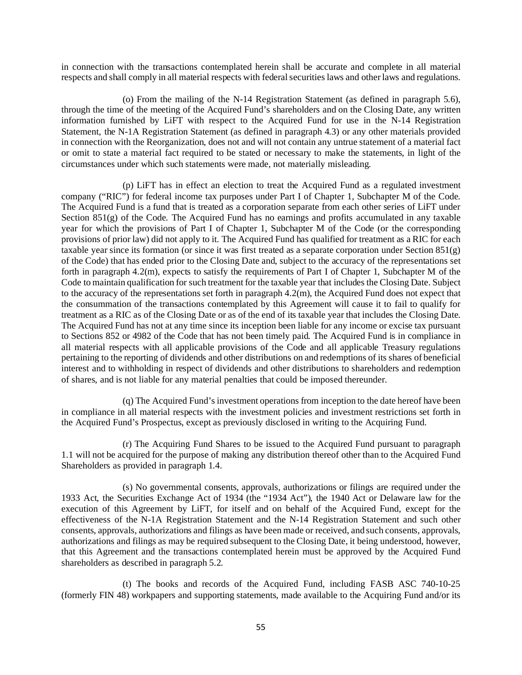in connection with the transactions contemplated herein shall be accurate and complete in all material respects and shall comply in all material respects with federal securities laws and other laws and regulations.

(o) From the mailing of the N-14 Registration Statement (as defined in paragraph 5.6), through the time of the meeting of the Acquired Fund's shareholders and on the Closing Date, any written information furnished by LiFT with respect to the Acquired Fund for use in the N-14 Registration Statement, the N-1A Registration Statement (as defined in paragraph 4.3) or any other materials provided in connection with the Reorganization, does not and will not contain any untrue statement of a material fact or omit to state a material fact required to be stated or necessary to make the statements, in light of the circumstances under which such statements were made, not materially misleading.

(p) LiFT has in effect an election to treat the Acquired Fund as a regulated investment company ("RIC") for federal income tax purposes under Part I of Chapter 1, Subchapter M of the Code. The Acquired Fund is a fund that is treated as a corporation separate from each other series of LiFT under Section 851(g) of the Code. The Acquired Fund has no earnings and profits accumulated in any taxable year for which the provisions of Part I of Chapter 1, Subchapter M of the Code (or the corresponding provisions of prior law) did not apply to it. The Acquired Fund has qualified for treatment as a RIC for each taxable year since its formation (or since it was first treated as a separate corporation under Section 851(g) of the Code) that has ended prior to the Closing Date and, subject to the accuracy of the representations set forth in paragraph 4.2(m), expects to satisfy the requirements of Part I of Chapter 1, Subchapter M of the Code to maintain qualification for such treatment for the taxable year that includes the Closing Date. Subject to the accuracy of the representations set forth in paragraph 4.2(m), the Acquired Fund does not expect that the consummation of the transactions contemplated by this Agreement will cause it to fail to qualify for treatment as a RIC as of the Closing Date or as of the end of its taxable year that includes the Closing Date. The Acquired Fund has not at any time since its inception been liable for any income or excise tax pursuant to Sections 852 or 4982 of the Code that has not been timely paid. The Acquired Fund is in compliance in all material respects with all applicable provisions of the Code and all applicable Treasury regulations pertaining to the reporting of dividends and other distributions on and redemptions of its shares of beneficial interest and to withholding in respect of dividends and other distributions to shareholders and redemption of shares, and is not liable for any material penalties that could be imposed thereunder.

(q) The Acquired Fund's investment operations from inception to the date hereof have been in compliance in all material respects with the investment policies and investment restrictions set forth in the Acquired Fund's Prospectus, except as previously disclosed in writing to the Acquiring Fund.

(r) The Acquiring Fund Shares to be issued to the Acquired Fund pursuant to paragraph 1.1 will not be acquired for the purpose of making any distribution thereof other than to the Acquired Fund Shareholders as provided in paragraph 1.4.

(s) No governmental consents, approvals, authorizations or filings are required under the 1933 Act, the Securities Exchange Act of 1934 (the "1934 Act"), the 1940 Act or Delaware law for the execution of this Agreement by LiFT, for itself and on behalf of the Acquired Fund, except for the effectiveness of the N-1A Registration Statement and the N-14 Registration Statement and such other consents, approvals, authorizations and filings as have been made or received, and such consents, approvals, authorizations and filings as may be required subsequent to the Closing Date, it being understood, however, that this Agreement and the transactions contemplated herein must be approved by the Acquired Fund shareholders as described in paragraph 5.2.

(t) The books and records of the Acquired Fund, including FASB ASC 740-10-25 (formerly FIN 48) workpapers and supporting statements, made available to the Acquiring Fund and/or its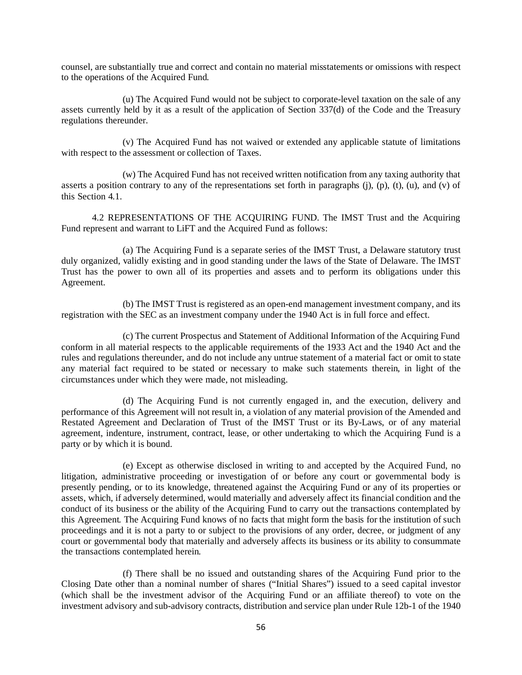counsel, are substantially true and correct and contain no material misstatements or omissions with respect to the operations of the Acquired Fund.

(u) The Acquired Fund would not be subject to corporate-level taxation on the sale of any assets currently held by it as a result of the application of Section 337(d) of the Code and the Treasury regulations thereunder.

(v) The Acquired Fund has not waived or extended any applicable statute of limitations with respect to the assessment or collection of Taxes.

(w) The Acquired Fund has not received written notification from any taxing authority that asserts a position contrary to any of the representations set forth in paragraphs  $(i)$ ,  $(p)$ ,  $(t)$ ,  $(u)$ , and  $(v)$  of this Section 4.1.

4.2 REPRESENTATIONS OF THE ACQUIRING FUND. The IMST Trust and the Acquiring Fund represent and warrant to LiFT and the Acquired Fund as follows:

(a) The Acquiring Fund is a separate series of the IMST Trust, a Delaware statutory trust duly organized, validly existing and in good standing under the laws of the State of Delaware. The IMST Trust has the power to own all of its properties and assets and to perform its obligations under this Agreement.

(b) The IMST Trust is registered as an open-end management investment company, and its registration with the SEC as an investment company under the 1940 Act is in full force and effect.

(c) The current Prospectus and Statement of Additional Information of the Acquiring Fund conform in all material respects to the applicable requirements of the 1933 Act and the 1940 Act and the rules and regulations thereunder, and do not include any untrue statement of a material fact or omit to state any material fact required to be stated or necessary to make such statements therein, in light of the circumstances under which they were made, not misleading.

(d) The Acquiring Fund is not currently engaged in, and the execution, delivery and performance of this Agreement will not result in, a violation of any material provision of the Amended and Restated Agreement and Declaration of Trust of the IMST Trust or its By-Laws, or of any material agreement, indenture, instrument, contract, lease, or other undertaking to which the Acquiring Fund is a party or by which it is bound.

(e) Except as otherwise disclosed in writing to and accepted by the Acquired Fund, no litigation, administrative proceeding or investigation of or before any court or governmental body is presently pending, or to its knowledge, threatened against the Acquiring Fund or any of its properties or assets, which, if adversely determined, would materially and adversely affect its financial condition and the conduct of its business or the ability of the Acquiring Fund to carry out the transactions contemplated by this Agreement. The Acquiring Fund knows of no facts that might form the basis for the institution of such proceedings and it is not a party to or subject to the provisions of any order, decree, or judgment of any court or governmental body that materially and adversely affects its business or its ability to consummate the transactions contemplated herein.

(f) There shall be no issued and outstanding shares of the Acquiring Fund prior to the Closing Date other than a nominal number of shares ("Initial Shares") issued to a seed capital investor (which shall be the investment advisor of the Acquiring Fund or an affiliate thereof) to vote on the investment advisory and sub-advisory contracts, distribution and service plan under Rule 12b-1 of the 1940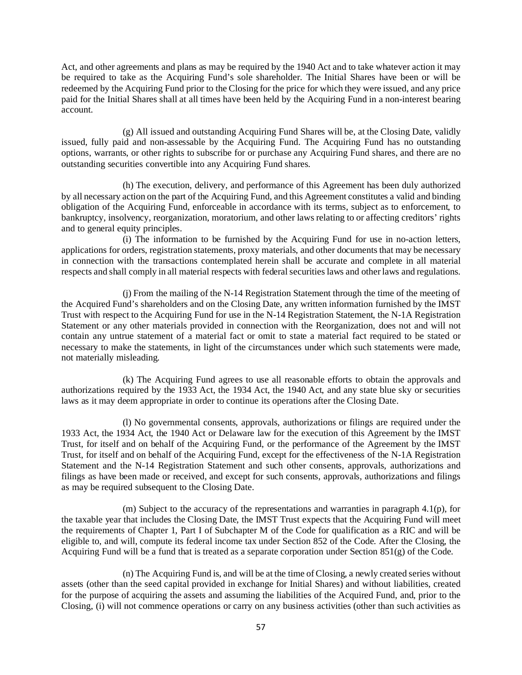Act, and other agreements and plans as may be required by the 1940 Act and to take whatever action it may be required to take as the Acquiring Fund's sole shareholder. The Initial Shares have been or will be redeemed by the Acquiring Fund prior to the Closing for the price for which they were issued, and any price paid for the Initial Shares shall at all times have been held by the Acquiring Fund in a non-interest bearing account.

(g) All issued and outstanding Acquiring Fund Shares will be, at the Closing Date, validly issued, fully paid and non-assessable by the Acquiring Fund. The Acquiring Fund has no outstanding options, warrants, or other rights to subscribe for or purchase any Acquiring Fund shares, and there are no outstanding securities convertible into any Acquiring Fund shares.

(h) The execution, delivery, and performance of this Agreement has been duly authorized by all necessary action on the part of the Acquiring Fund, and this Agreement constitutes a valid and binding obligation of the Acquiring Fund, enforceable in accordance with its terms, subject as to enforcement, to bankruptcy, insolvency, reorganization, moratorium, and other laws relating to or affecting creditors' rights and to general equity principles.

(i) The information to be furnished by the Acquiring Fund for use in no-action letters, applications for orders, registration statements, proxy materials, and other documents that may be necessary in connection with the transactions contemplated herein shall be accurate and complete in all material respects and shall comply in all material respects with federal securities laws and other laws and regulations.

(j) From the mailing of the N-14 Registration Statement through the time of the meeting of the Acquired Fund's shareholders and on the Closing Date, any written information furnished by the IMST Trust with respect to the Acquiring Fund for use in the N-14 Registration Statement, the N-1A Registration Statement or any other materials provided in connection with the Reorganization, does not and will not contain any untrue statement of a material fact or omit to state a material fact required to be stated or necessary to make the statements, in light of the circumstances under which such statements were made, not materially misleading.

(k) The Acquiring Fund agrees to use all reasonable efforts to obtain the approvals and authorizations required by the 1933 Act, the 1934 Act, the 1940 Act, and any state blue sky or securities laws as it may deem appropriate in order to continue its operations after the Closing Date.

(l) No governmental consents, approvals, authorizations or filings are required under the 1933 Act, the 1934 Act, the 1940 Act or Delaware law for the execution of this Agreement by the IMST Trust, for itself and on behalf of the Acquiring Fund, or the performance of the Agreement by the IMST Trust, for itself and on behalf of the Acquiring Fund, except for the effectiveness of the N-1A Registration Statement and the N-14 Registration Statement and such other consents, approvals, authorizations and filings as have been made or received, and except for such consents, approvals, authorizations and filings as may be required subsequent to the Closing Date.

(m) Subject to the accuracy of the representations and warranties in paragraph 4.1(p), for the taxable year that includes the Closing Date, the IMST Trust expects that the Acquiring Fund will meet the requirements of Chapter 1, Part I of Subchapter M of the Code for qualification as a RIC and will be eligible to, and will, compute its federal income tax under Section 852 of the Code. After the Closing, the Acquiring Fund will be a fund that is treated as a separate corporation under Section 851(g) of the Code.

(n) The Acquiring Fund is, and will be at the time of Closing, a newly created series without assets (other than the seed capital provided in exchange for Initial Shares) and without liabilities, created for the purpose of acquiring the assets and assuming the liabilities of the Acquired Fund, and, prior to the Closing, (i) will not commence operations or carry on any business activities (other than such activities as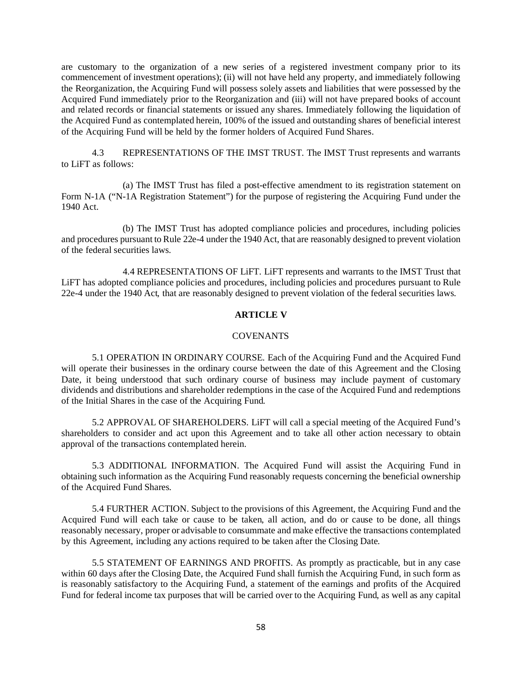are customary to the organization of a new series of a registered investment company prior to its commencement of investment operations); (ii) will not have held any property, and immediately following the Reorganization, the Acquiring Fund will possess solely assets and liabilities that were possessed by the Acquired Fund immediately prior to the Reorganization and (iii) will not have prepared books of account and related records or financial statements or issued any shares. Immediately following the liquidation of the Acquired Fund as contemplated herein, 100% of the issued and outstanding shares of beneficial interest of the Acquiring Fund will be held by the former holders of Acquired Fund Shares.

4.3 REPRESENTATIONS OF THE IMST TRUST. The IMST Trust represents and warrants to LiFT as follows:

(a) The IMST Trust has filed a post-effective amendment to its registration statement on Form N-1A ("N-1A Registration Statement") for the purpose of registering the Acquiring Fund under the 1940 Act.

(b) The IMST Trust has adopted compliance policies and procedures, including policies and procedures pursuant to Rule 22e-4 under the 1940 Act, that are reasonably designed to prevent violation of the federal securities laws.

4.4 REPRESENTATIONS OF LiFT. LiFT represents and warrants to the IMST Trust that LiFT has adopted compliance policies and procedures, including policies and procedures pursuant to Rule 22e-4 under the 1940 Act, that are reasonably designed to prevent violation of the federal securities laws.

## **ARTICLE V**

#### COVENANTS

5.1 OPERATION IN ORDINARY COURSE. Each of the Acquiring Fund and the Acquired Fund will operate their businesses in the ordinary course between the date of this Agreement and the Closing Date, it being understood that such ordinary course of business may include payment of customary dividends and distributions and shareholder redemptions in the case of the Acquired Fund and redemptions of the Initial Shares in the case of the Acquiring Fund.

5.2 APPROVAL OF SHAREHOLDERS. LiFT will call a special meeting of the Acquired Fund's shareholders to consider and act upon this Agreement and to take all other action necessary to obtain approval of the transactions contemplated herein.

5.3 ADDITIONAL INFORMATION. The Acquired Fund will assist the Acquiring Fund in obtaining such information as the Acquiring Fund reasonably requests concerning the beneficial ownership of the Acquired Fund Shares.

5.4 FURTHER ACTION. Subject to the provisions of this Agreement, the Acquiring Fund and the Acquired Fund will each take or cause to be taken, all action, and do or cause to be done, all things reasonably necessary, proper or advisable to consummate and make effective the transactions contemplated by this Agreement, including any actions required to be taken after the Closing Date.

5.5 STATEMENT OF EARNINGS AND PROFITS. As promptly as practicable, but in any case within 60 days after the Closing Date, the Acquired Fund shall furnish the Acquiring Fund, in such form as is reasonably satisfactory to the Acquiring Fund, a statement of the earnings and profits of the Acquired Fund for federal income tax purposes that will be carried over to the Acquiring Fund, as well as any capital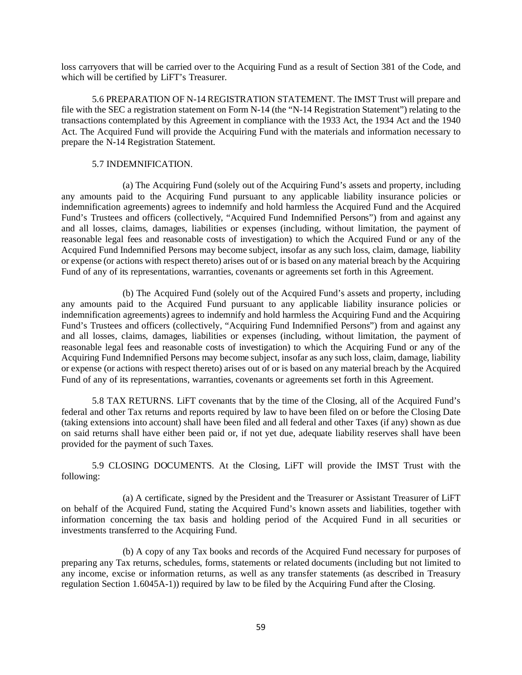loss carryovers that will be carried over to the Acquiring Fund as a result of Section 381 of the Code, and which will be certified by LiFT's Treasurer.

5.6 PREPARATION OF N-14 REGISTRATION STATEMENT. The IMST Trust will prepare and file with the SEC a registration statement on Form N-14 (the "N-14 Registration Statement") relating to the transactions contemplated by this Agreement in compliance with the 1933 Act, the 1934 Act and the 1940 Act. The Acquired Fund will provide the Acquiring Fund with the materials and information necessary to prepare the N-14 Registration Statement.

## 5.7 INDEMNIFICATION.

(a) The Acquiring Fund (solely out of the Acquiring Fund's assets and property, including any amounts paid to the Acquiring Fund pursuant to any applicable liability insurance policies or indemnification agreements) agrees to indemnify and hold harmless the Acquired Fund and the Acquired Fund's Trustees and officers (collectively, "Acquired Fund Indemnified Persons") from and against any and all losses, claims, damages, liabilities or expenses (including, without limitation, the payment of reasonable legal fees and reasonable costs of investigation) to which the Acquired Fund or any of the Acquired Fund Indemnified Persons may become subject, insofar as any such loss, claim, damage, liability or expense (or actions with respect thereto) arises out of or is based on any material breach by the Acquiring Fund of any of its representations, warranties, covenants or agreements set forth in this Agreement.

(b) The Acquired Fund (solely out of the Acquired Fund's assets and property, including any amounts paid to the Acquired Fund pursuant to any applicable liability insurance policies or indemnification agreements) agrees to indemnify and hold harmless the Acquiring Fund and the Acquiring Fund's Trustees and officers (collectively, "Acquiring Fund Indemnified Persons") from and against any and all losses, claims, damages, liabilities or expenses (including, without limitation, the payment of reasonable legal fees and reasonable costs of investigation) to which the Acquiring Fund or any of the Acquiring Fund Indemnified Persons may become subject, insofar as any such loss, claim, damage, liability or expense (or actions with respect thereto) arises out of or is based on any material breach by the Acquired Fund of any of its representations, warranties, covenants or agreements set forth in this Agreement.

5.8 TAX RETURNS. LiFT covenants that by the time of the Closing, all of the Acquired Fund's federal and other Tax returns and reports required by law to have been filed on or before the Closing Date (taking extensions into account) shall have been filed and all federal and other Taxes (if any) shown as due on said returns shall have either been paid or, if not yet due, adequate liability reserves shall have been provided for the payment of such Taxes.

5.9 CLOSING DOCUMENTS. At the Closing, LiFT will provide the IMST Trust with the following:

(a) A certificate, signed by the President and the Treasurer or Assistant Treasurer of LiFT on behalf of the Acquired Fund, stating the Acquired Fund's known assets and liabilities, together with information concerning the tax basis and holding period of the Acquired Fund in all securities or investments transferred to the Acquiring Fund.

(b) A copy of any Tax books and records of the Acquired Fund necessary for purposes of preparing any Tax returns, schedules, forms, statements or related documents (including but not limited to any income, excise or information returns, as well as any transfer statements (as described in Treasury regulation Section 1.6045A-1)) required by law to be filed by the Acquiring Fund after the Closing.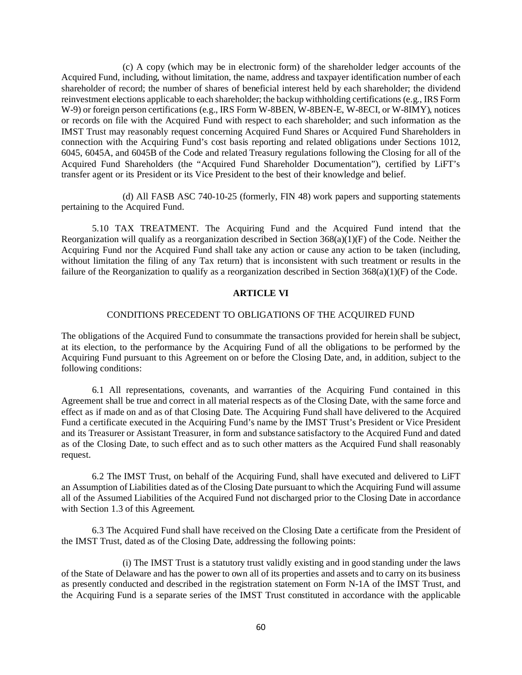(c) A copy (which may be in electronic form) of the shareholder ledger accounts of the Acquired Fund, including, without limitation, the name, address and taxpayer identification number of each shareholder of record; the number of shares of beneficial interest held by each shareholder; the dividend reinvestment elections applicable to each shareholder; the backup withholding certifications (e.g., IRS Form W-9) or foreign person certifications (e.g., IRS Form W-8BEN, W-8BEN-E, W-8ECI, or W-8IMY), notices or records on file with the Acquired Fund with respect to each shareholder; and such information as the IMST Trust may reasonably request concerning Acquired Fund Shares or Acquired Fund Shareholders in connection with the Acquiring Fund's cost basis reporting and related obligations under Sections 1012, 6045, 6045A, and 6045B of the Code and related Treasury regulations following the Closing for all of the Acquired Fund Shareholders (the "Acquired Fund Shareholder Documentation"), certified by LiFT's transfer agent or its President or its Vice President to the best of their knowledge and belief.

(d) All FASB ASC 740-10-25 (formerly, FIN 48) work papers and supporting statements pertaining to the Acquired Fund.

5.10 TAX TREATMENT. The Acquiring Fund and the Acquired Fund intend that the Reorganization will qualify as a reorganization described in Section  $368(a)(1)(F)$  of the Code. Neither the Acquiring Fund nor the Acquired Fund shall take any action or cause any action to be taken (including, without limitation the filing of any Tax return) that is inconsistent with such treatment or results in the failure of the Reorganization to qualify as a reorganization described in Section 368(a)(1)(F) of the Code.

#### **ARTICLE VI**

## CONDITIONS PRECEDENT TO OBLIGATIONS OF THE ACQUIRED FUND

The obligations of the Acquired Fund to consummate the transactions provided for herein shall be subject, at its election, to the performance by the Acquiring Fund of all the obligations to be performed by the Acquiring Fund pursuant to this Agreement on or before the Closing Date, and, in addition, subject to the following conditions:

6.1 All representations, covenants, and warranties of the Acquiring Fund contained in this Agreement shall be true and correct in all material respects as of the Closing Date, with the same force and effect as if made on and as of that Closing Date. The Acquiring Fund shall have delivered to the Acquired Fund a certificate executed in the Acquiring Fund's name by the IMST Trust's President or Vice President and its Treasurer or Assistant Treasurer, in form and substance satisfactory to the Acquired Fund and dated as of the Closing Date, to such effect and as to such other matters as the Acquired Fund shall reasonably request.

6.2 The IMST Trust, on behalf of the Acquiring Fund, shall have executed and delivered to LiFT an Assumption of Liabilities dated as of the Closing Date pursuant to which the Acquiring Fund will assume all of the Assumed Liabilities of the Acquired Fund not discharged prior to the Closing Date in accordance with Section 1.3 of this Agreement.

6.3 The Acquired Fund shall have received on the Closing Date a certificate from the President of the IMST Trust, dated as of the Closing Date, addressing the following points:

(i) The IMST Trust is a statutory trust validly existing and in good standing under the laws of the State of Delaware and has the power to own all of its properties and assets and to carry on its business as presently conducted and described in the registration statement on Form N-1A of the IMST Trust, and the Acquiring Fund is a separate series of the IMST Trust constituted in accordance with the applicable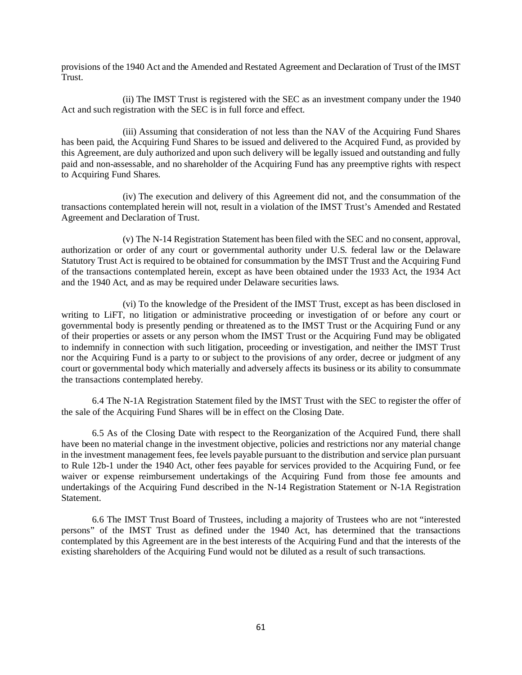provisions of the 1940 Act and the Amended and Restated Agreement and Declaration of Trust of the IMST Trust.

(ii) The IMST Trust is registered with the SEC as an investment company under the 1940 Act and such registration with the SEC is in full force and effect.

(iii) Assuming that consideration of not less than the NAV of the Acquiring Fund Shares has been paid, the Acquiring Fund Shares to be issued and delivered to the Acquired Fund, as provided by this Agreement, are duly authorized and upon such delivery will be legally issued and outstanding and fully paid and non-assessable, and no shareholder of the Acquiring Fund has any preemptive rights with respect to Acquiring Fund Shares.

(iv) The execution and delivery of this Agreement did not, and the consummation of the transactions contemplated herein will not, result in a violation of the IMST Trust's Amended and Restated Agreement and Declaration of Trust.

(v) The N-14 Registration Statement has been filed with the SEC and no consent, approval, authorization or order of any court or governmental authority under U.S. federal law or the Delaware Statutory Trust Act is required to be obtained for consummation by the IMST Trust and the Acquiring Fund of the transactions contemplated herein, except as have been obtained under the 1933 Act, the 1934 Act and the 1940 Act, and as may be required under Delaware securities laws.

(vi) To the knowledge of the President of the IMST Trust, except as has been disclosed in writing to LiFT, no litigation or administrative proceeding or investigation of or before any court or governmental body is presently pending or threatened as to the IMST Trust or the Acquiring Fund or any of their properties or assets or any person whom the IMST Trust or the Acquiring Fund may be obligated to indemnify in connection with such litigation, proceeding or investigation, and neither the IMST Trust nor the Acquiring Fund is a party to or subject to the provisions of any order, decree or judgment of any court or governmental body which materially and adversely affects its business or its ability to consummate the transactions contemplated hereby.

6.4 The N-1A Registration Statement filed by the IMST Trust with the SEC to register the offer of the sale of the Acquiring Fund Shares will be in effect on the Closing Date.

6.5 As of the Closing Date with respect to the Reorganization of the Acquired Fund, there shall have been no material change in the investment objective, policies and restrictions nor any material change in the investment management fees, fee levels payable pursuant to the distribution and service plan pursuant to Rule 12b-1 under the 1940 Act, other fees payable for services provided to the Acquiring Fund, or fee waiver or expense reimbursement undertakings of the Acquiring Fund from those fee amounts and undertakings of the Acquiring Fund described in the N-14 Registration Statement or N-1A Registration Statement.

6.6 The IMST Trust Board of Trustees, including a majority of Trustees who are not "interested persons" of the IMST Trust as defined under the 1940 Act, has determined that the transactions contemplated by this Agreement are in the best interests of the Acquiring Fund and that the interests of the existing shareholders of the Acquiring Fund would not be diluted as a result of such transactions.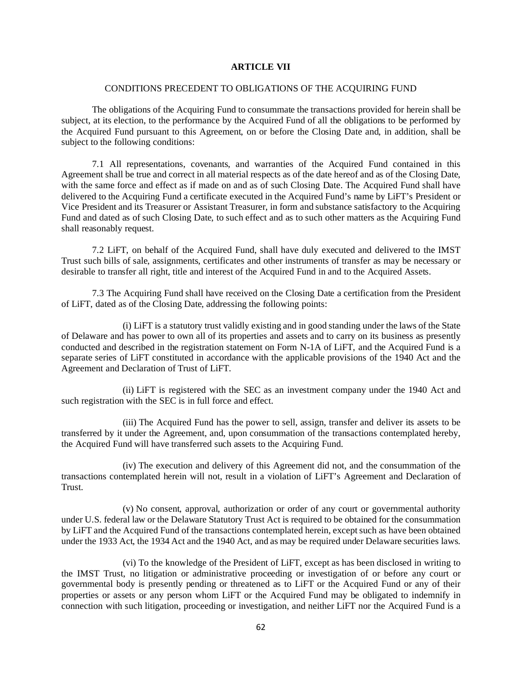## **ARTICLE VII**

#### CONDITIONS PRECEDENT TO OBLIGATIONS OF THE ACQUIRING FUND

The obligations of the Acquiring Fund to consummate the transactions provided for herein shall be subject, at its election, to the performance by the Acquired Fund of all the obligations to be performed by the Acquired Fund pursuant to this Agreement, on or before the Closing Date and, in addition, shall be subject to the following conditions:

7.1 All representations, covenants, and warranties of the Acquired Fund contained in this Agreement shall be true and correct in all material respects as of the date hereof and as of the Closing Date, with the same force and effect as if made on and as of such Closing Date. The Acquired Fund shall have delivered to the Acquiring Fund a certificate executed in the Acquired Fund's name by LiFT's President or Vice President and its Treasurer or Assistant Treasurer, in form and substance satisfactory to the Acquiring Fund and dated as of such Closing Date, to such effect and as to such other matters as the Acquiring Fund shall reasonably request.

7.2 LiFT, on behalf of the Acquired Fund, shall have duly executed and delivered to the IMST Trust such bills of sale, assignments, certificates and other instruments of transfer as may be necessary or desirable to transfer all right, title and interest of the Acquired Fund in and to the Acquired Assets.

7.3 The Acquiring Fund shall have received on the Closing Date a certification from the President of LiFT, dated as of the Closing Date, addressing the following points:

(i) LiFT is a statutory trust validly existing and in good standing under the laws of the State of Delaware and has power to own all of its properties and assets and to carry on its business as presently conducted and described in the registration statement on Form N-1A of LiFT, and the Acquired Fund is a separate series of LiFT constituted in accordance with the applicable provisions of the 1940 Act and the Agreement and Declaration of Trust of LiFT.

(ii) LiFT is registered with the SEC as an investment company under the 1940 Act and such registration with the SEC is in full force and effect.

(iii) The Acquired Fund has the power to sell, assign, transfer and deliver its assets to be transferred by it under the Agreement, and, upon consummation of the transactions contemplated hereby, the Acquired Fund will have transferred such assets to the Acquiring Fund.

(iv) The execution and delivery of this Agreement did not, and the consummation of the transactions contemplated herein will not, result in a violation of LiFT's Agreement and Declaration of Trust.

(v) No consent, approval, authorization or order of any court or governmental authority under U.S. federal law or the Delaware Statutory Trust Act is required to be obtained for the consummation by LiFT and the Acquired Fund of the transactions contemplated herein, except such as have been obtained under the 1933 Act, the 1934 Act and the 1940 Act, and as may be required under Delaware securities laws.

(vi) To the knowledge of the President of LiFT, except as has been disclosed in writing to the IMST Trust, no litigation or administrative proceeding or investigation of or before any court or governmental body is presently pending or threatened as to LiFT or the Acquired Fund or any of their properties or assets or any person whom LiFT or the Acquired Fund may be obligated to indemnify in connection with such litigation, proceeding or investigation, and neither LiFT nor the Acquired Fund is a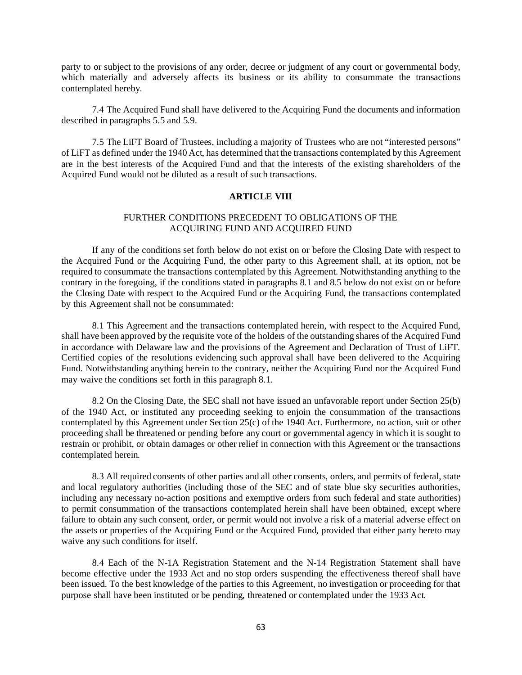party to or subject to the provisions of any order, decree or judgment of any court or governmental body, which materially and adversely affects its business or its ability to consummate the transactions contemplated hereby.

7.4 The Acquired Fund shall have delivered to the Acquiring Fund the documents and information described in paragraphs 5.5 and 5.9.

7.5 The LiFT Board of Trustees, including a majority of Trustees who are not "interested persons" of LiFT as defined under the 1940 Act, has determined that the transactions contemplated by this Agreement are in the best interests of the Acquired Fund and that the interests of the existing shareholders of the Acquired Fund would not be diluted as a result of such transactions.

## **ARTICLE VIII**

## FURTHER CONDITIONS PRECEDENT TO OBLIGATIONS OF THE ACQUIRING FUND AND ACQUIRED FUND

If any of the conditions set forth below do not exist on or before the Closing Date with respect to the Acquired Fund or the Acquiring Fund, the other party to this Agreement shall, at its option, not be required to consummate the transactions contemplated by this Agreement. Notwithstanding anything to the contrary in the foregoing, if the conditions stated in paragraphs 8.1 and 8.5 below do not exist on or before the Closing Date with respect to the Acquired Fund or the Acquiring Fund, the transactions contemplated by this Agreement shall not be consummated:

8.1 This Agreement and the transactions contemplated herein, with respect to the Acquired Fund, shall have been approved by the requisite vote of the holders of the outstanding shares of the Acquired Fund in accordance with Delaware law and the provisions of the Agreement and Declaration of Trust of LiFT. Certified copies of the resolutions evidencing such approval shall have been delivered to the Acquiring Fund. Notwithstanding anything herein to the contrary, neither the Acquiring Fund nor the Acquired Fund may waive the conditions set forth in this paragraph 8.1.

8.2 On the Closing Date, the SEC shall not have issued an unfavorable report under Section 25(b) of the 1940 Act, or instituted any proceeding seeking to enjoin the consummation of the transactions contemplated by this Agreement under Section 25(c) of the 1940 Act. Furthermore, no action, suit or other proceeding shall be threatened or pending before any court or governmental agency in which it is sought to restrain or prohibit, or obtain damages or other relief in connection with this Agreement or the transactions contemplated herein.

8.3 All required consents of other parties and all other consents, orders, and permits of federal, state and local regulatory authorities (including those of the SEC and of state blue sky securities authorities, including any necessary no-action positions and exemptive orders from such federal and state authorities) to permit consummation of the transactions contemplated herein shall have been obtained, except where failure to obtain any such consent, order, or permit would not involve a risk of a material adverse effect on the assets or properties of the Acquiring Fund or the Acquired Fund, provided that either party hereto may waive any such conditions for itself.

8.4 Each of the N-1A Registration Statement and the N-14 Registration Statement shall have become effective under the 1933 Act and no stop orders suspending the effectiveness thereof shall have been issued. To the best knowledge of the parties to this Agreement, no investigation or proceeding for that purpose shall have been instituted or be pending, threatened or contemplated under the 1933 Act.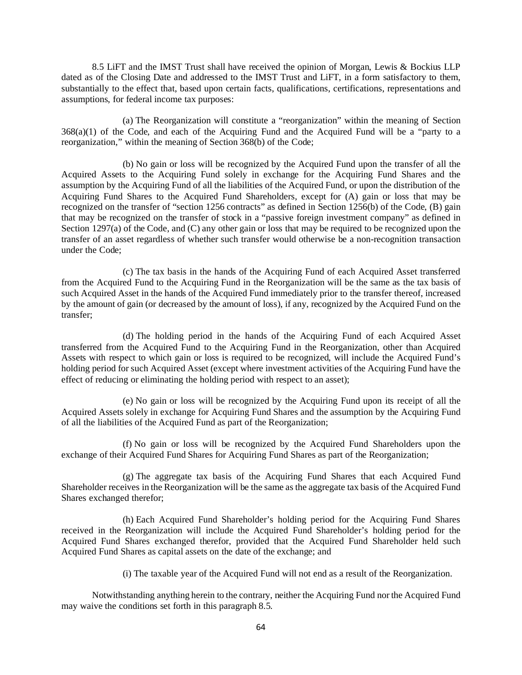8.5 LiFT and the IMST Trust shall have received the opinion of Morgan, Lewis & Bockius LLP dated as of the Closing Date and addressed to the IMST Trust and LiFT, in a form satisfactory to them, substantially to the effect that, based upon certain facts, qualifications, certifications, representations and assumptions, for federal income tax purposes:

(a) The Reorganization will constitute a "reorganization" within the meaning of Section 368(a)(1) of the Code, and each of the Acquiring Fund and the Acquired Fund will be a "party to a reorganization," within the meaning of Section 368(b) of the Code;

(b) No gain or loss will be recognized by the Acquired Fund upon the transfer of all the Acquired Assets to the Acquiring Fund solely in exchange for the Acquiring Fund Shares and the assumption by the Acquiring Fund of all the liabilities of the Acquired Fund, or upon the distribution of the Acquiring Fund Shares to the Acquired Fund Shareholders, except for (A) gain or loss that may be recognized on the transfer of "section 1256 contracts" as defined in Section 1256(b) of the Code, (B) gain that may be recognized on the transfer of stock in a "passive foreign investment company" as defined in Section 1297(a) of the Code, and (C) any other gain or loss that may be required to be recognized upon the transfer of an asset regardless of whether such transfer would otherwise be a non-recognition transaction under the Code;

(c) The tax basis in the hands of the Acquiring Fund of each Acquired Asset transferred from the Acquired Fund to the Acquiring Fund in the Reorganization will be the same as the tax basis of such Acquired Asset in the hands of the Acquired Fund immediately prior to the transfer thereof, increased by the amount of gain (or decreased by the amount of loss), if any, recognized by the Acquired Fund on the transfer;

(d) The holding period in the hands of the Acquiring Fund of each Acquired Asset transferred from the Acquired Fund to the Acquiring Fund in the Reorganization, other than Acquired Assets with respect to which gain or loss is required to be recognized, will include the Acquired Fund's holding period for such Acquired Asset (except where investment activities of the Acquiring Fund have the effect of reducing or eliminating the holding period with respect to an asset);

(e) No gain or loss will be recognized by the Acquiring Fund upon its receipt of all the Acquired Assets solely in exchange for Acquiring Fund Shares and the assumption by the Acquiring Fund of all the liabilities of the Acquired Fund as part of the Reorganization;

(f) No gain or loss will be recognized by the Acquired Fund Shareholders upon the exchange of their Acquired Fund Shares for Acquiring Fund Shares as part of the Reorganization;

(g) The aggregate tax basis of the Acquiring Fund Shares that each Acquired Fund Shareholder receives in the Reorganization will be the same as the aggregate tax basis of the Acquired Fund Shares exchanged therefor;

(h) Each Acquired Fund Shareholder's holding period for the Acquiring Fund Shares received in the Reorganization will include the Acquired Fund Shareholder's holding period for the Acquired Fund Shares exchanged therefor, provided that the Acquired Fund Shareholder held such Acquired Fund Shares as capital assets on the date of the exchange; and

(i) The taxable year of the Acquired Fund will not end as a result of the Reorganization.

Notwithstanding anything herein to the contrary, neither the Acquiring Fund nor the Acquired Fund may waive the conditions set forth in this paragraph 8.5.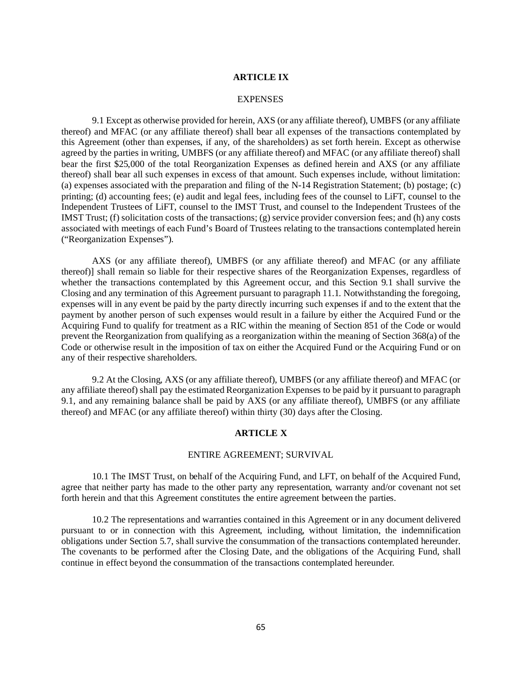#### **ARTICLE IX**

#### EXPENSES

9.1 Except as otherwise provided for herein, AXS (or any affiliate thereof), UMBFS (or any affiliate thereof) and MFAC (or any affiliate thereof) shall bear all expenses of the transactions contemplated by this Agreement (other than expenses, if any, of the shareholders) as set forth herein. Except as otherwise agreed by the parties in writing, UMBFS (or any affiliate thereof) and MFAC (or any affiliate thereof) shall bear the first \$25,000 of the total Reorganization Expenses as defined herein and AXS (or any affiliate thereof) shall bear all such expenses in excess of that amount. Such expenses include, without limitation: (a) expenses associated with the preparation and filing of the N-14 Registration Statement; (b) postage; (c) printing; (d) accounting fees; (e) audit and legal fees, including fees of the counsel to LiFT, counsel to the Independent Trustees of LiFT, counsel to the IMST Trust, and counsel to the Independent Trustees of the IMST Trust; (f) solicitation costs of the transactions; (g) service provider conversion fees; and (h) any costs associated with meetings of each Fund's Board of Trustees relating to the transactions contemplated herein ("Reorganization Expenses").

AXS (or any affiliate thereof), UMBFS (or any affiliate thereof) and MFAC (or any affiliate thereof)] shall remain so liable for their respective shares of the Reorganization Expenses, regardless of whether the transactions contemplated by this Agreement occur, and this Section 9.1 shall survive the Closing and any termination of this Agreement pursuant to paragraph 11.1. Notwithstanding the foregoing, expenses will in any event be paid by the party directly incurring such expenses if and to the extent that the payment by another person of such expenses would result in a failure by either the Acquired Fund or the Acquiring Fund to qualify for treatment as a RIC within the meaning of Section 851 of the Code or would prevent the Reorganization from qualifying as a reorganization within the meaning of Section 368(a) of the Code or otherwise result in the imposition of tax on either the Acquired Fund or the Acquiring Fund or on any of their respective shareholders.

9.2 At the Closing, AXS (or any affiliate thereof), UMBFS (or any affiliate thereof) and MFAC (or any affiliate thereof) shall pay the estimated Reorganization Expenses to be paid by it pursuant to paragraph 9.1, and any remaining balance shall be paid by AXS (or any affiliate thereof), UMBFS (or any affiliate thereof) and MFAC (or any affiliate thereof) within thirty (30) days after the Closing.

## **ARTICLE X**

#### ENTIRE AGREEMENT; SURVIVAL

10.1 The IMST Trust, on behalf of the Acquiring Fund, and LFT, on behalf of the Acquired Fund, agree that neither party has made to the other party any representation, warranty and/or covenant not set forth herein and that this Agreement constitutes the entire agreement between the parties.

10.2 The representations and warranties contained in this Agreement or in any document delivered pursuant to or in connection with this Agreement, including, without limitation, the indemnification obligations under Section 5.7, shall survive the consummation of the transactions contemplated hereunder. The covenants to be performed after the Closing Date, and the obligations of the Acquiring Fund, shall continue in effect beyond the consummation of the transactions contemplated hereunder.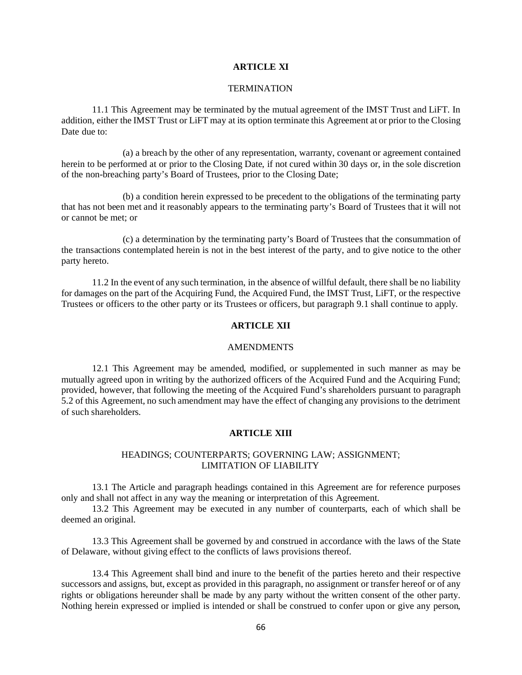## **ARTICLE XI**

#### **TERMINATION**

11.1 This Agreement may be terminated by the mutual agreement of the IMST Trust and LiFT. In addition, either the IMST Trust or LiFT may at its option terminate this Agreement at or prior to the Closing Date due to:

(a) a breach by the other of any representation, warranty, covenant or agreement contained herein to be performed at or prior to the Closing Date, if not cured within 30 days or, in the sole discretion of the non-breaching party's Board of Trustees, prior to the Closing Date;

(b) a condition herein expressed to be precedent to the obligations of the terminating party that has not been met and it reasonably appears to the terminating party's Board of Trustees that it will not or cannot be met; or

(c) a determination by the terminating party's Board of Trustees that the consummation of the transactions contemplated herein is not in the best interest of the party, and to give notice to the other party hereto.

11.2 In the event of any such termination, in the absence of willful default, there shall be no liability for damages on the part of the Acquiring Fund, the Acquired Fund, the IMST Trust, LiFT, or the respective Trustees or officers to the other party or its Trustees or officers, but paragraph 9.1 shall continue to apply.

# **ARTICLE XII**

#### AMENDMENTS

12.1 This Agreement may be amended, modified, or supplemented in such manner as may be mutually agreed upon in writing by the authorized officers of the Acquired Fund and the Acquiring Fund; provided, however, that following the meeting of the Acquired Fund's shareholders pursuant to paragraph 5.2 of this Agreement, no such amendment may have the effect of changing any provisions to the detriment of such shareholders.

## **ARTICLE XIII**

#### HEADINGS; COUNTERPARTS; GOVERNING LAW; ASSIGNMENT; LIMITATION OF LIABILITY

13.1 The Article and paragraph headings contained in this Agreement are for reference purposes only and shall not affect in any way the meaning or interpretation of this Agreement.

13.2 This Agreement may be executed in any number of counterparts, each of which shall be deemed an original.

13.3 This Agreement shall be governed by and construed in accordance with the laws of the State of Delaware, without giving effect to the conflicts of laws provisions thereof.

13.4 This Agreement shall bind and inure to the benefit of the parties hereto and their respective successors and assigns, but, except as provided in this paragraph, no assignment or transfer hereof or of any rights or obligations hereunder shall be made by any party without the written consent of the other party. Nothing herein expressed or implied is intended or shall be construed to confer upon or give any person,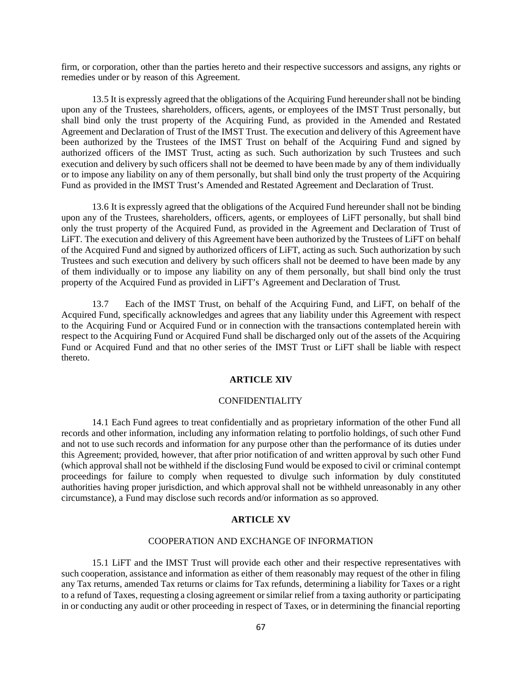firm, or corporation, other than the parties hereto and their respective successors and assigns, any rights or remedies under or by reason of this Agreement.

13.5 It is expressly agreed that the obligations of the Acquiring Fund hereunder shall not be binding upon any of the Trustees, shareholders, officers, agents, or employees of the IMST Trust personally, but shall bind only the trust property of the Acquiring Fund, as provided in the Amended and Restated Agreement and Declaration of Trust of the IMST Trust. The execution and delivery of this Agreement have been authorized by the Trustees of the IMST Trust on behalf of the Acquiring Fund and signed by authorized officers of the IMST Trust, acting as such. Such authorization by such Trustees and such execution and delivery by such officers shall not be deemed to have been made by any of them individually or to impose any liability on any of them personally, but shall bind only the trust property of the Acquiring Fund as provided in the IMST Trust's Amended and Restated Agreement and Declaration of Trust.

13.6 It is expressly agreed that the obligations of the Acquired Fund hereunder shall not be binding upon any of the Trustees, shareholders, officers, agents, or employees of LiFT personally, but shall bind only the trust property of the Acquired Fund, as provided in the Agreement and Declaration of Trust of LiFT. The execution and delivery of this Agreement have been authorized by the Trustees of LiFT on behalf of the Acquired Fund and signed by authorized officers of LiFT, acting as such. Such authorization by such Trustees and such execution and delivery by such officers shall not be deemed to have been made by any of them individually or to impose any liability on any of them personally, but shall bind only the trust property of the Acquired Fund as provided in LiFT's Agreement and Declaration of Trust.

13.7 Each of the IMST Trust, on behalf of the Acquiring Fund, and LiFT, on behalf of the Acquired Fund, specifically acknowledges and agrees that any liability under this Agreement with respect to the Acquiring Fund or Acquired Fund or in connection with the transactions contemplated herein with respect to the Acquiring Fund or Acquired Fund shall be discharged only out of the assets of the Acquiring Fund or Acquired Fund and that no other series of the IMST Trust or LiFT shall be liable with respect thereto.

# **ARTICLE XIV**

#### CONFIDENTIALITY

14.1 Each Fund agrees to treat confidentially and as proprietary information of the other Fund all records and other information, including any information relating to portfolio holdings, of such other Fund and not to use such records and information for any purpose other than the performance of its duties under this Agreement; provided, however, that after prior notification of and written approval by such other Fund (which approval shall not be withheld if the disclosing Fund would be exposed to civil or criminal contempt proceedings for failure to comply when requested to divulge such information by duly constituted authorities having proper jurisdiction, and which approval shall not be withheld unreasonably in any other circumstance), a Fund may disclose such records and/or information as so approved.

## **ARTICLE XV**

## COOPERATION AND EXCHANGE OF INFORMATION

15.1 LiFT and the IMST Trust will provide each other and their respective representatives with such cooperation, assistance and information as either of them reasonably may request of the other in filing any Tax returns, amended Tax returns or claims for Tax refunds, determining a liability for Taxes or a right to a refund of Taxes, requesting a closing agreement or similar relief from a taxing authority or participating in or conducting any audit or other proceeding in respect of Taxes, or in determining the financial reporting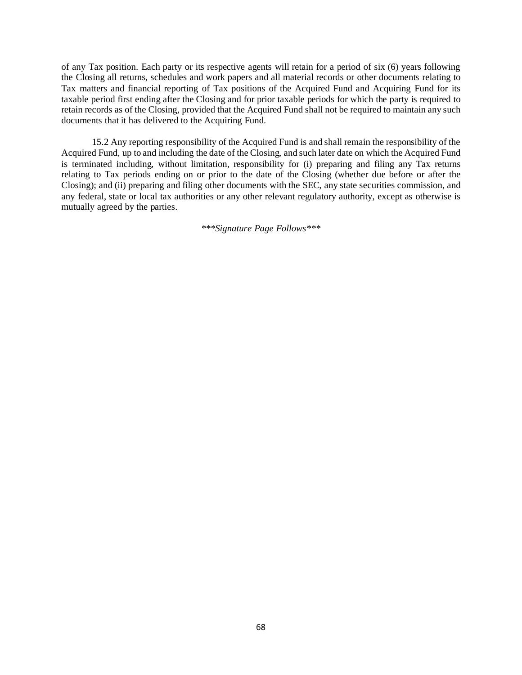of any Tax position. Each party or its respective agents will retain for a period of six (6) years following the Closing all returns, schedules and work papers and all material records or other documents relating to Tax matters and financial reporting of Tax positions of the Acquired Fund and Acquiring Fund for its taxable period first ending after the Closing and for prior taxable periods for which the party is required to retain records as of the Closing, provided that the Acquired Fund shall not be required to maintain any such documents that it has delivered to the Acquiring Fund.

15.2 Any reporting responsibility of the Acquired Fund is and shall remain the responsibility of the Acquired Fund, up to and including the date of the Closing, and such later date on which the Acquired Fund is terminated including, without limitation, responsibility for (i) preparing and filing any Tax returns relating to Tax periods ending on or prior to the date of the Closing (whether due before or after the Closing); and (ii) preparing and filing other documents with the SEC, any state securities commission, and any federal, state or local tax authorities or any other relevant regulatory authority, except as otherwise is mutually agreed by the parties.

*\*\*\*Signature Page Follows\*\*\**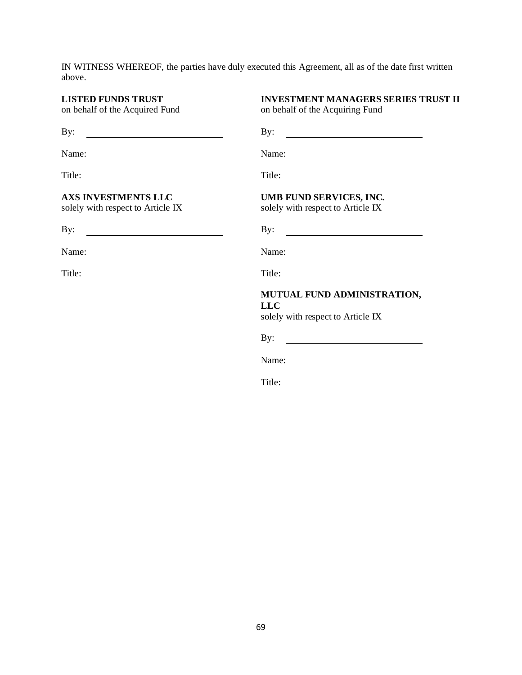IN WITNESS WHEREOF, the parties have duly executed this Agreement, all as of the date first written above.

# **LISTED FUNDS TRUST**

on behalf of the Acquired Fund

**AXS INVESTMENTS LLC** solely with respect to Article IX

## **INVESTMENT MANAGERS SERIES TRUST II** on behalf of the Acquiring Fund

By: By:

Name: Name:

Title: Title:

## **UMB FUND SERVICES, INC.**

solely with respect to Article IX

By: By:

Name: Name:

Title: Title:

# **MUTUAL FUND ADMINISTRATION, LLC**

solely with respect to Article IX

By:

Name:

Title: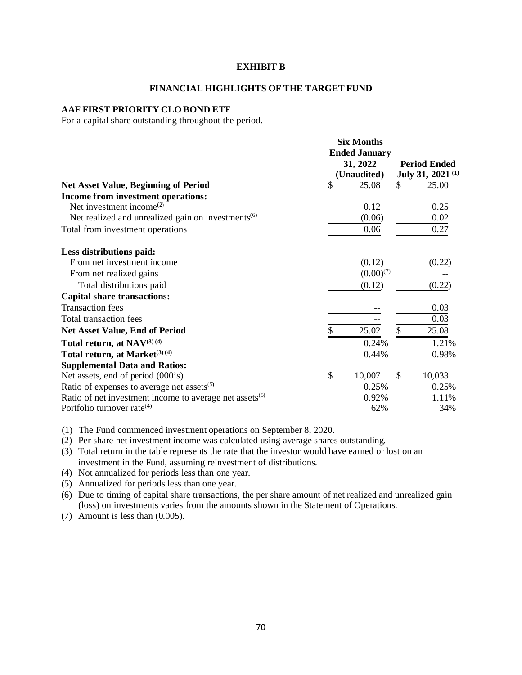### **EXHIBIT B**

#### **FINANCIAL HIGHLIGHTS OF THE TARGET FUND**

## **AAF FIRST PRIORITY CLO BOND ETF**

For a capital share outstanding throughout the period.

|                                                                | <b>Six Months</b><br><b>Ended January</b> |               |                                       |
|----------------------------------------------------------------|-------------------------------------------|---------------|---------------------------------------|
|                                                                | 31, 2022                                  |               | <b>Period Ended</b>                   |
| <b>Net Asset Value, Beginning of Period</b>                    | \$<br>(Unaudited)<br>25.08                | \$            | July 31, 2021 <sup>(1)</sup><br>25.00 |
| Income from investment operations:                             |                                           |               |                                       |
| Net investment income <sup>(2)</sup>                           | 0.12                                      |               | 0.25                                  |
| Net realized and unrealized gain on investments <sup>(6)</sup> | (0.06)                                    |               | 0.02                                  |
| Total from investment operations                               | 0.06                                      |               | 0.27                                  |
| Less distributions paid:                                       |                                           |               |                                       |
| From net investment income                                     | (0.12)                                    |               | (0.22)                                |
| From net realized gains                                        | $(0.00)^{(7)}$                            |               |                                       |
| Total distributions paid                                       | (0.12)                                    |               | (0.22)                                |
| <b>Capital share transactions:</b>                             |                                           |               |                                       |
| <b>Transaction</b> fees                                        |                                           |               | 0.03                                  |
| Total transaction fees                                         |                                           |               | 0.03                                  |
| <b>Net Asset Value, End of Period</b>                          | \$<br>25.02                               | \$            | 25.08                                 |
| Total return, at $NAV^{(3)(4)}$                                | 0.24%                                     |               | 1.21%                                 |
| Total return, at Market <sup>(3) (4)</sup>                     | 0.44%                                     |               | 0.98%                                 |
| <b>Supplemental Data and Ratios:</b>                           |                                           |               |                                       |
| Net assets, end of period (000's)                              | \$<br>10,007                              | $\mathcal{S}$ | 10,033                                |
| Ratio of expenses to average net assets $(5)$                  | 0.25%                                     |               | 0.25%                                 |
| Ratio of net investment income to average net assets $(5)$     | 0.92%                                     |               | 1.11%                                 |
| Portfolio turnover rate $(4)$                                  | 62%                                       |               | 34%                                   |

(1) The Fund commenced investment operations on September 8, 2020.

(2) Per share net investment income was calculated using average shares outstanding.

(3) Total return in the table represents the rate that the investor would have earned or lost on an investment in the Fund, assuming reinvestment of distributions.

(4) Not annualized for periods less than one year.

(5) Annualized for periods less than one year.

(6) Due to timing of capital share transactions, the per share amount of net realized and unrealized gain (loss) on investments varies from the amounts shown in the Statement of Operations.

(7) Amount is less than (0.005).